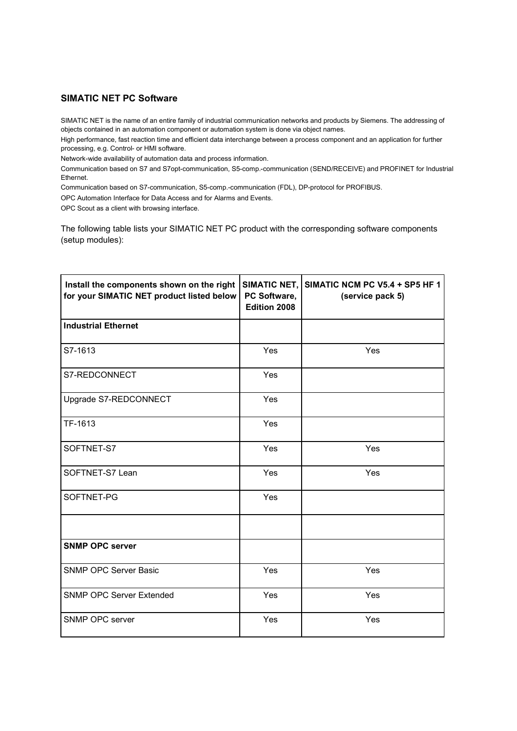# **SIMATIC NET PC Software**

SIMATIC NET is the name of an entire family of industrial communication networks and products by Siemens. The addressing of objects contained in an automation component or automation system is done via object names.

High performance, fast reaction time and efficient data interchange between a process component and an application for further processing, e.g. Control- or HMI software.

Network-wide availability of automation data and process information.

Communication based on S7 and S7opt-communication, S5-comp.-communication (SEND/RECEIVE) and PROFINET for Industrial Ethernet.

Communication based on S7-communication, S5-comp.-communication (FDL), DP-protocol for PROFIBUS.

OPC Automation Interface for Data Access and for Alarms and Events.

OPC Scout as a client with browsing interface.

The following table lists your SIMATIC NET PC product with the corresponding software components (setup modules):

| Install the components shown on the right<br>for your SIMATIC NET product listed below | <b>SIMATIC NET,</b><br>PC Software,<br><b>Edition 2008</b> | SIMATIC NCM PC V5.4 + SP5 HF 1<br>(service pack 5) |
|----------------------------------------------------------------------------------------|------------------------------------------------------------|----------------------------------------------------|
| <b>Industrial Ethernet</b>                                                             |                                                            |                                                    |
| S7-1613                                                                                | Yes                                                        | Yes                                                |
| S7-REDCONNECT                                                                          | Yes                                                        |                                                    |
| Upgrade S7-REDCONNECT                                                                  | Yes                                                        |                                                    |
| TF-1613                                                                                | Yes                                                        |                                                    |
| SOFTNET-S7                                                                             | Yes                                                        | Yes                                                |
| SOFTNET-S7 Lean                                                                        | Yes                                                        | Yes                                                |
| SOFTNET-PG                                                                             | Yes                                                        |                                                    |
|                                                                                        |                                                            |                                                    |
| <b>SNMP OPC server</b>                                                                 |                                                            |                                                    |
| <b>SNMP OPC Server Basic</b>                                                           | Yes                                                        | Yes                                                |
| <b>SNMP OPC Server Extended</b>                                                        | Yes                                                        | Yes                                                |
| SNMP OPC server                                                                        | Yes                                                        | Yes                                                |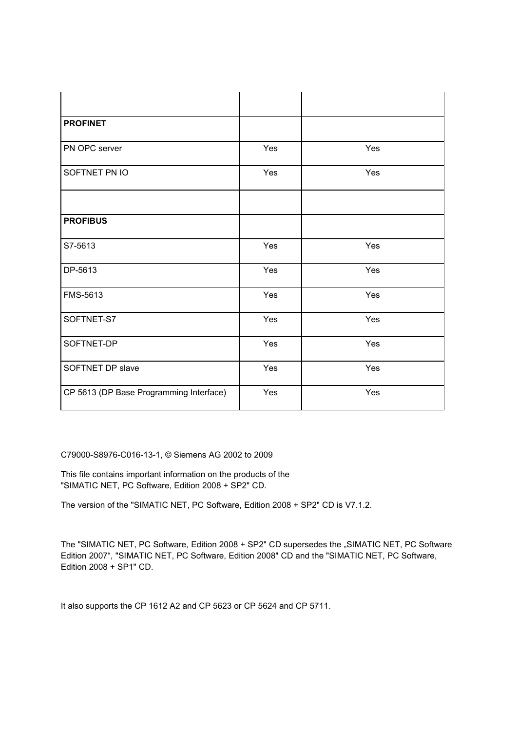| <b>PROFINET</b>                         |     |     |
|-----------------------------------------|-----|-----|
| PN OPC server                           | Yes | Yes |
| SOFTNET PN IO                           | Yes | Yes |
|                                         |     |     |
| <b>PROFIBUS</b>                         |     |     |
| S7-5613                                 | Yes | Yes |
| DP-5613                                 | Yes | Yes |
| FMS-5613                                | Yes | Yes |
| SOFTNET-S7                              | Yes | Yes |
| SOFTNET-DP                              | Yes | Yes |
| SOFTNET DP slave                        | Yes | Yes |
| CP 5613 (DP Base Programming Interface) | Yes | Yes |

C79000-S8976-C016-13-1, © Siemens AG 2002 to 2009

This file contains important information on the products of the "SIMATIC NET, PC Software, Edition 2008 + SP2" CD.

The version of the "SIMATIC NET, PC Software, Edition 2008 + SP2" CD is V7.1.2.

The "SIMATIC NET, PC Software, Edition 2008 + SP2" CD supersedes the "SIMATIC NET, PC Software Edition 2007", "SIMATIC NET, PC Software, Edition 2008" CD and the "SIMATIC NET, PC Software, Edition 2008 + SP1" CD.

It also supports the CP 1612 A2 and CP 5623 or CP 5624 and CP 5711.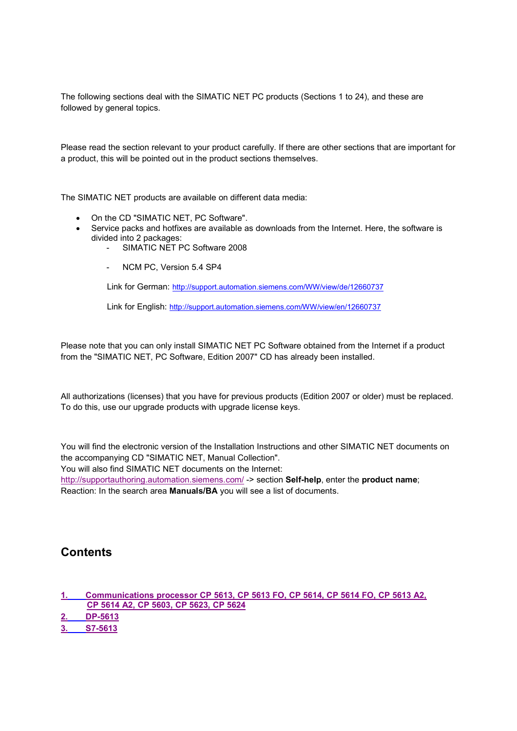The following sections deal with the SIMATIC NET PC products (Sections 1 to 24), and these are followed by general topics.

Please read the section relevant to your product carefully. If there are other sections that are important for a product, this will be pointed out in the product sections themselves.

The SIMATIC NET products are available on different data media:

- On the CD "SIMATIC NET, PC Software".
- Service packs and hotfixes are available as downloads from the Internet. Here, the software is divided into 2 packages:
	- SIMATIC NET PC Software 2008
	- NCM PC, Version 5.4 SP4

Link for German: http://support.automation.siemens.com/WW/view/de/12660737

Link for English: http://support.automation.siemens.com/WW/view/en/12660737

Please note that you can only install SIMATIC NET PC Software obtained from the Internet if a product from the "SIMATIC NET, PC Software, Edition 2007" CD has already been installed.

All authorizations (licenses) that you have for previous products (Edition 2007 or older) must be replaced. To do this, use our upgrade products with upgrade license keys.

You will find the electronic version of the Installation Instructions and other SIMATIC NET documents on the accompanying CD "SIMATIC NET, Manual Collection".

You will also find SIMATIC NET documents on the Internet:

http://supportauthoring.automation.siemens.com/ -> section **Self-help**, enter the **product name**; Reaction: In the search area **Manuals/BA** you will see a list of documents.

# **Contents**

**1. Communications processor CP 5613, CP 5613 FO, CP 5614, CP 5614 FO, CP 5613 A2, CP 5614 A2, CP 5603, CP 5623, CP 5624**

**2. DP-5613**

**3. S7-5613**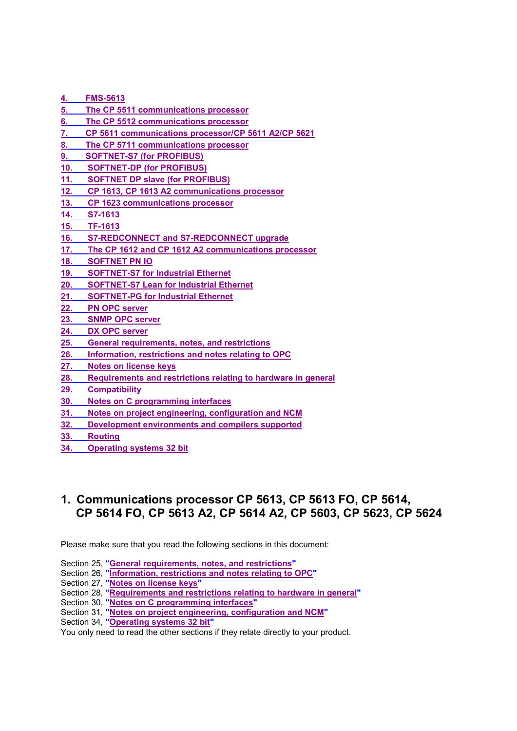- **4. FMS-5613**
- **5. The CP 5511 communications processor**
- **6. The CP 5512 communications processor**
- **7. CP 5611 communications processor/CP 5611 A2/CP 5621**
- **8. The CP 5711 communications processor**
- **9. SOFTNET-S7 (for PROFIBUS)**
- **10. SOFTNET-DP (for PROFIBUS)**
- **11. SOFTNET DP slave (for PROFIBUS)**
- **12. CP 1613, CP 1613 A2 communications processor**
- **13. CP 1623 communications processor**
- **14. S7-1613**
- **15. TF-1613**
- **16. S7-REDCONNECT and S7-REDCONNECT upgrade**
- **17. The CP 1612 and CP 1612 A2 communications processor**
- **18. SOFTNET PN IO**
- **19. SOFTNET-S7 for Industrial Ethernet**
- **20. SOFTNET-S7 Lean for Industrial Ethernet**
- **21. SOFTNET-PG for Industrial Ethernet**
- **22. PN OPC server**
- **23. SNMP OPC server**
- **24. DX OPC server**
- **25. General requirements, notes, and restrictions**
- **26. Information, restrictions and notes relating to OPC**
- **27. Notes on license keys**
- **28. Requirements and restrictions relating to hardware in general**
- **29. Compatibility**
- **30. Notes on C programming interfaces**
- **31. Notes on project engineering, configuration and NCM**
- **32. Development environments and compilers supported**
- **33. Routing**
- **34. Operating systems 32 bit**

# **1. Communications processor CP 5613, CP 5613 FO, CP 5614, CP 5614 FO, CP 5613 A2, CP 5614 A2, CP 5603, CP 5623, CP 5624**

Please make sure that you read the following sections in this document:

Section 25, **"General requirements, notes, and restrictions"**

- Section 26, **"Information, restrictions and notes relating to OPC"**
- Section 27, **"Notes on license keys"**
- Section 28, **"Requirements and restrictions relating to hardware in general"**
- Section 30, **"Notes on C programming interfaces"**
- Section 31, **"Notes on project engineering, configuration and NCM"**
- Section 34, **"Operating systems 32 bit"**

You only need to read the other sections if they relate directly to your product.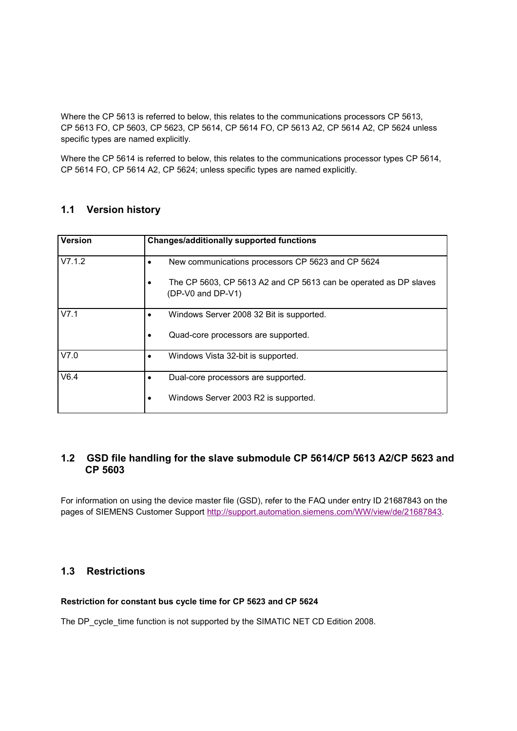Where the CP 5613 is referred to below, this relates to the communications processors CP 5613, CP 5613 FO, CP 5603, CP 5623, CP 5614, CP 5614 FO, CP 5613 A2, CP 5614 A2, CP 5624 unless specific types are named explicitly.

Where the CP 5614 is referred to below, this relates to the communications processor types CP 5614, CP 5614 FO, CP 5614 A2, CP 5624; unless specific types are named explicitly.

# **1.1 Version history**

| <b>Version</b> | <b>Changes/additionally supported functions</b>                                       |
|----------------|---------------------------------------------------------------------------------------|
| V7.1.2         | New communications processors CP 5623 and CP 5624                                     |
|                | The CP 5603, CP 5613 A2 and CP 5613 can be operated as DP slaves<br>(DP-V0 and DP-V1) |
| V7.1           | Windows Server 2008 32 Bit is supported.                                              |
|                | Quad-core processors are supported.                                                   |
| V7.0           | Windows Vista 32-bit is supported.                                                    |
| V6.4           | Dual-core processors are supported.                                                   |
|                | Windows Server 2003 R2 is supported.                                                  |

# **1.2 GSD file handling for the slave submodule CP 5614/CP 5613 A2/CP 5623 and CP 5603**

For information on using the device master file (GSD), refer to the FAQ under entry ID 21687843 on the pages of SIEMENS Customer Support http://support.automation.siemens.com/WW/view/de/21687843.

# **1.3 Restrictions**

#### **Restriction for constant bus cycle time for CP 5623 and CP 5624**

The DP\_cycle\_time function is not supported by the SIMATIC NET CD Edition 2008.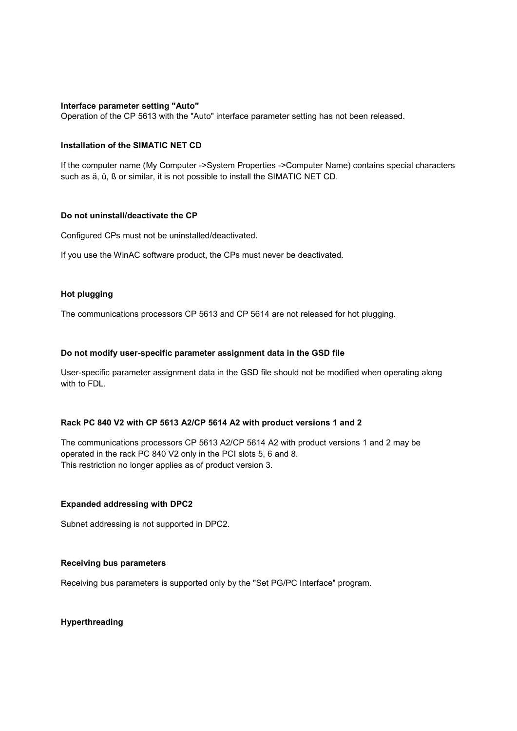#### **Interface parameter setting "Auto"**

Operation of the CP 5613 with the "Auto" interface parameter setting has not been released.

### **Installation of the SIMATIC NET CD**

If the computer name (My Computer ->System Properties ->Computer Name) contains special characters such as ä, ü, ß or similar, it is not possible to install the SIMATIC NET CD.

### **Do not uninstall/deactivate the CP**

Configured CPs must not be uninstalled/deactivated.

If you use the WinAC software product, the CPs must never be deactivated.

#### **Hot plugging**

The communications processors CP 5613 and CP 5614 are not released for hot plugging.

#### **Do not modify user-specific parameter assignment data in the GSD file**

User-specific parameter assignment data in the GSD file should not be modified when operating along with to FDL.

### **Rack PC 840 V2 with CP 5613 A2/CP 5614 A2 with product versions 1 and 2**

The communications processors CP 5613 A2/CP 5614 A2 with product versions 1 and 2 may be operated in the rack PC 840 V2 only in the PCI slots 5, 6 and 8. This restriction no longer applies as of product version 3.

#### **Expanded addressing with DPC2**

Subnet addressing is not supported in DPC2.

#### **Receiving bus parameters**

Receiving bus parameters is supported only by the "Set PG/PC Interface" program.

## **Hyperthreading**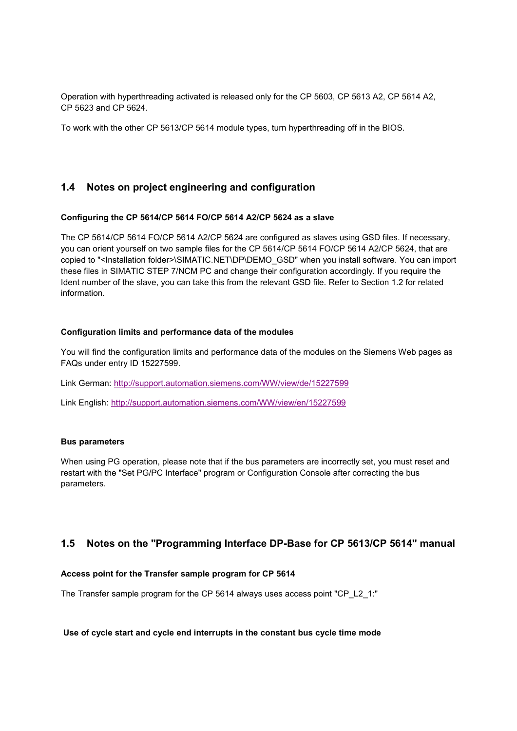Operation with hyperthreading activated is released only for the CP 5603, CP 5613 A2, CP 5614 A2, CP 5623 and CP 5624.

To work with the other CP 5613/CP 5614 module types, turn hyperthreading off in the BIOS.

# **1.4 Notes on project engineering and configuration**

### **Configuring the CP 5614/CP 5614 FO/CP 5614 A2/CP 5624 as a slave**

The CP 5614/CP 5614 FO/CP 5614 A2/CP 5624 are configured as slaves using GSD files. If necessary, you can orient yourself on two sample files for the CP 5614/CP 5614 FO/CP 5614 A2/CP 5624, that are copied to "<Installation folder>\SIMATIC.NET\DP\DEMO\_GSD" when you install software. You can import these files in SIMATIC STEP 7/NCM PC and change their configuration accordingly. If you require the Ident number of the slave, you can take this from the relevant GSD file. Refer to Section 1.2 for related information.

### **Configuration limits and performance data of the modules**

You will find the configuration limits and performance data of the modules on the Siemens Web pages as FAQs under entry ID 15227599.

Link German: http://support.automation.siemens.com/WW/view/de/15227599

Link English: http://support.automation.siemens.com/WW/view/en/15227599

#### **Bus parameters**

When using PG operation, please note that if the bus parameters are incorrectly set, you must reset and restart with the "Set PG/PC Interface" program or Configuration Console after correcting the bus parameters.

# **1.5 Notes on the "Programming Interface DP-Base for CP 5613/CP 5614" manual**

#### **Access point for the Transfer sample program for CP 5614**

The Transfer sample program for the CP 5614 always uses access point "CP\_L2\_1:"

#### **Use of cycle start and cycle end interrupts in the constant bus cycle time mode**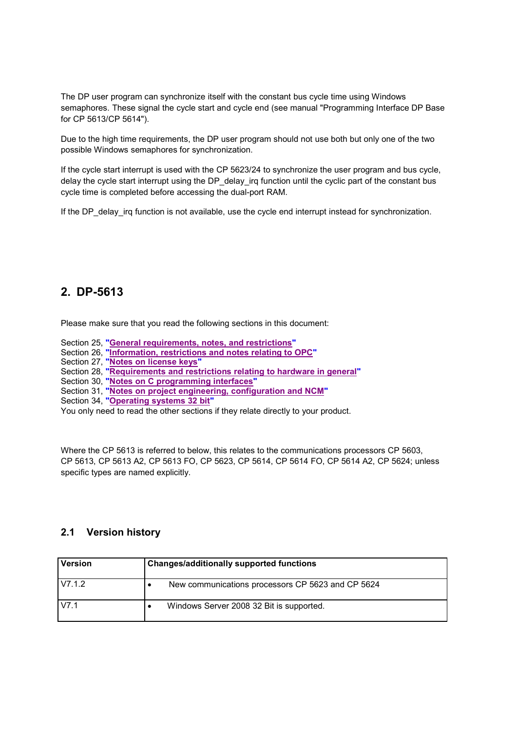The DP user program can synchronize itself with the constant bus cycle time using Windows semaphores. These signal the cycle start and cycle end (see manual "Programming Interface DP Base for CP 5613/CP 5614").

Due to the high time requirements, the DP user program should not use both but only one of the two possible Windows semaphores for synchronization.

If the cycle start interrupt is used with the CP 5623/24 to synchronize the user program and bus cycle, delay the cycle start interrupt using the DP\_delay\_irq function until the cyclic part of the constant bus cycle time is completed before accessing the dual-port RAM.

If the DP\_delay\_irq function is not available, use the cycle end interrupt instead for synchronization.

# **2. DP-5613**

Please make sure that you read the following sections in this document:

- Section 25, **"General requirements, notes, and restrictions"**
- Section 26, **"Information, restrictions and notes relating to OPC"**
- Section 27, **"Notes on license keys"**
- Section 28, **"Requirements and restrictions relating to hardware in general"**
- Section 30, **"Notes on C programming interfaces"**
- Section 31, **"Notes on project engineering, configuration and NCM"**
- Section 34, **"Operating systems 32 bit"**

You only need to read the other sections if they relate directly to your product.

Where the CP 5613 is referred to below, this relates to the communications processors CP 5603, CP 5613, CP 5613 A2, CP 5613 FO, CP 5623, CP 5614, CP 5614 FO, CP 5614 A2, CP 5624; unless specific types are named explicitly.

| <b>Version</b> | <b>Changes/additionally supported functions</b>   |
|----------------|---------------------------------------------------|
| V7.1.2         | New communications processors CP 5623 and CP 5624 |
| V7.1           | Windows Server 2008 32 Bit is supported.          |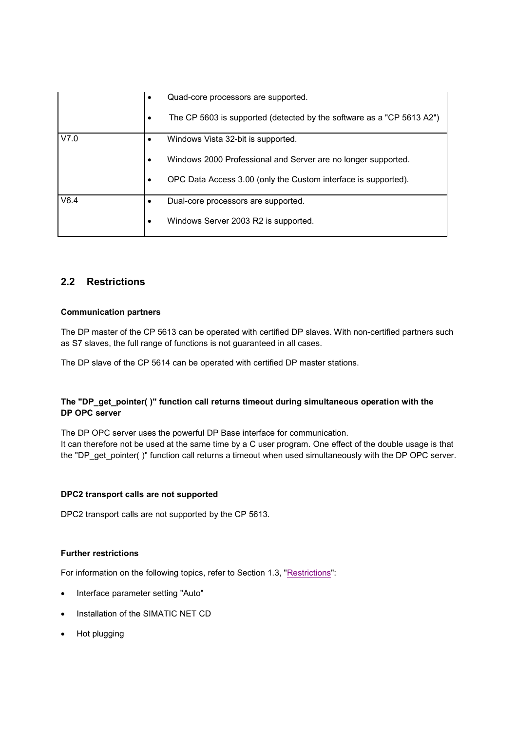|      | $\bullet$ | Quad-core processors are supported.                                   |
|------|-----------|-----------------------------------------------------------------------|
|      | ٠         | The CP 5603 is supported (detected by the software as a "CP 5613 A2") |
| V7.0 |           | Windows Vista 32-bit is supported.                                    |
|      | $\bullet$ | Windows 2000 Professional and Server are no longer supported.         |
|      |           | OPC Data Access 3.00 (only the Custom interface is supported).        |
| V6.4 |           | Dual-core processors are supported.                                   |
|      | $\bullet$ | Windows Server 2003 R2 is supported.                                  |

# **2.2 Restrictions**

### **Communication partners**

The DP master of the CP 5613 can be operated with certified DP slaves. With non-certified partners such as S7 slaves, the full range of functions is not guaranteed in all cases.

The DP slave of the CP 5614 can be operated with certified DP master stations.

## **The "DP\_get\_pointer( )" function call returns timeout during simultaneous operation with the DP OPC server**

The DP OPC server uses the powerful DP Base interface for communication. It can therefore not be used at the same time by a C user program. One effect of the double usage is that the "DP\_get\_pointer( )" function call returns a timeout when used simultaneously with the DP OPC server.

## **DPC2 transport calls are not supported**

DPC2 transport calls are not supported by the CP 5613.

## **Further restrictions**

For information on the following topics, refer to Section 1.3, "Restrictions":

- Interface parameter setting "Auto"
- Installation of the SIMATIC NET CD
- Hot plugging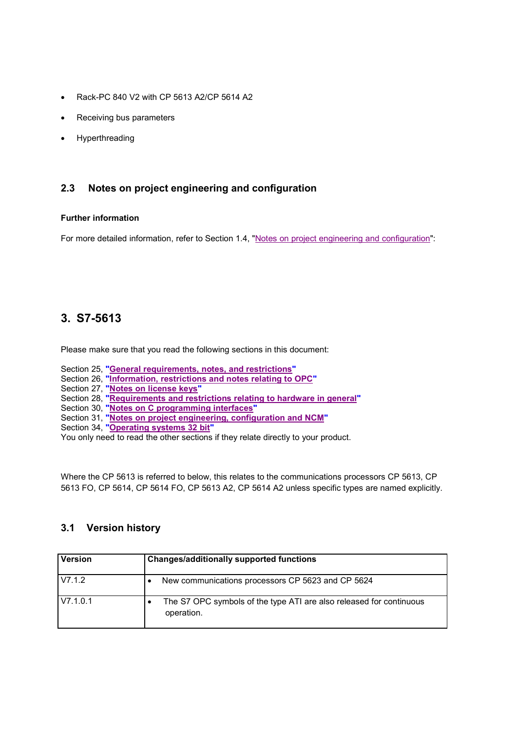- Rack-PC 840 V2 with CP 5613 A2/CP 5614 A2
- Receiving bus parameters
- Hyperthreading

# **2.3 Notes on project engineering and configuration**

### **Further information**

For more detailed information, refer to Section 1.4, "Notes on project engineering and configuration":

# **3. S7-5613**

Please make sure that you read the following sections in this document:

- Section 25, **"General requirements, notes, and restrictions"**
- Section 26, **"Information, restrictions and notes relating to OPC"**
- Section 27, **"Notes on license keys"**
- Section 28, **"Requirements and restrictions relating to hardware in general"**
- Section 30, **"Notes on C programming interfaces"**
- Section 31, **"Notes on project engineering, configuration and NCM"**
- Section 34, **"Operating systems 32 bit"**

You only need to read the other sections if they relate directly to your product.

Where the CP 5613 is referred to below, this relates to the communications processors CP 5613, CP 5613 FO, CP 5614, CP 5614 FO, CP 5613 A2, CP 5614 A2 unless specific types are named explicitly.

| <b>Version</b> | <b>Changes/additionally supported functions</b>                                   |
|----------------|-----------------------------------------------------------------------------------|
| V7.1.2         | New communications processors CP 5623 and CP 5624                                 |
| V7.1.0.1       | The S7 OPC symbols of the type ATI are also released for continuous<br>operation. |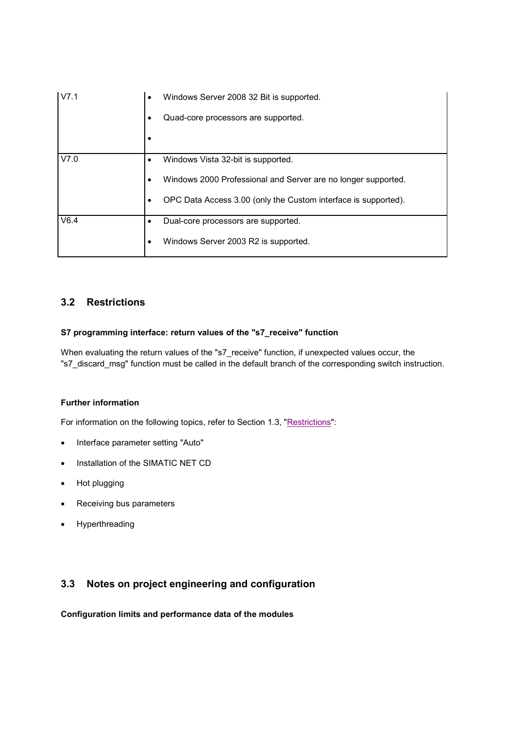| V7.1 | Windows Server 2008 32 Bit is supported.<br>٠                       |
|------|---------------------------------------------------------------------|
|      | Quad-core processors are supported.                                 |
|      |                                                                     |
| V7.0 | Windows Vista 32-bit is supported.                                  |
|      | Windows 2000 Professional and Server are no longer supported.       |
|      | OPC Data Access 3.00 (only the Custom interface is supported).<br>٠ |
| V6.4 | Dual-core processors are supported.                                 |
|      | Windows Server 2003 R2 is supported.                                |

# **3.2 Restrictions**

## **S7 programming interface: return values of the "s7\_receive" function**

When evaluating the return values of the "s7 receive" function, if unexpected values occur, the "s7\_discard\_msg" function must be called in the default branch of the corresponding switch instruction.

## **Further information**

For information on the following topics, refer to Section 1.3, "Restrictions":

- Interface parameter setting "Auto"
- Installation of the SIMATIC NET CD
- Hot plugging
- Receiving bus parameters
- Hyperthreading

# **3.3 Notes on project engineering and configuration**

**Configuration limits and performance data of the modules**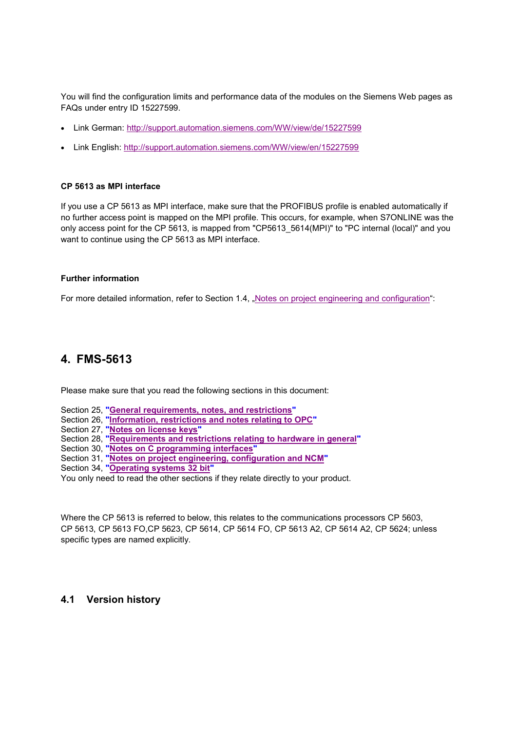You will find the configuration limits and performance data of the modules on the Siemens Web pages as FAQs under entry ID 15227599.

- Link German: http://support.automation.siemens.com/WW/view/de/15227599
- Link English: http://support.automation.siemens.com/WW/view/en/15227599

### **CP 5613 as MPI interface**

If you use a CP 5613 as MPI interface, make sure that the PROFIBUS profile is enabled automatically if no further access point is mapped on the MPI profile. This occurs, for example, when S7ONLINE was the only access point for the CP 5613, is mapped from "CP5613\_5614(MPI)" to "PC internal (local)" and you want to continue using the CP 5613 as MPI interface.

### **Further information**

For more detailed information, refer to Section 1.4, "Notes on project engineering and configuration":

# **4. FMS-5613**

Please make sure that you read the following sections in this document:

- Section 25, **"General requirements, notes, and restrictions"**
- Section 26, **"Information, restrictions and notes relating to OPC"**
- Section 27, **"Notes on license keys"**
- Section 28, **"Requirements and restrictions relating to hardware in general"**
- Section 30, **"Notes on C programming interfaces"**
- Section 31, **"Notes on project engineering, configuration and NCM"**
- Section 34, **"Operating systems 32 bit"**

You only need to read the other sections if they relate directly to your product.

Where the CP 5613 is referred to below, this relates to the communications processors CP 5603, CP 5613, CP 5613 FO,CP 5623, CP 5614, CP 5614 FO, CP 5613 A2, CP 5614 A2, CP 5624; unless specific types are named explicitly.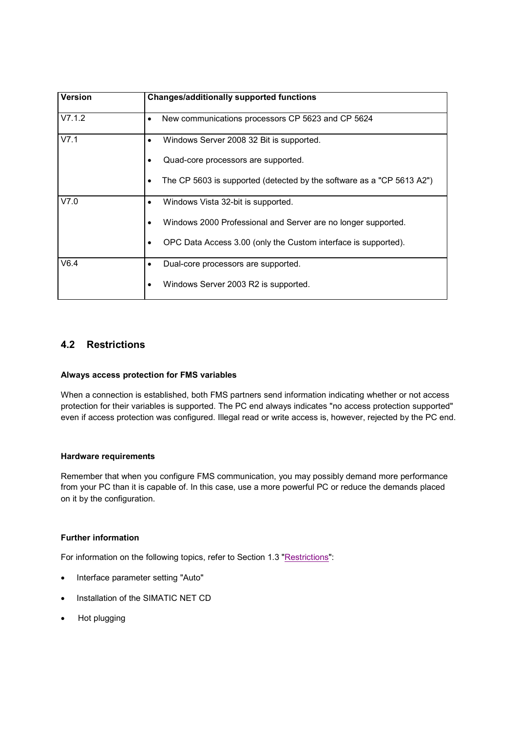| <b>Version</b> | <b>Changes/additionally supported functions</b>                            |
|----------------|----------------------------------------------------------------------------|
| V7.1.2         | New communications processors CP 5623 and CP 5624<br>٠                     |
| V7.1           | Windows Server 2008 32 Bit is supported.                                   |
|                | Quad-core processors are supported.                                        |
|                | The CP 5603 is supported (detected by the software as a "CP 5613 A2")<br>٠ |
| V7.0           | Windows Vista 32-bit is supported.                                         |
|                | Windows 2000 Professional and Server are no longer supported.              |
|                | OPC Data Access 3.00 (only the Custom interface is supported).             |
| V6.4           | Dual-core processors are supported.                                        |
|                | Windows Server 2003 R2 is supported.                                       |

# **4.2 Restrictions**

## **Always access protection for FMS variables**

When a connection is established, both FMS partners send information indicating whether or not access protection for their variables is supported. The PC end always indicates "no access protection supported" even if access protection was configured. Illegal read or write access is, however, rejected by the PC end.

#### **Hardware requirements**

Remember that when you configure FMS communication, you may possibly demand more performance from your PC than it is capable of. In this case, use a more powerful PC or reduce the demands placed on it by the configuration.

## **Further information**

For information on the following topics, refer to Section 1.3 "Restrictions":

- Interface parameter setting "Auto"
- Installation of the SIMATIC NET CD
- Hot plugging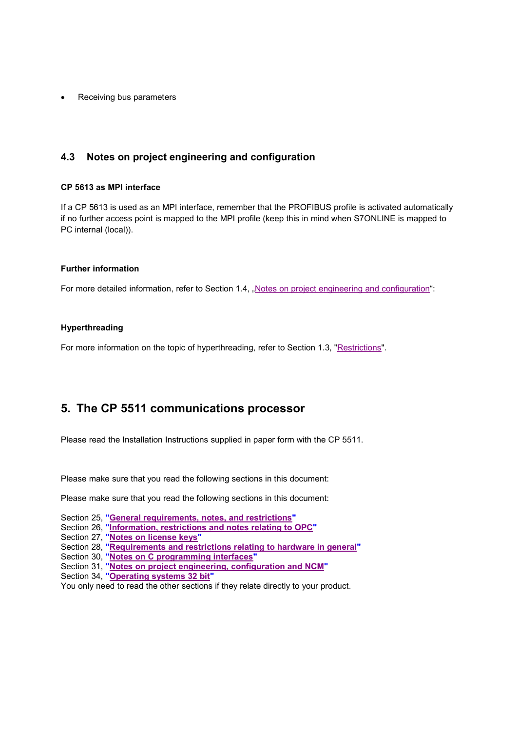Receiving bus parameters

# **4.3 Notes on project engineering and configuration**

### **CP 5613 as MPI interface**

If a CP 5613 is used as an MPI interface, remember that the PROFIBUS profile is activated automatically if no further access point is mapped to the MPI profile (keep this in mind when S7ONLINE is mapped to PC internal (local)).

#### **Further information**

For more detailed information, refer to Section 1.4, "Notes on project engineering and configuration":

### **Hyperthreading**

For more information on the topic of hyperthreading, refer to Section 1.3, "Restrictions".

# **5. The CP 5511 communications processor**

Please read the Installation Instructions supplied in paper form with the CP 5511.

Please make sure that you read the following sections in this document:

Please make sure that you read the following sections in this document:

- Section 25, **"General requirements, notes, and restrictions"**
- Section 26, **"Information, restrictions and notes relating to OPC"**
- Section 27, **"Notes on license keys"**
- Section 28, **"Requirements and restrictions relating to hardware in general"**
- Section 30, **"Notes on C programming interfaces"**
- Section 31, **"Notes on project engineering, configuration and NCM"**
- Section 34, **"Operating systems 32 bit"**

You only need to read the other sections if they relate directly to your product.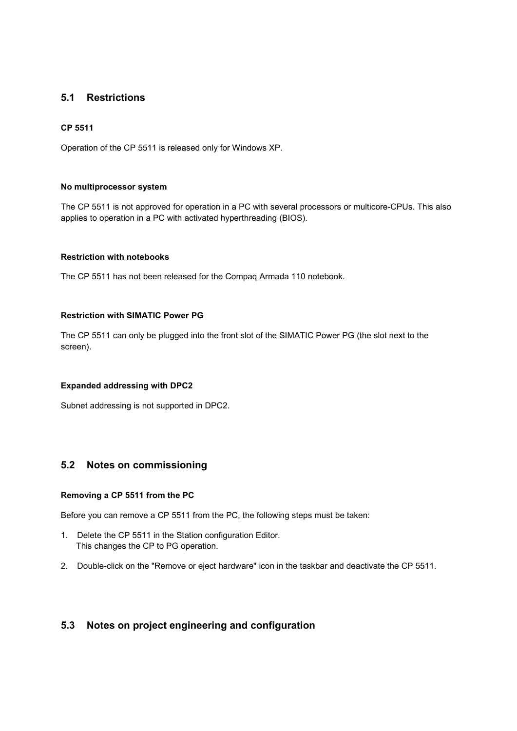# **5.1 Restrictions**

### **CP 5511**

Operation of the CP 5511 is released only for Windows XP.

### **No multiprocessor system**

The CP 5511 is not approved for operation in a PC with several processors or multicore-CPUs. This also applies to operation in a PC with activated hyperthreading (BIOS).

## **Restriction with notebooks**

The CP 5511 has not been released for the Compaq Armada 110 notebook.

### **Restriction with SIMATIC Power PG**

The CP 5511 can only be plugged into the front slot of the SIMATIC Power PG (the slot next to the screen).

#### **Expanded addressing with DPC2**

Subnet addressing is not supported in DPC2.

# **5.2 Notes on commissioning**

#### **Removing a CP 5511 from the PC**

Before you can remove a CP 5511 from the PC, the following steps must be taken:

- 1. Delete the CP 5511 in the Station configuration Editor. This changes the CP to PG operation.
- 2. Double-click on the "Remove or eject hardware" icon in the taskbar and deactivate the CP 5511.

# **5.3 Notes on project engineering and configuration**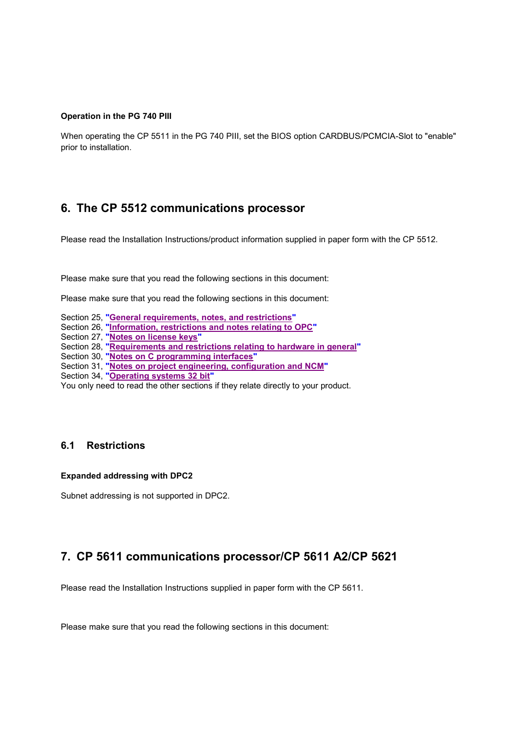#### **Operation in the PG 740 PIII**

When operating the CP 5511 in the PG 740 PIII, set the BIOS option CARDBUS/PCMCIA-Slot to "enable" prior to installation.

# **6. The CP 5512 communications processor**

Please read the Installation Instructions/product information supplied in paper form with the CP 5512.

Please make sure that you read the following sections in this document:

Please make sure that you read the following sections in this document:

- Section 25, **"General requirements, notes, and restrictions"**
- Section 26, **"Information, restrictions and notes relating to OPC"**
- Section 27, **"Notes on license keys"**
- Section 28, **"Requirements and restrictions relating to hardware in general"**
- Section 30, **"Notes on C programming interfaces"**

Section 31, **"Notes on project engineering, configuration and NCM"**

Section 34, **"Operating systems 32 bit"**

You only need to read the other sections if they relate directly to your product.

# **6.1 Restrictions**

#### **Expanded addressing with DPC2**

Subnet addressing is not supported in DPC2.

# **7. CP 5611 communications processor/CP 5611 A2/CP 5621**

Please read the Installation Instructions supplied in paper form with the CP 5611.

Please make sure that you read the following sections in this document: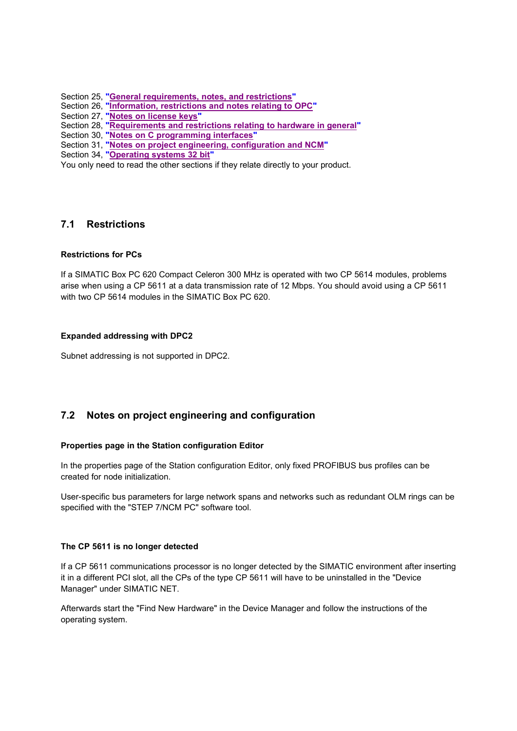Section 25, **"General requirements, notes, and restrictions"**

- Section 26, **"Information, restrictions and notes relating to OPC"**
- Section 27, **"Notes on license keys"**

Section 28, **"Requirements and restrictions relating to hardware in general"**

- Section 30, **"Notes on C programming interfaces"**
- Section 31, **"Notes on project engineering, configuration and NCM"**
- Section 34, **"Operating systems 32 bit"**

You only need to read the other sections if they relate directly to your product.

# **7.1 Restrictions**

## **Restrictions for PCs**

If a SIMATIC Box PC 620 Compact Celeron 300 MHz is operated with two CP 5614 modules, problems arise when using a CP 5611 at a data transmission rate of 12 Mbps. You should avoid using a CP 5611 with two CP 5614 modules in the SIMATIC Box PC 620.

### **Expanded addressing with DPC2**

Subnet addressing is not supported in DPC2.

# **7.2 Notes on project engineering and configuration**

## **Properties page in the Station configuration Editor**

In the properties page of the Station configuration Editor, only fixed PROFIBUS bus profiles can be created for node initialization.

User-specific bus parameters for large network spans and networks such as redundant OLM rings can be specified with the "STEP 7/NCM PC" software tool.

#### **The CP 5611 is no longer detected**

If a CP 5611 communications processor is no longer detected by the SIMATIC environment after inserting it in a different PCI slot, all the CPs of the type CP 5611 will have to be uninstalled in the "Device Manager" under SIMATIC NET.

Afterwards start the "Find New Hardware" in the Device Manager and follow the instructions of the operating system.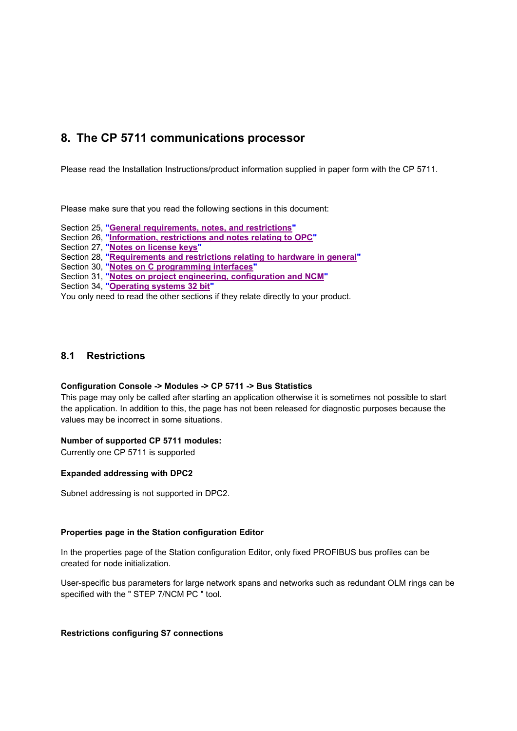# **8. The CP 5711 communications processor**

Please read the Installation Instructions/product information supplied in paper form with the CP 5711.

Please make sure that you read the following sections in this document:

Section 25, **"General requirements, notes, and restrictions"**

Section 26, **"Information, restrictions and notes relating to OPC"**

Section 27, **"Notes on license keys"**

Section 28, **"Requirements and restrictions relating to hardware in general"**

Section 30, **"Notes on C programming interfaces"**

Section 31, **"Notes on project engineering, configuration and NCM"**

Section 34, **"Operating systems 32 bit"**

You only need to read the other sections if they relate directly to your product.

# **8.1 Restrictions**

#### **Configuration Console -> Modules -> CP 5711 -> Bus Statistics**

This page may only be called after starting an application otherwise it is sometimes not possible to start the application. In addition to this, the page has not been released for diagnostic purposes because the values may be incorrect in some situations.

### **Number of supported CP 5711 modules:**

Currently one CP 5711 is supported

#### **Expanded addressing with DPC2**

Subnet addressing is not supported in DPC2.

#### **Properties page in the Station configuration Editor**

In the properties page of the Station configuration Editor, only fixed PROFIBUS bus profiles can be created for node initialization.

User-specific bus parameters for large network spans and networks such as redundant OLM rings can be specified with the " STEP 7/NCM PC " tool.

#### **Restrictions configuring S7 connections**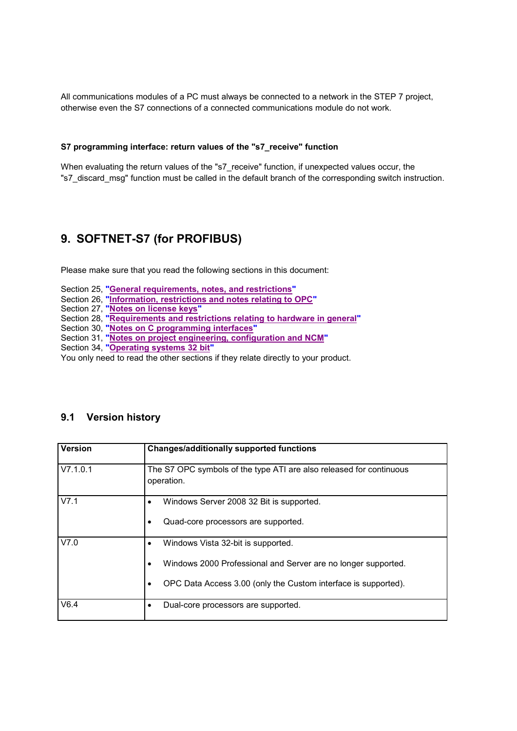All communications modules of a PC must always be connected to a network in the STEP 7 project, otherwise even the S7 connections of a connected communications module do not work.

### **S7 programming interface: return values of the "s7\_receive" function**

When evaluating the return values of the "s7\_receive" function, if unexpected values occur, the "s7\_discard\_msg" function must be called in the default branch of the corresponding switch instruction.

# **9. SOFTNET-S7 (for PROFIBUS)**

Please make sure that you read the following sections in this document:

- Section 25, **"General requirements, notes, and restrictions"**
- Section 26, **"Information, restrictions and notes relating to OPC"**
- Section 27, **"Notes on license keys"**
- Section 28, **"Requirements and restrictions relating to hardware in general"**
- Section 30, **"Notes on C programming interfaces"**
- Section 31, **"Notes on project engineering, configuration and NCM"**
- Section 34, **"Operating systems 32 bit"**

You only need to read the other sections if they relate directly to your product.

| Version  | <b>Changes/additionally supported functions</b>                                                                                                                       |
|----------|-----------------------------------------------------------------------------------------------------------------------------------------------------------------------|
| V7.1.0.1 | The S7 OPC symbols of the type ATI are also released for continuous<br>operation.                                                                                     |
| V7.1     | Windows Server 2008 32 Bit is supported.<br>Quad-core processors are supported.                                                                                       |
| V7.0     | Windows Vista 32-bit is supported.<br>Windows 2000 Professional and Server are no longer supported.<br>OPC Data Access 3.00 (only the Custom interface is supported). |
| V6.4     | Dual-core processors are supported.<br>٠                                                                                                                              |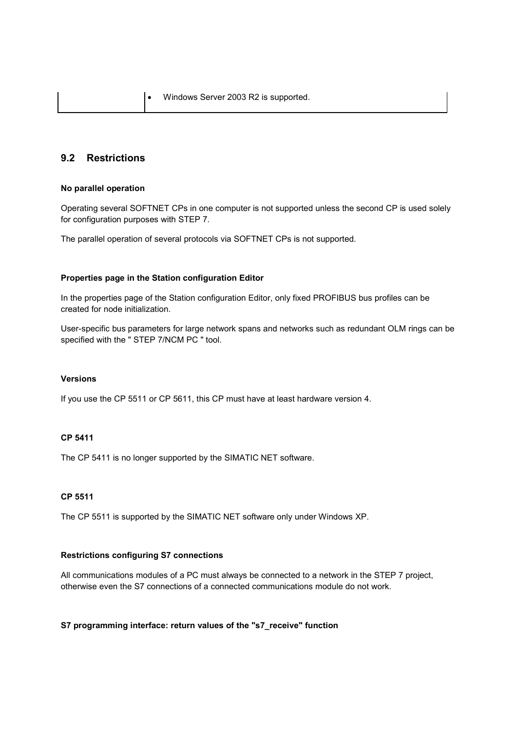# **9.2 Restrictions**

#### **No parallel operation**

Operating several SOFTNET CPs in one computer is not supported unless the second CP is used solely for configuration purposes with STEP 7.

The parallel operation of several protocols via SOFTNET CPs is not supported.

#### **Properties page in the Station configuration Editor**

In the properties page of the Station configuration Editor, only fixed PROFIBUS bus profiles can be created for node initialization.

User-specific bus parameters for large network spans and networks such as redundant OLM rings can be specified with the " STEP 7/NCM PC " tool.

### **Versions**

If you use the CP 5511 or CP 5611, this CP must have at least hardware version 4.

### **CP 5411**

The CP 5411 is no longer supported by the SIMATIC NET software.

#### **CP 5511**

The CP 5511 is supported by the SIMATIC NET software only under Windows XP.

### **Restrictions configuring S7 connections**

All communications modules of a PC must always be connected to a network in the STEP 7 project, otherwise even the S7 connections of a connected communications module do not work.

### **S7 programming interface: return values of the "s7\_receive" function**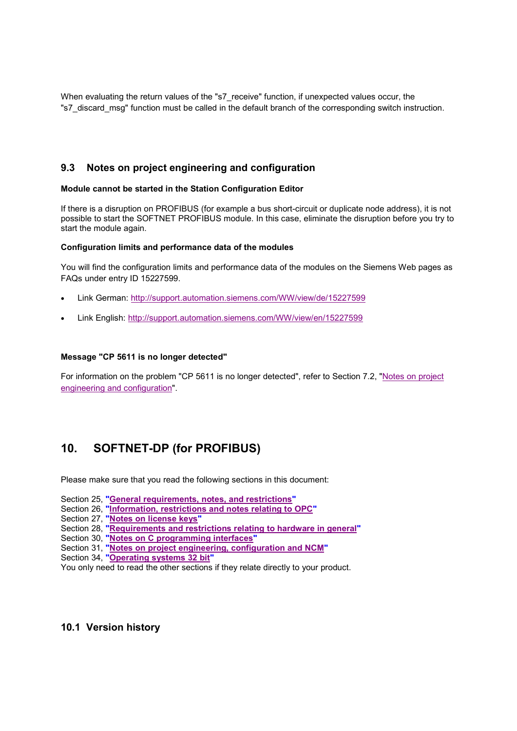When evaluating the return values of the "s7\_receive" function, if unexpected values occur, the "s7\_discard\_msg" function must be called in the default branch of the corresponding switch instruction.

# **9.3 Notes on project engineering and configuration**

### **Module cannot be started in the Station Configuration Editor**

If there is a disruption on PROFIBUS (for example a bus short-circuit or duplicate node address), it is not possible to start the SOFTNET PROFIBUS module. In this case, eliminate the disruption before you try to start the module again.

### **Configuration limits and performance data of the modules**

You will find the configuration limits and performance data of the modules on the Siemens Web pages as FAQs under entry ID 15227599.

- Link German: http://support.automation.siemens.com/WW/view/de/15227599
- Link English: http://support.automation.siemens.com/WW/view/en/15227599

### **Message "CP 5611 is no longer detected"**

For information on the problem "CP 5611 is no longer detected", refer to Section 7.2, "Notes on project engineering and configuration".

# **10. SOFTNET-DP (for PROFIBUS)**

Please make sure that you read the following sections in this document:

- Section 25, **"General requirements, notes, and restrictions"**
- Section 26, **"Information, restrictions and notes relating to OPC"**
- Section 27, **"Notes on license keys"**
- Section 28, **"Requirements and restrictions relating to hardware in general"**
- Section 30, **"Notes on C programming interfaces"**
- Section 31, **"Notes on project engineering, configuration and NCM"**
- Section 34, **"Operating systems 32 bit"**
- You only need to read the other sections if they relate directly to your product.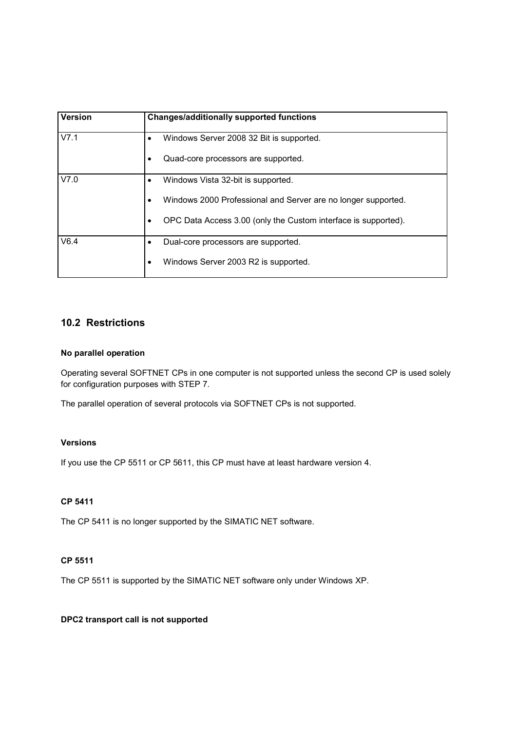| Version | <b>Changes/additionally supported functions</b>                             |
|---------|-----------------------------------------------------------------------------|
| V7.1    | Windows Server 2008 32 Bit is supported.                                    |
|         | Quad-core processors are supported.<br>٠                                    |
| V7.0    | Windows Vista 32-bit is supported.<br>$\bullet$                             |
|         | Windows 2000 Professional and Server are no longer supported.<br>$\bullet$  |
|         | OPC Data Access 3.00 (only the Custom interface is supported).<br>$\bullet$ |
| V6.4    | Dual-core processors are supported.<br>٠                                    |
|         | Windows Server 2003 R2 is supported.<br>$\bullet$                           |

# **10.2 Restrictions**

### **No parallel operation**

Operating several SOFTNET CPs in one computer is not supported unless the second CP is used solely for configuration purposes with STEP 7.

The parallel operation of several protocols via SOFTNET CPs is not supported.

## **Versions**

If you use the CP 5511 or CP 5611, this CP must have at least hardware version 4.

# **CP 5411**

The CP 5411 is no longer supported by the SIMATIC NET software.

### **CP 5511**

The CP 5511 is supported by the SIMATIC NET software only under Windows XP.

## **DPC2 transport call is not supported**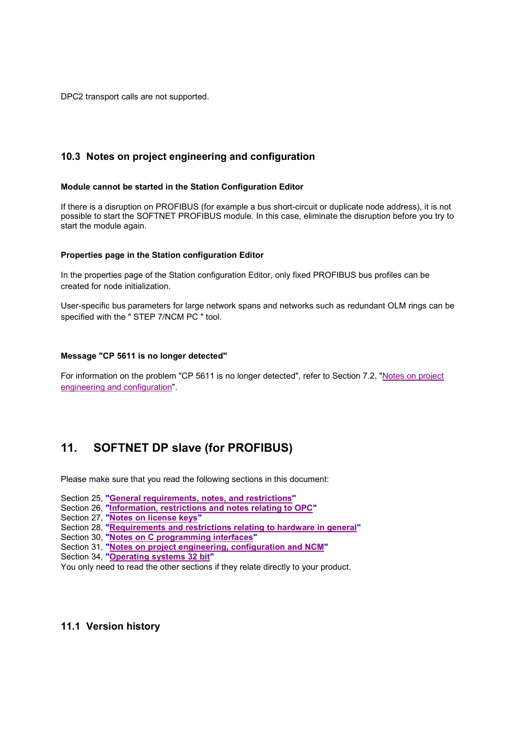DPC2 transport calls are not supported.

# **10.3 Notes on project engineering and configuration**

### **Module cannot be started in the Station Configuration Editor**

If there is a disruption on PROFIBUS (for example a bus short-circuit or duplicate node address), it is not possible to start the SOFTNET PROFIBUS module. In this case, eliminate the disruption before you try to start the module again.

### **Properties page in the Station configuration Editor**

In the properties page of the Station configuration Editor, only fixed PROFIBUS bus profiles can be created for node initialization.

User-specific bus parameters for large network spans and networks such as redundant OLM rings can be specified with the " STEP 7/NCM PC " tool.

#### **Message "CP 5611 is no longer detected"**

For information on the problem "CP 5611 is no longer detected", refer to Section 7.2, "Notes on project engineering and configuration".

# **11. SOFTNET DP slave (for PROFIBUS)**

Please make sure that you read the following sections in this document:

- Section 25, **"General requirements, notes, and restrictions"**
- Section 26, **"Information, restrictions and notes relating to OPC"**
- Section 27, **"Notes on license keys"**
- Section 28, **"Requirements and restrictions relating to hardware in general"**
- Section 30, **"Notes on C programming interfaces"**
- Section 31, **"Notes on project engineering, configuration and NCM"**
- Section 34, **"Operating systems 32 bit"**
- You only need to read the other sections if they relate directly to your product.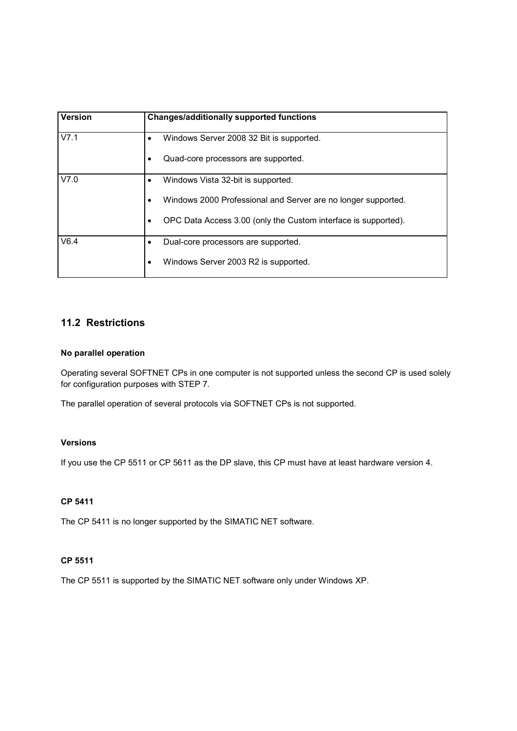| Version | <b>Changes/additionally supported functions</b>                             |
|---------|-----------------------------------------------------------------------------|
| V7.1    | Windows Server 2008 32 Bit is supported.                                    |
|         | Quad-core processors are supported.<br>$\bullet$                            |
| V7.0    | Windows Vista 32-bit is supported.<br>$\bullet$                             |
|         | Windows 2000 Professional and Server are no longer supported.<br>٠          |
|         | OPC Data Access 3.00 (only the Custom interface is supported).<br>$\bullet$ |
| V6.4    | Dual-core processors are supported.                                         |
|         | Windows Server 2003 R2 is supported.<br>٠                                   |

# **11.2 Restrictions**

### **No parallel operation**

Operating several SOFTNET CPs in one computer is not supported unless the second CP is used solely for configuration purposes with STEP 7.

The parallel operation of several protocols via SOFTNET CPs is not supported.

## **Versions**

If you use the CP 5511 or CP 5611 as the DP slave, this CP must have at least hardware version 4.

# **CP 5411**

The CP 5411 is no longer supported by the SIMATIC NET software.

### **CP 5511**

The CP 5511 is supported by the SIMATIC NET software only under Windows XP.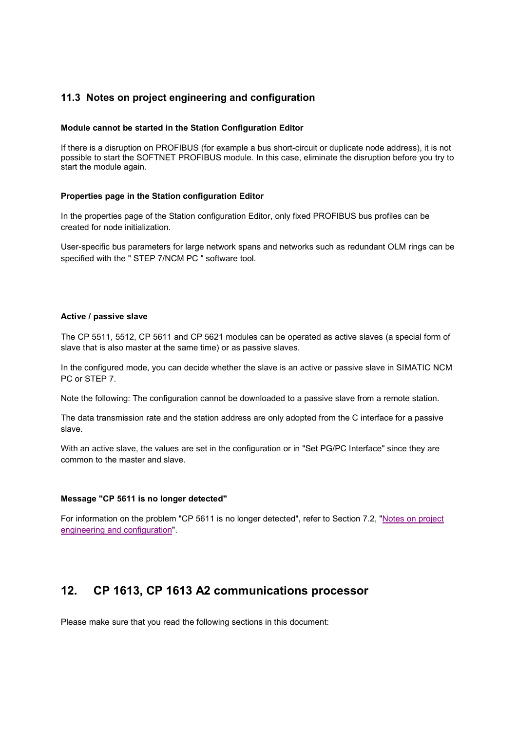# **11.3 Notes on project engineering and configuration**

### **Module cannot be started in the Station Configuration Editor**

If there is a disruption on PROFIBUS (for example a bus short-circuit or duplicate node address), it is not possible to start the SOFTNET PROFIBUS module. In this case, eliminate the disruption before you try to start the module again.

#### **Properties page in the Station configuration Editor**

In the properties page of the Station configuration Editor, only fixed PROFIBUS bus profiles can be created for node initialization.

User-specific bus parameters for large network spans and networks such as redundant OLM rings can be specified with the " STEP 7/NCM PC " software tool.

#### **Active / passive slave**

The CP 5511, 5512, CP 5611 and CP 5621 modules can be operated as active slaves (a special form of slave that is also master at the same time) or as passive slaves.

In the configured mode, you can decide whether the slave is an active or passive slave in SIMATIC NCM PC or STEP 7.

Note the following: The configuration cannot be downloaded to a passive slave from a remote station.

The data transmission rate and the station address are only adopted from the C interface for a passive slave.

With an active slave, the values are set in the configuration or in "Set PG/PC Interface" since they are common to the master and slave.

#### **Message "CP 5611 is no longer detected"**

For information on the problem "CP 5611 is no longer detected", refer to Section 7.2, "Notes on project engineering and configuration".

# **12. CP 1613, CP 1613 A2 communications processor**

Please make sure that you read the following sections in this document: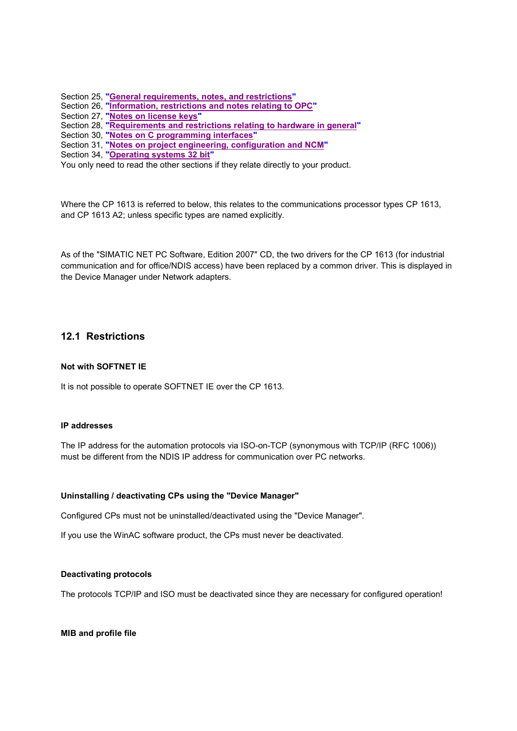Section 25, **"General requirements, notes, and restrictions"**

- Section 26, **"Information, restrictions and notes relating to OPC"**
- Section 27, **"Notes on license keys"**
- Section 28, **"Requirements and restrictions relating to hardware in general"**
- Section 30, **"Notes on C programming interfaces"**
- Section 31, **"Notes on project engineering, configuration and NCM"**
- Section 34, **"Operating systems 32 bit"**

You only need to read the other sections if they relate directly to your product.

Where the CP 1613 is referred to below, this relates to the communications processor types CP 1613, and CP 1613 A2; unless specific types are named explicitly.

As of the "SIMATIC NET PC Software, Edition 2007" CD, the two drivers for the CP 1613 (for industrial communication and for office/NDIS access) have been replaced by a common driver. This is displayed in the Device Manager under Network adapters.

# **12.1 Restrictions**

### **Not with SOFTNET IE**

It is not possible to operate SOFTNET IE over the CP 1613.

## **IP addresses**

The IP address for the automation protocols via ISO-on-TCP (synonymous with TCP/IP (RFC 1006)) must be different from the NDIS IP address for communication over PC networks.

#### **Uninstalling / deactivating CPs using the "Device Manager"**

Configured CPs must not be uninstalled/deactivated using the "Device Manager".

If you use the WinAC software product, the CPs must never be deactivated.

### **Deactivating protocols**

The protocols TCP/IP and ISO must be deactivated since they are necessary for configured operation!

**MIB and profile file**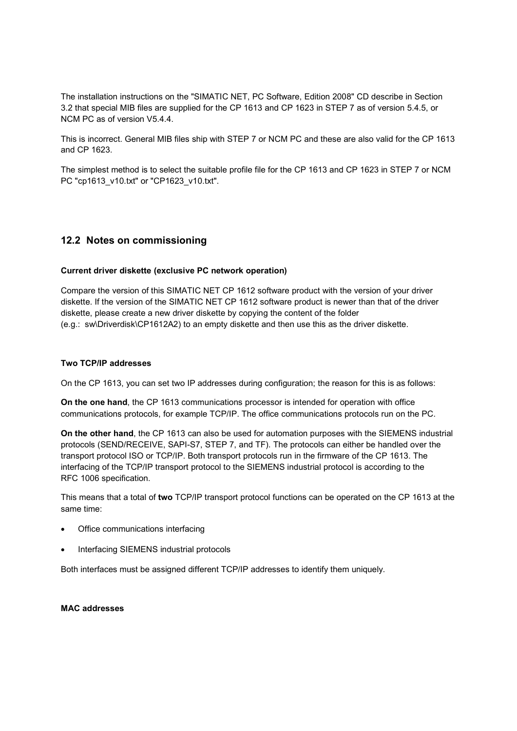The installation instructions on the "SIMATIC NET, PC Software, Edition 2008" CD describe in Section 3.2 that special MIB files are supplied for the CP 1613 and CP 1623 in STEP 7 as of version 5.4.5, or NCM PC as of version V5.4.4.

This is incorrect. General MIB files ship with STEP 7 or NCM PC and these are also valid for the CP 1613 and CP 1623.

The simplest method is to select the suitable profile file for the CP 1613 and CP 1623 in STEP 7 or NCM PC "cp1613\_v10.txt" or "CP1623\_v10.txt".

# **12.2 Notes on commissioning**

#### **Current driver diskette (exclusive PC network operation)**

Compare the version of this SIMATIC NET CP 1612 software product with the version of your driver diskette. If the version of the SIMATIC NET CP 1612 software product is newer than that of the driver diskette, please create a new driver diskette by copying the content of the folder (e.g.: sw\Driverdisk\CP1612A2) to an empty diskette and then use this as the driver diskette.

### **Two TCP/IP addresses**

On the CP 1613, you can set two IP addresses during configuration; the reason for this is as follows:

**On the one hand**, the CP 1613 communications processor is intended for operation with office communications protocols, for example TCP/IP. The office communications protocols run on the PC.

**On the other hand**, the CP 1613 can also be used for automation purposes with the SIEMENS industrial protocols (SEND/RECEIVE, SAPI-S7, STEP 7, and TF). The protocols can either be handled over the transport protocol ISO or TCP/IP. Both transport protocols run in the firmware of the CP 1613. The interfacing of the TCP/IP transport protocol to the SIEMENS industrial protocol is according to the RFC 1006 specification.

This means that a total of **two** TCP/IP transport protocol functions can be operated on the CP 1613 at the same time:

- Office communications interfacing
- Interfacing SIEMENS industrial protocols

Both interfaces must be assigned different TCP/IP addresses to identify them uniquely.

### **MAC addresses**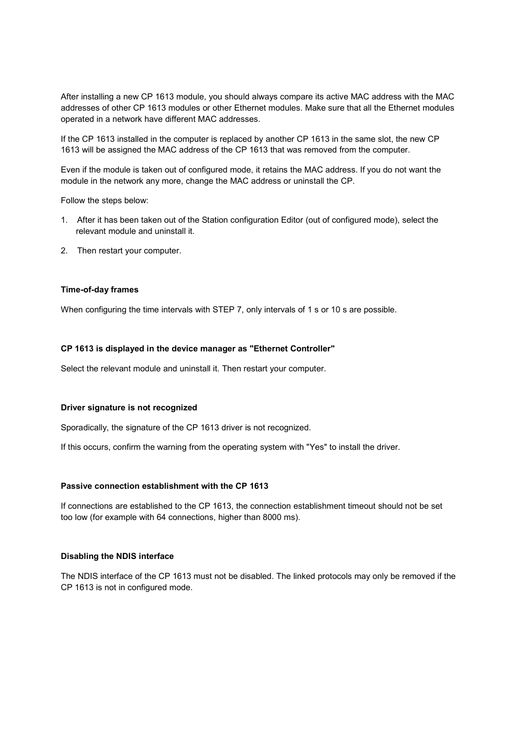After installing a new CP 1613 module, you should always compare its active MAC address with the MAC addresses of other CP 1613 modules or other Ethernet modules. Make sure that all the Ethernet modules operated in a network have different MAC addresses.

If the CP 1613 installed in the computer is replaced by another CP 1613 in the same slot, the new CP 1613 will be assigned the MAC address of the CP 1613 that was removed from the computer.

Even if the module is taken out of configured mode, it retains the MAC address. If you do not want the module in the network any more, change the MAC address or uninstall the CP.

Follow the steps below:

- 1. After it has been taken out of the Station configuration Editor (out of configured mode), select the relevant module and uninstall it.
- 2. Then restart your computer.

#### **Time-of-day frames**

When configuring the time intervals with STEP 7, only intervals of 1 s or 10 s are possible.

#### **CP 1613 is displayed in the device manager as "Ethernet Controller"**

Select the relevant module and uninstall it. Then restart your computer.

#### **Driver signature is not recognized**

Sporadically, the signature of the CP 1613 driver is not recognized.

If this occurs, confirm the warning from the operating system with "Yes" to install the driver.

#### **Passive connection establishment with the CP 1613**

If connections are established to the CP 1613, the connection establishment timeout should not be set too low (for example with 64 connections, higher than 8000 ms).

### **Disabling the NDIS interface**

The NDIS interface of the CP 1613 must not be disabled. The linked protocols may only be removed if the CP 1613 is not in configured mode.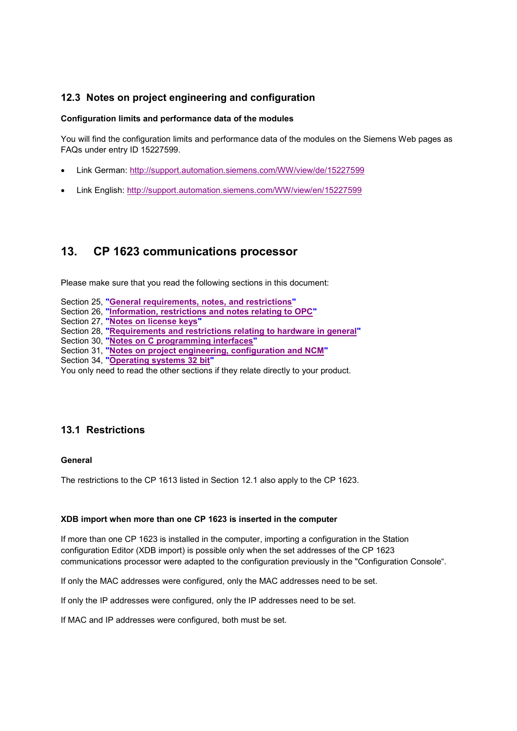# **12.3 Notes on project engineering and configuration**

### **Configuration limits and performance data of the modules**

You will find the configuration limits and performance data of the modules on the Siemens Web pages as FAQs under entry ID 15227599.

- Link German: http://support.automation.siemens.com/WW/view/de/15227599
- Link English: http://support.automation.siemens.com/WW/view/en/15227599

# **13. CP 1623 communications processor**

Please make sure that you read the following sections in this document:

- Section 25, **"General requirements, notes, and restrictions"**
- Section 26, **"Information, restrictions and notes relating to OPC"**
- Section 27, **"Notes on license keys"**
- Section 28, **"Requirements and restrictions relating to hardware in general"**
- Section 30, **"Notes on C programming interfaces"**
- Section 31, **"Notes on project engineering, configuration and NCM"**
- Section 34, **"Operating systems 32 bit"**

You only need to read the other sections if they relate directly to your product.

# **13.1 Restrictions**

#### **General**

The restrictions to the CP 1613 listed in Section 12.1 also apply to the CP 1623.

#### **XDB import when more than one CP 1623 is inserted in the computer**

If more than one CP 1623 is installed in the computer, importing a configuration in the Station configuration Editor (XDB import) is possible only when the set addresses of the CP 1623 communications processor were adapted to the configuration previously in the "Configuration Console".

If only the MAC addresses were configured, only the MAC addresses need to be set.

If only the IP addresses were configured, only the IP addresses need to be set.

If MAC and IP addresses were configured, both must be set.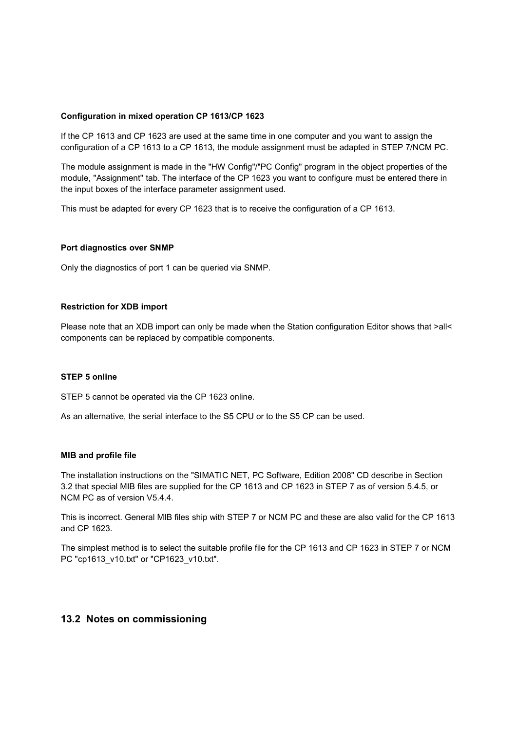#### **Configuration in mixed operation CP 1613/CP 1623**

If the CP 1613 and CP 1623 are used at the same time in one computer and you want to assign the configuration of a CP 1613 to a CP 1613, the module assignment must be adapted in STEP 7/NCM PC.

The module assignment is made in the "HW Config"/"PC Config" program in the object properties of the module, "Assignment" tab. The interface of the CP 1623 you want to configure must be entered there in the input boxes of the interface parameter assignment used.

This must be adapted for every CP 1623 that is to receive the configuration of a CP 1613.

#### **Port diagnostics over SNMP**

Only the diagnostics of port 1 can be queried via SNMP.

#### **Restriction for XDB import**

Please note that an XDB import can only be made when the Station configuration Editor shows that >all< components can be replaced by compatible components.

### **STEP 5 online**

STEP 5 cannot be operated via the CP 1623 online.

As an alternative, the serial interface to the S5 CPU or to the S5 CP can be used.

#### **MIB and profile file**

The installation instructions on the "SIMATIC NET, PC Software, Edition 2008" CD describe in Section 3.2 that special MIB files are supplied for the CP 1613 and CP 1623 in STEP 7 as of version 5.4.5, or NCM PC as of version V5.4.4.

This is incorrect. General MIB files ship with STEP 7 or NCM PC and these are also valid for the CP 1613 and CP 1623.

The simplest method is to select the suitable profile file for the CP 1613 and CP 1623 in STEP 7 or NCM PC "cp1613\_v10.txt" or "CP1623\_v10.txt".

## **13.2 Notes on commissioning**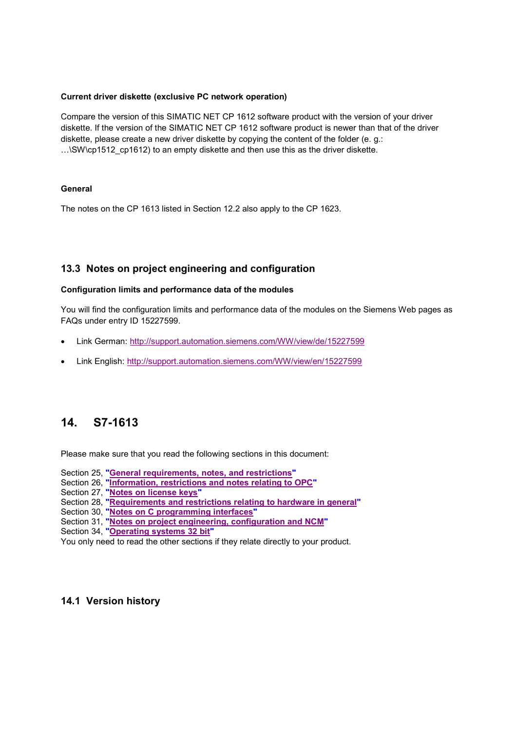### **Current driver diskette (exclusive PC network operation)**

Compare the version of this SIMATIC NET CP 1612 software product with the version of your driver diskette. If the version of the SIMATIC NET CP 1612 software product is newer than that of the driver diskette, please create a new driver diskette by copying the content of the folder (e. g.: …\SW\cp1512\_cp1612) to an empty diskette and then use this as the driver diskette.

### **General**

The notes on the CP 1613 listed in Section 12.2 also apply to the CP 1623.

# **13.3 Notes on project engineering and configuration**

### **Configuration limits and performance data of the modules**

You will find the configuration limits and performance data of the modules on the Siemens Web pages as FAQs under entry ID 15227599.

- Link German: http://support.automation.siemens.com/WW/view/de/15227599
- Link English: http://support.automation.siemens.com/WW/view/en/15227599

# **14. S7-1613**

Please make sure that you read the following sections in this document:

- Section 25, **"General requirements, notes, and restrictions"**
- Section 26, **"Information, restrictions and notes relating to OPC"**
- Section 27, **"Notes on license keys"**
- Section 28, **"Requirements and restrictions relating to hardware in general"**
- Section 30, **"Notes on C programming interfaces"**
- Section 31, **"Notes on project engineering, configuration and NCM"**
- Section 34, **"Operating systems 32 bit"**

You only need to read the other sections if they relate directly to your product.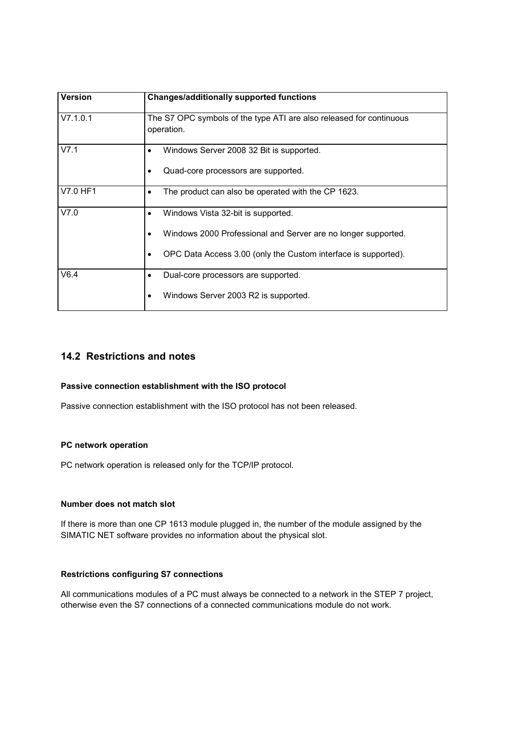| <b>Version</b> | <b>Changes/additionally supported functions</b>                                                                                                                                 |
|----------------|---------------------------------------------------------------------------------------------------------------------------------------------------------------------------------|
| V7.1.0.1       | The S7 OPC symbols of the type ATI are also released for continuous<br>operation.                                                                                               |
| V7.1           | Windows Server 2008 32 Bit is supported.<br>Quad-core processors are supported.<br>٠                                                                                            |
| V7.0 HF1       | The product can also be operated with the CP 1623.<br>٠                                                                                                                         |
| V7.0           | Windows Vista 32-bit is supported.<br>٠<br>Windows 2000 Professional and Server are no longer supported.<br>OPC Data Access 3.00 (only the Custom interface is supported).<br>٠ |
| V6.4           | Dual-core processors are supported.<br>Windows Server 2003 R2 is supported.                                                                                                     |

# **14.2 Restrictions and notes**

## **Passive connection establishment with the ISO protocol**

Passive connection establishment with the ISO protocol has not been released.

## **PC network operation**

PC network operation is released only for the TCP/IP protocol.

#### **Number does not match slot**

If there is more than one CP 1613 module plugged in, the number of the module assigned by the SIMATIC NET software provides no information about the physical slot.

# **Restrictions configuring S7 connections**

All communications modules of a PC must always be connected to a network in the STEP 7 project, otherwise even the S7 connections of a connected communications module do not work.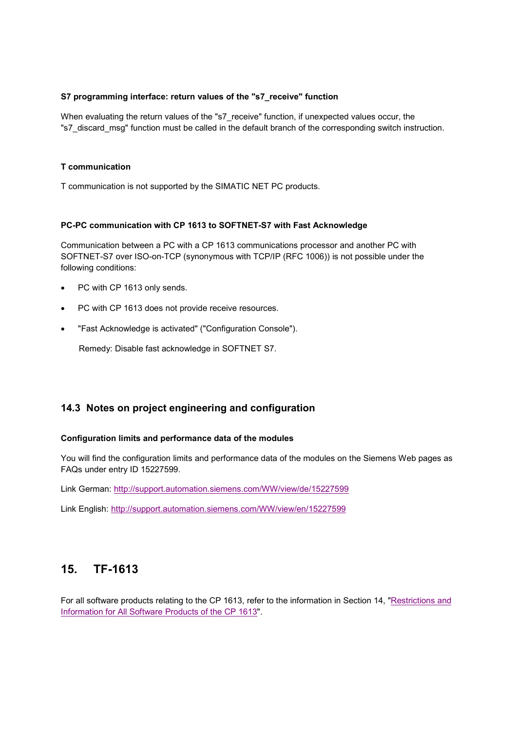### **S7 programming interface: return values of the "s7\_receive" function**

When evaluating the return values of the "s7\_receive" function, if unexpected values occur, the "s7\_discard\_msg" function must be called in the default branch of the corresponding switch instruction.

### **T communication**

T communication is not supported by the SIMATIC NET PC products.

#### **PC-PC communication with CP 1613 to SOFTNET-S7 with Fast Acknowledge**

Communication between a PC with a CP 1613 communications processor and another PC with SOFTNET-S7 over ISO-on-TCP (synonymous with TCP/IP (RFC 1006)) is not possible under the following conditions:

- PC with CP 1613 only sends.
- PC with CP 1613 does not provide receive resources.
- "Fast Acknowledge is activated" ("Configuration Console").

Remedy: Disable fast acknowledge in SOFTNET S7.

## **14.3 Notes on project engineering and configuration**

#### **Configuration limits and performance data of the modules**

You will find the configuration limits and performance data of the modules on the Siemens Web pages as FAQs under entry ID 15227599.

Link German: http://support.automation.siemens.com/WW/view/de/15227599

Link English: http://support.automation.siemens.com/WW/view/en/15227599

# **15. TF-1613**

For all software products relating to the CP 1613, refer to the information in Section 14, "Restrictions and Information for All Software Products of the CP 1613".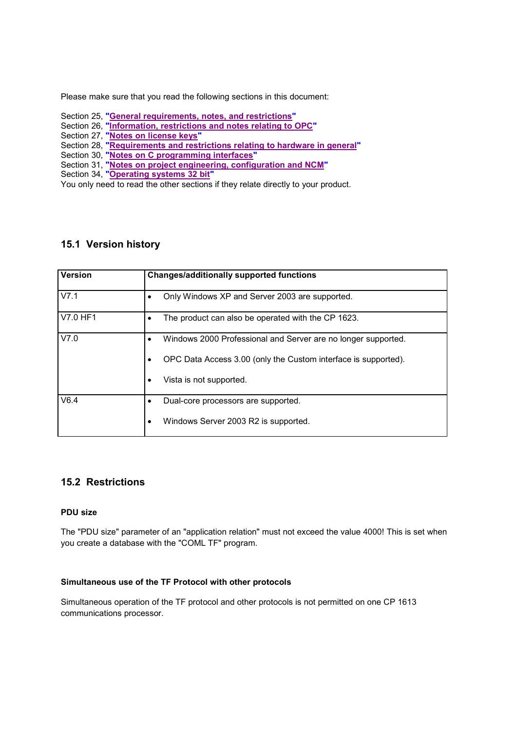Please make sure that you read the following sections in this document:

- Section 25, **"General requirements, notes, and restrictions"**
- Section 26, **"Information, restrictions and notes relating to OPC"**
- Section 27, **"Notes on license keys"**
- Section 28, **"Requirements and restrictions relating to hardware in general"**
- Section 30, **"Notes on C programming interfaces"**
- Section 31, **"Notes on project engineering, configuration and NCM"**
- Section 34, **"Operating systems 32 bit"**

You only need to read the other sections if they relate directly to your product.

# **15.1 Version history**

| <b>Version</b> | <b>Changes/additionally supported functions</b>                                                                                                            |
|----------------|------------------------------------------------------------------------------------------------------------------------------------------------------------|
| V7.1           | Only Windows XP and Server 2003 are supported.                                                                                                             |
| V7.0 HF1       | The product can also be operated with the CP 1623.                                                                                                         |
| V7.0           | Windows 2000 Professional and Server are no longer supported.<br>OPC Data Access 3.00 (only the Custom interface is supported).<br>Vista is not supported. |
|                |                                                                                                                                                            |
| V6.4           | Dual-core processors are supported.<br>Windows Server 2003 R2 is supported.                                                                                |

# **15.2 Restrictions**

### **PDU size**

The "PDU size" parameter of an "application relation" must not exceed the value 4000! This is set when you create a database with the "COML TF" program.

#### **Simultaneous use of the TF Protocol with other protocols**

Simultaneous operation of the TF protocol and other protocols is not permitted on one CP 1613 communications processor.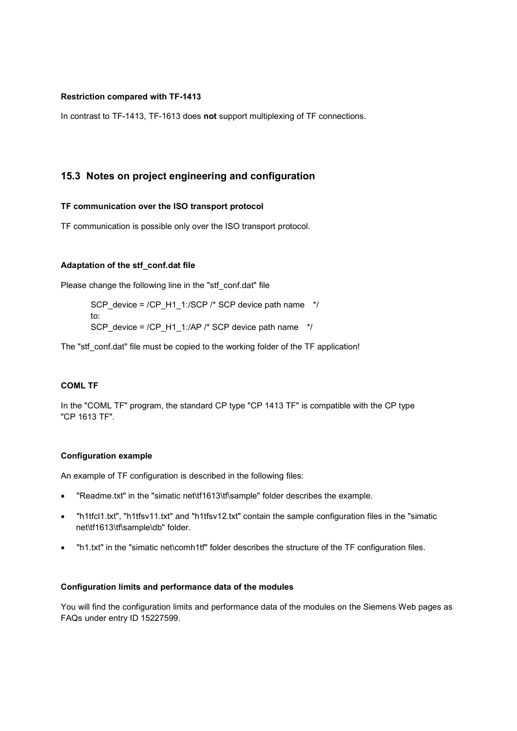#### **Restriction compared with TF-1413**

In contrast to TF-1413, TF-1613 does **not** support multiplexing of TF connections.

# **15.3 Notes on project engineering and configuration**

#### **TF communication over the ISO transport protocol**

TF communication is possible only over the ISO transport protocol.

#### **Adaptation of the stf\_conf.dat file**

Please change the following line in the "stf\_conf.dat" file

SCP\_device = /CP\_H1\_1:/SCP /\* SCP device path name \*/ to: SCP\_device = /CP\_H1\_1:/AP /\* SCP device path name  $*$ /

The "stf\_conf.dat" file must be copied to the working folder of the TF application!

#### **COML TF**

In the "COML TF" program, the standard CP type "CP 1413 TF" is compatible with the CP type "CP 1613 TF".

#### **Configuration example**

An example of TF configuration is described in the following files:

- "Readme.txt" in the "simatic net\tf1613\tf\sample" folder describes the example.
- "h1tfcl1.txt", "h1tfsv11.txt" and "h1tfsv12.txt" contain the sample configuration files in the "simatic net\tf1613\tf\sample\db" folder.
- "h1.txt" in the "simatic net\comh1tf" folder describes the structure of the TF configuration files.

#### **Configuration limits and performance data of the modules**

You will find the configuration limits and performance data of the modules on the Siemens Web pages as FAQs under entry ID 15227599.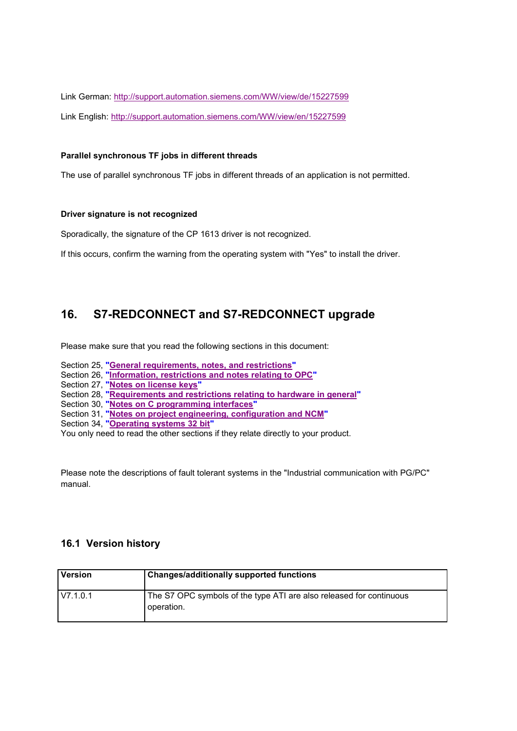Link German: http://support.automation.siemens.com/WW/view/de/15227599 Link English: http://support.automation.siemens.com/WW/view/en/15227599

### **Parallel synchronous TF jobs in different threads**

The use of parallel synchronous TF jobs in different threads of an application is not permitted.

#### **Driver signature is not recognized**

Sporadically, the signature of the CP 1613 driver is not recognized.

If this occurs, confirm the warning from the operating system with "Yes" to install the driver.

# **16. S7-REDCONNECT and S7-REDCONNECT upgrade**

Please make sure that you read the following sections in this document:

- Section 25, **"General requirements, notes, and restrictions"**
- Section 26, **"Information, restrictions and notes relating to OPC"**
- Section 27, **"Notes on license keys"**
- Section 28, **"Requirements and restrictions relating to hardware in general"**
- Section 30, **"Notes on C programming interfaces"**
- Section 31, **"Notes on project engineering, configuration and NCM"**
- Section 34, **"Operating systems 32 bit"**

You only need to read the other sections if they relate directly to your product.

Please note the descriptions of fault tolerant systems in the "Industrial communication with PG/PC" manual.

| <b>Version</b> | <b>Changes/additionally supported functions</b>                                   |
|----------------|-----------------------------------------------------------------------------------|
| V7.1.0.1       | The S7 OPC symbols of the type ATI are also released for continuous<br>operation. |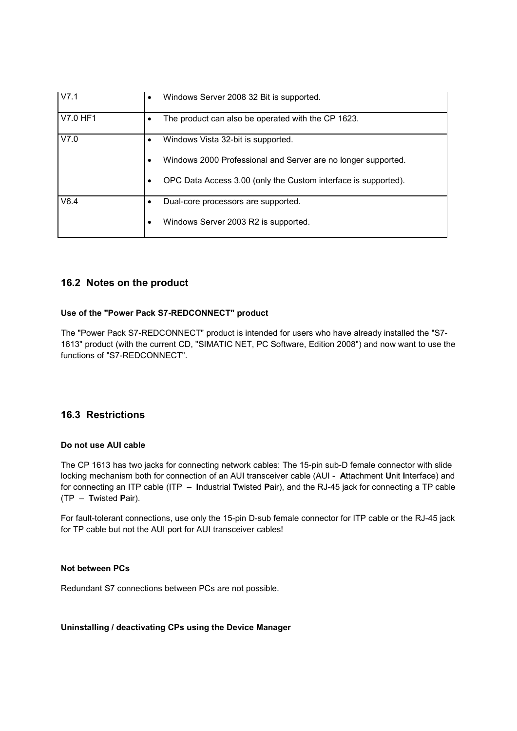| V7.1     | Windows Server 2008 32 Bit is supported.<br>$\bullet$              |
|----------|--------------------------------------------------------------------|
| V7.0 HF1 | The product can also be operated with the CP 1623.                 |
| V7.0     | Windows Vista 32-bit is supported.                                 |
|          | Windows 2000 Professional and Server are no longer supported.<br>٠ |
|          | OPC Data Access 3.00 (only the Custom interface is supported).     |
| V6.4     | Dual-core processors are supported.                                |
|          | Windows Server 2003 R2 is supported.<br>٠                          |

# **16.2 Notes on the product**

## **Use of the "Power Pack S7-REDCONNECT" product**

The "Power Pack S7-REDCONNECT" product is intended for users who have already installed the "S7- 1613" product (with the current CD, "SIMATIC NET, PC Software, Edition 2008") and now want to use the functions of "S7-REDCONNECT".

# **16.3 Restrictions**

## **Do not use AUI cable**

The CP 1613 has two jacks for connecting network cables: The 15-pin sub-D female connector with slide locking mechanism both for connection of an AUI transceiver cable (AUI - **A**ttachment **U**nit **I**nterface) and for connecting an ITP cable (ITP – **I**ndustrial **T**wisted **P**air), and the RJ-45 jack for connecting a TP cable (TP – **T**wisted **P**air).

For fault-tolerant connections, use only the 15-pin D-sub female connector for ITP cable or the RJ-45 jack for TP cable but not the AUI port for AUI transceiver cables!

## **Not between PCs**

Redundant S7 connections between PCs are not possible.

#### **Uninstalling / deactivating CPs using the Device Manager**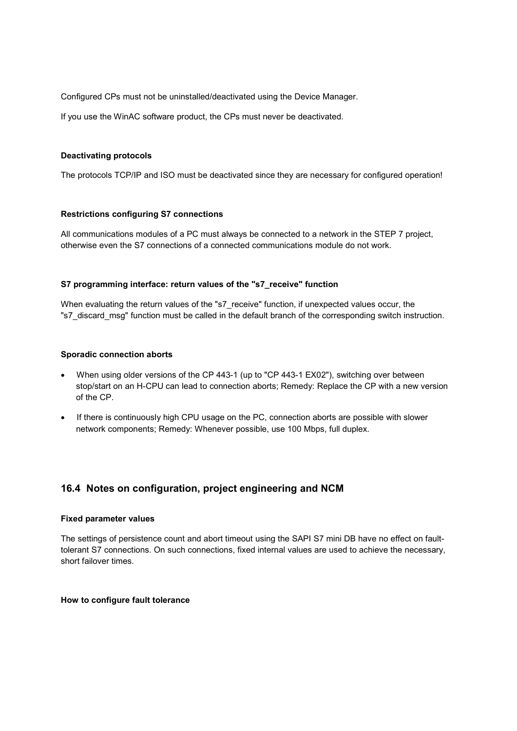Configured CPs must not be uninstalled/deactivated using the Device Manager.

If you use the WinAC software product, the CPs must never be deactivated.

## **Deactivating protocols**

The protocols TCP/IP and ISO must be deactivated since they are necessary for configured operation!

## **Restrictions configuring S7 connections**

All communications modules of a PC must always be connected to a network in the STEP 7 project, otherwise even the S7 connections of a connected communications module do not work.

## **S7 programming interface: return values of the "s7\_receive" function**

When evaluating the return values of the "s7\_receive" function, if unexpected values occur, the "s7\_discard\_msg" function must be called in the default branch of the corresponding switch instruction.

## **Sporadic connection aborts**

- When using older versions of the CP 443-1 (up to "CP 443-1 EX02"), switching over between stop/start on an H-CPU can lead to connection aborts; Remedy: Replace the CP with a new version of the CP.
- If there is continuously high CPU usage on the PC, connection aborts are possible with slower network components; Remedy: Whenever possible, use 100 Mbps, full duplex.

# **16.4 Notes on configuration, project engineering and NCM**

#### **Fixed parameter values**

The settings of persistence count and abort timeout using the SAPI S7 mini DB have no effect on faulttolerant S7 connections. On such connections, fixed internal values are used to achieve the necessary, short failover times.

#### **How to configure fault tolerance**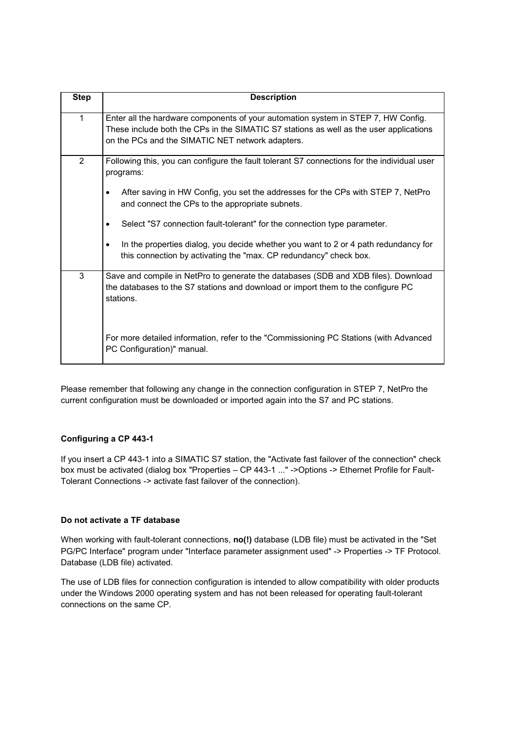| <b>Step</b>  | <b>Description</b>                                                                                                                                                                                                                                                                                                               |
|--------------|----------------------------------------------------------------------------------------------------------------------------------------------------------------------------------------------------------------------------------------------------------------------------------------------------------------------------------|
| $\mathbf{1}$ | Enter all the hardware components of your automation system in STEP 7, HW Config.<br>These include both the CPs in the SIMATIC S7 stations as well as the user applications<br>on the PCs and the SIMATIC NET network adapters.                                                                                                  |
| 2            | Following this, you can configure the fault tolerant S7 connections for the individual user<br>programs:<br>After saving in HW Config, you set the addresses for the CPs with STEP 7, NetPro<br>and connect the CPs to the appropriate subnets.<br>Select "S7 connection fault-tolerant" for the connection type parameter.<br>٠ |
|              | In the properties dialog, you decide whether you want to 2 or 4 path redundancy for<br>this connection by activating the "max. CP redundancy" check box.                                                                                                                                                                         |
| 3            | Save and compile in NetPro to generate the databases (SDB and XDB files). Download<br>the databases to the S7 stations and download or import them to the configure PC<br>stations.                                                                                                                                              |
|              | For more detailed information, refer to the "Commissioning PC Stations (with Advanced<br>PC Configuration)" manual.                                                                                                                                                                                                              |

Please remember that following any change in the connection configuration in STEP 7, NetPro the current configuration must be downloaded or imported again into the S7 and PC stations.

## **Configuring a CP 443-1**

If you insert a CP 443-1 into a SIMATIC S7 station, the "Activate fast failover of the connection" check box must be activated (dialog box "Properties – CP 443-1 ..." ->Options -> Ethernet Profile for Fault-Tolerant Connections -> activate fast failover of the connection).

## **Do not activate a TF database**

When working with fault-tolerant connections, **no(!)** database (LDB file) must be activated in the "Set PG/PC Interface" program under "Interface parameter assignment used" -> Properties -> TF Protocol. Database (LDB file) activated.

The use of LDB files for connection configuration is intended to allow compatibility with older products under the Windows 2000 operating system and has not been released for operating fault-tolerant connections on the same CP.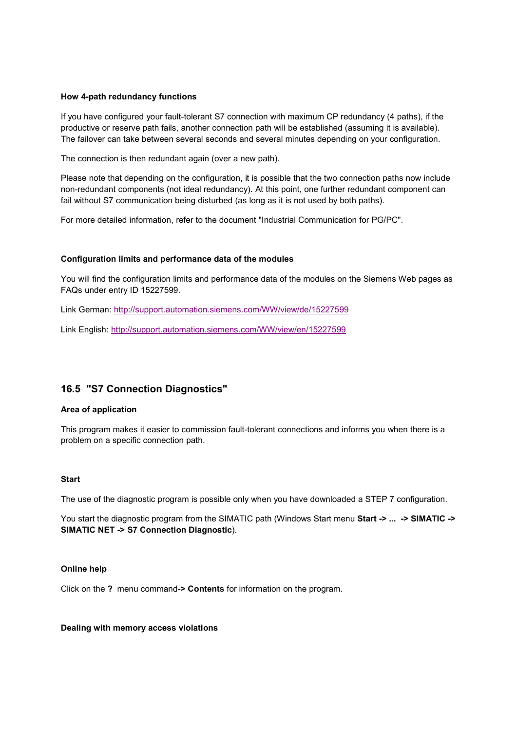#### **How 4-path redundancy functions**

If you have configured your fault-tolerant S7 connection with maximum CP redundancy (4 paths), if the productive or reserve path fails, another connection path will be established (assuming it is available). The failover can take between several seconds and several minutes depending on your configuration.

The connection is then redundant again (over a new path).

Please note that depending on the configuration, it is possible that the two connection paths now include non-redundant components (not ideal redundancy). At this point, one further redundant component can fail without S7 communication being disturbed (as long as it is not used by both paths).

For more detailed information, refer to the document "Industrial Communication for PG/PC".

#### **Configuration limits and performance data of the modules**

You will find the configuration limits and performance data of the modules on the Siemens Web pages as FAQs under entry ID 15227599.

Link German: http://support.automation.siemens.com/WW/view/de/15227599

Link English: http://support.automation.siemens.com/WW/view/en/15227599

## **16.5 "S7 Connection Diagnostics"**

#### **Area of application**

This program makes it easier to commission fault-tolerant connections and informs you when there is a problem on a specific connection path.

#### **Start**

The use of the diagnostic program is possible only when you have downloaded a STEP 7 configuration.

You start the diagnostic program from the SIMATIC path (Windows Start menu **Start -> ... -> SIMATIC -> SIMATIC NET -> S7 Connection Diagnostic**).

#### **Online help**

Click on the **?** menu command**-> Contents** for information on the program.

#### **Dealing with memory access violations**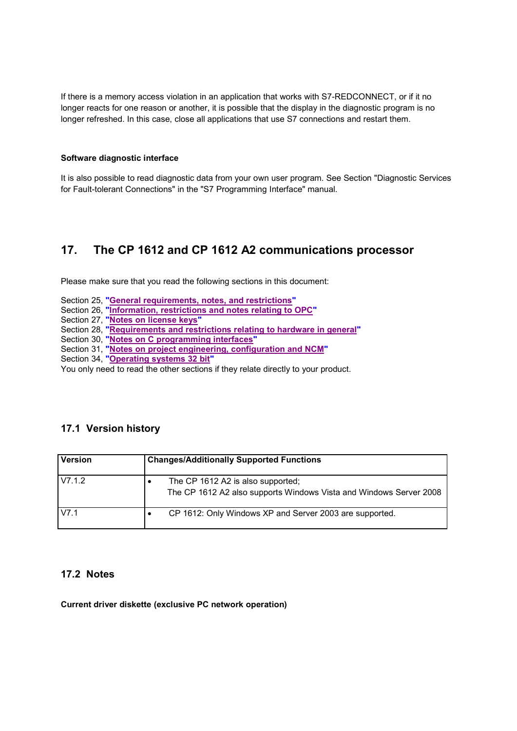If there is a memory access violation in an application that works with S7-REDCONNECT, or if it no longer reacts for one reason or another, it is possible that the display in the diagnostic program is no longer refreshed. In this case, close all applications that use S7 connections and restart them.

#### **Software diagnostic interface**

It is also possible to read diagnostic data from your own user program. See Section "Diagnostic Services for Fault-tolerant Connections" in the "S7 Programming Interface" manual.

# **17. The CP 1612 and CP 1612 A2 communications processor**

Please make sure that you read the following sections in this document:

- Section 25, **"General requirements, notes, and restrictions"**
- Section 26, **"Information, restrictions and notes relating to OPC"**
- Section 27, **"Notes on license keys"**
- Section 28, **"Requirements and restrictions relating to hardware in general"**
- Section 30, **"Notes on C programming interfaces"**
- Section 31, **"Notes on project engineering, configuration and NCM"**
- Section 34, **"Operating systems 32 bit"**

You only need to read the other sections if they relate directly to your product.

# **17.1 Version history**

| <b>Version</b> | <b>Changes/Additionally Supported Functions</b>                                                         |
|----------------|---------------------------------------------------------------------------------------------------------|
| V7.1.2         | The CP 1612 A2 is also supported;<br>The CP 1612 A2 also supports Windows Vista and Windows Server 2008 |
| V7.1           | CP 1612: Only Windows XP and Server 2003 are supported.                                                 |

# **17.2 Notes**

**Current driver diskette (exclusive PC network operation)**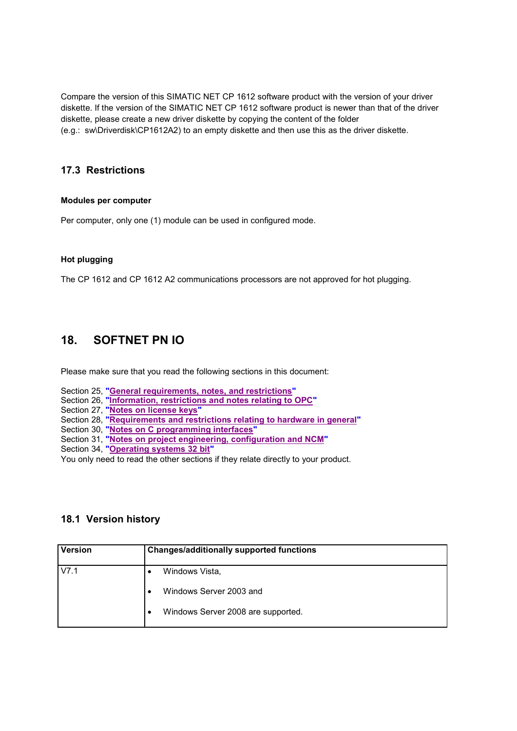Compare the version of this SIMATIC NET CP 1612 software product with the version of your driver diskette. If the version of the SIMATIC NET CP 1612 software product is newer than that of the driver diskette, please create a new driver diskette by copying the content of the folder (e.g.: sw\Driverdisk\CP1612A2) to an empty diskette and then use this as the driver diskette.

# **17.3 Restrictions**

## **Modules per computer**

Per computer, only one (1) module can be used in configured mode.

## **Hot plugging**

The CP 1612 and CP 1612 A2 communications processors are not approved for hot plugging.

# **18. SOFTNET PN IO**

Please make sure that you read the following sections in this document:

- Section 25, **"General requirements, notes, and restrictions"**
- Section 26, **"Information, restrictions and notes relating to OPC"**
- Section 27, **"Notes on license keys"**
- Section 28, **"Requirements and restrictions relating to hardware in general"**
- Section 30, **"Notes on C programming interfaces"**
- Section 31, **"Notes on project engineering, configuration and NCM"**
- Section 34, **"Operating systems 32 bit"**

You only need to read the other sections if they relate directly to your product.

# **18.1 Version history**

| <b>Version</b> | <b>Changes/additionally supported functions</b> |
|----------------|-------------------------------------------------|
| V7.1           | Windows Vista,                                  |
|                | Windows Server 2003 and                         |
|                | Windows Server 2008 are supported.<br>٠         |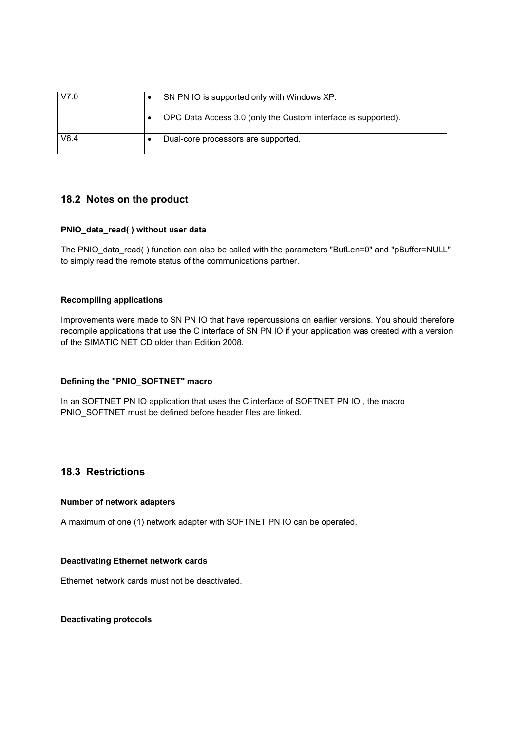| V7.0 | SN PN IO is supported only with Windows XP.                   |
|------|---------------------------------------------------------------|
|      | OPC Data Access 3.0 (only the Custom interface is supported). |
| V6.4 | Dual-core processors are supported.                           |

# **18.2 Notes on the product**

## **PNIO\_data\_read( ) without user data**

The PNIO\_data\_read( ) function can also be called with the parameters "BufLen=0" and "pBuffer=NULL" to simply read the remote status of the communications partner.

## **Recompiling applications**

Improvements were made to SN PN IO that have repercussions on earlier versions. You should therefore recompile applications that use the C interface of SN PN IO if your application was created with a version of the SIMATIC NET CD older than Edition 2008.

## **Defining the "PNIO\_SOFTNET" macro**

In an SOFTNET PN IO application that uses the C interface of SOFTNET PN IO , the macro PNIO\_SOFTNET must be defined before header files are linked.

# **18.3 Restrictions**

#### **Number of network adapters**

A maximum of one (1) network adapter with SOFTNET PN IO can be operated.

#### **Deactivating Ethernet network cards**

Ethernet network cards must not be deactivated.

#### **Deactivating protocols**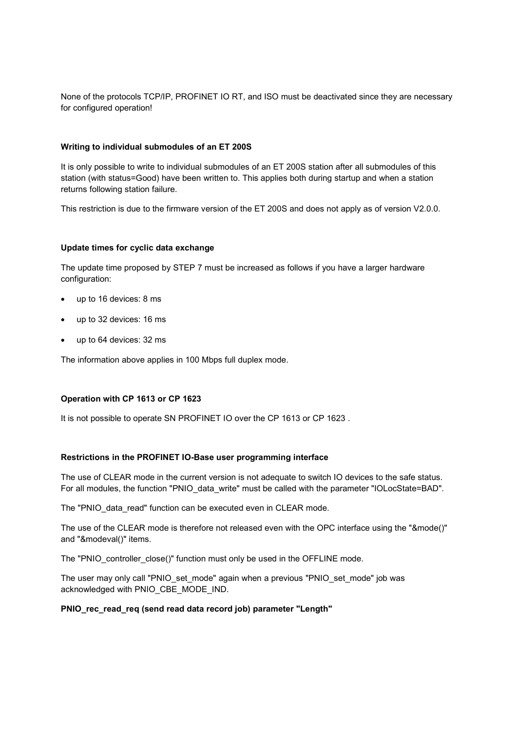None of the protocols TCP/IP, PROFINET IO RT, and ISO must be deactivated since they are necessary for configured operation!

#### **Writing to individual submodules of an ET 200S**

It is only possible to write to individual submodules of an ET 200S station after all submodules of this station (with status=Good) have been written to. This applies both during startup and when a station returns following station failure.

This restriction is due to the firmware version of the ET 200S and does not apply as of version V2.0.0.

#### **Update times for cyclic data exchange**

The update time proposed by STEP 7 must be increased as follows if you have a larger hardware configuration:

- up to 16 devices: 8 ms
- up to 32 devices: 16 ms
- up to 64 devices: 32 ms

The information above applies in 100 Mbps full duplex mode.

#### **Operation with CP 1613 or CP 1623**

It is not possible to operate SN PROFINET IO over the CP 1613 or CP 1623.

#### **Restrictions in the PROFINET IO-Base user programming interface**

The use of CLEAR mode in the current version is not adequate to switch IO devices to the safe status. For all modules, the function "PNIO\_data\_write" must be called with the parameter "IOLocState=BAD".

The "PNIO data read" function can be executed even in CLEAR mode.

The use of the CLEAR mode is therefore not released even with the OPC interface using the "&mode()" and "&modeval()" items.

The "PNIO\_controller\_close()" function must only be used in the OFFLINE mode.

The user may only call "PNIO set mode" again when a previous "PNIO set mode" job was acknowledged with PNIO\_CBE\_MODE\_IND.

#### **PNIO\_rec\_read\_req (send read data record job) parameter "Length"**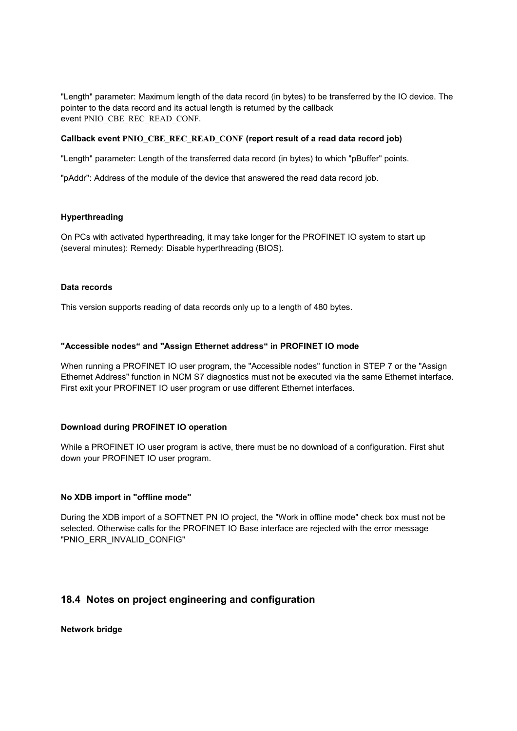"Length" parameter: Maximum length of the data record (in bytes) to be transferred by the IO device. The pointer to the data record and its actual length is returned by the callback event PNIO\_CBE\_REC\_READ\_CONF.

#### **Callback event PNIO\_CBE\_REC\_READ\_CONF (report result of a read data record job)**

"Length" parameter: Length of the transferred data record (in bytes) to which "pBuffer" points.

"pAddr": Address of the module of the device that answered the read data record job.

## **Hyperthreading**

On PCs with activated hyperthreading, it may take longer for the PROFINET IO system to start up (several minutes): Remedy: Disable hyperthreading (BIOS).

#### **Data records**

This version supports reading of data records only up to a length of 480 bytes.

## **"Accessible nodes" and "Assign Ethernet address" in PROFINET IO mode**

When running a PROFINET IO user program, the "Accessible nodes" function in STEP 7 or the "Assign Ethernet Address" function in NCM S7 diagnostics must not be executed via the same Ethernet interface. First exit your PROFINET IO user program or use different Ethernet interfaces.

#### **Download during PROFINET IO operation**

While a PROFINET IO user program is active, there must be no download of a configuration. First shut down your PROFINET IO user program.

## **No XDB import in "offline mode"**

During the XDB import of a SOFTNET PN IO project, the "Work in offline mode" check box must not be selected. Otherwise calls for the PROFINET IO Base interface are rejected with the error message "PNIO\_ERR\_INVALID\_CONFIG"

# **18.4 Notes on project engineering and configuration**

**Network bridge**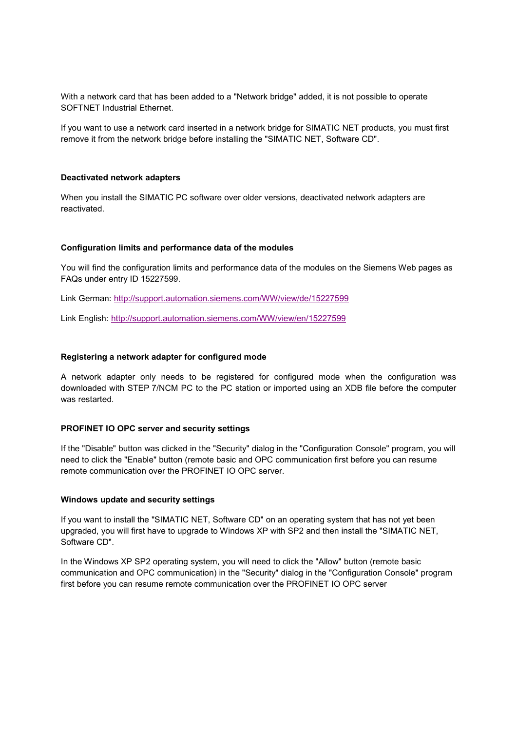With a network card that has been added to a "Network bridge" added, it is not possible to operate SOFTNET Industrial Ethernet.

If you want to use a network card inserted in a network bridge for SIMATIC NET products, you must first remove it from the network bridge before installing the "SIMATIC NET, Software CD".

#### **Deactivated network adapters**

When you install the SIMATIC PC software over older versions, deactivated network adapters are reactivated.

#### **Configuration limits and performance data of the modules**

You will find the configuration limits and performance data of the modules on the Siemens Web pages as FAQs under entry ID 15227599.

Link German: http://support.automation.siemens.com/WW/view/de/15227599

Link English: http://support.automation.siemens.com/WW/view/en/15227599

#### **Registering a network adapter for configured mode**

A network adapter only needs to be registered for configured mode when the configuration was downloaded with STEP 7/NCM PC to the PC station or imported using an XDB file before the computer was restarted.

#### **PROFINET IO OPC server and security settings**

If the "Disable" button was clicked in the "Security" dialog in the "Configuration Console" program, you will need to click the "Enable" button (remote basic and OPC communication first before you can resume remote communication over the PROFINET IO OPC server.

#### **Windows update and security settings**

If you want to install the "SIMATIC NET, Software CD" on an operating system that has not yet been upgraded, you will first have to upgrade to Windows XP with SP2 and then install the "SIMATIC NET, Software CD".

In the Windows XP SP2 operating system, you will need to click the "Allow" button (remote basic communication and OPC communication) in the "Security" dialog in the "Configuration Console" program first before you can resume remote communication over the PROFINET IO OPC server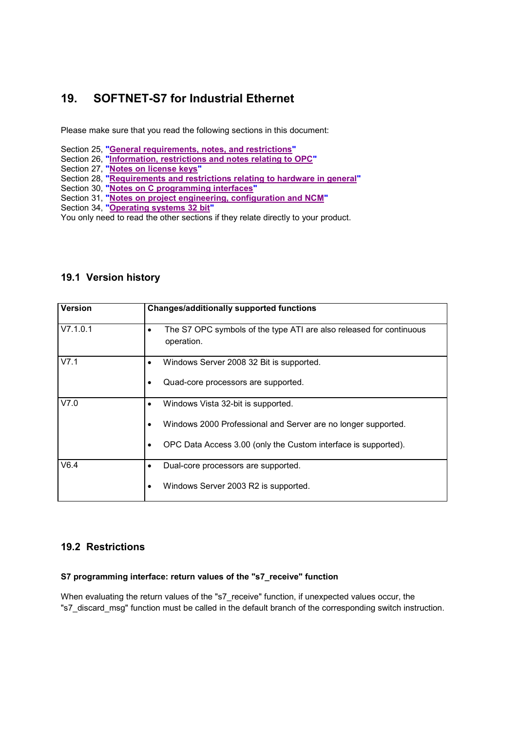# **19. SOFTNET-S7 for Industrial Ethernet**

Please make sure that you read the following sections in this document:

- Section 25, **"General requirements, notes, and restrictions"**
- Section 26, **"Information, restrictions and notes relating to OPC"**
- Section 27, **"Notes on license keys"**
- Section 28, **"Requirements and restrictions relating to hardware in general"**
- Section 30, **"Notes on C programming interfaces"**
- Section 31, **"Notes on project engineering, configuration and NCM"**
- Section 34, **"Operating systems 32 bit"**

You only need to read the other sections if they relate directly to your product.

# **19.1 Version history**

| <b>Version</b> | <b>Changes/additionally supported functions</b>                                        |
|----------------|----------------------------------------------------------------------------------------|
| V7.1.0.1       | The S7 OPC symbols of the type ATI are also released for continuous<br>٠<br>operation. |
| V7.1           | Windows Server 2008 32 Bit is supported.                                               |
|                | Quad-core processors are supported.                                                    |
| V7.0           | Windows Vista 32-bit is supported.<br>٠                                                |
|                | Windows 2000 Professional and Server are no longer supported.                          |
|                | OPC Data Access 3.00 (only the Custom interface is supported).                         |
| V6.4           | Dual-core processors are supported.                                                    |
|                | Windows Server 2003 R2 is supported.                                                   |

# **19.2 Restrictions**

## **S7 programming interface: return values of the "s7\_receive" function**

When evaluating the return values of the "s7\_receive" function, if unexpected values occur, the "s7\_discard\_msg" function must be called in the default branch of the corresponding switch instruction.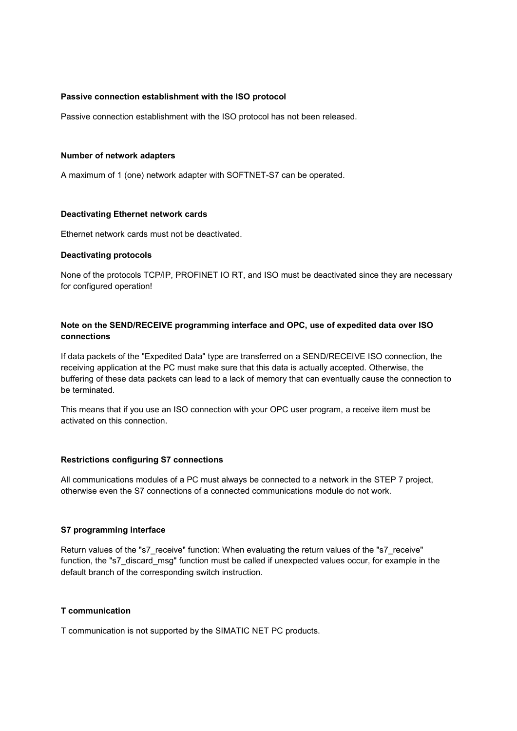#### **Passive connection establishment with the ISO protocol**

Passive connection establishment with the ISO protocol has not been released.

#### **Number of network adapters**

A maximum of 1 (one) network adapter with SOFTNET-S7 can be operated.

#### **Deactivating Ethernet network cards**

Ethernet network cards must not be deactivated.

#### **Deactivating protocols**

None of the protocols TCP/IP, PROFINET IO RT, and ISO must be deactivated since they are necessary for configured operation!

## **Note on the SEND/RECEIVE programming interface and OPC, use of expedited data over ISO connections**

If data packets of the "Expedited Data" type are transferred on a SEND/RECEIVE ISO connection, the receiving application at the PC must make sure that this data is actually accepted. Otherwise, the buffering of these data packets can lead to a lack of memory that can eventually cause the connection to be terminated.

This means that if you use an ISO connection with your OPC user program, a receive item must be activated on this connection.

## **Restrictions configuring S7 connections**

All communications modules of a PC must always be connected to a network in the STEP 7 project, otherwise even the S7 connections of a connected communications module do not work.

## **S7 programming interface**

Return values of the "s7\_receive" function: When evaluating the return values of the "s7\_receive" function, the "s7\_discard\_msg" function must be called if unexpected values occur, for example in the default branch of the corresponding switch instruction.

#### **T communication**

T communication is not supported by the SIMATIC NET PC products.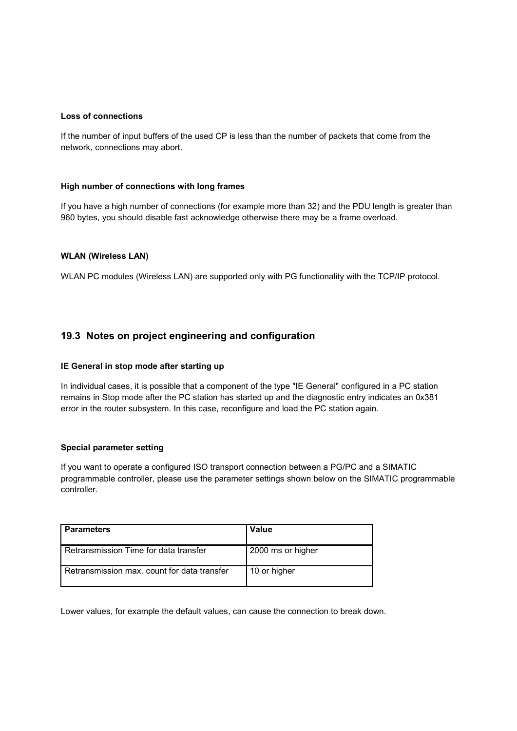#### **Loss of connections**

If the number of input buffers of the used CP is less than the number of packets that come from the network, connections may abort.

## **High number of connections with long frames**

If you have a high number of connections (for example more than 32) and the PDU length is greater than 960 bytes, you should disable fast acknowledge otherwise there may be a frame overload.

## **WLAN (Wireless LAN)**

WLAN PC modules (Wireless LAN) are supported only with PG functionality with the TCP/IP protocol.

# **19.3 Notes on project engineering and configuration**

## **IE General in stop mode after starting up**

In individual cases, it is possible that a component of the type "IE General" configured in a PC station remains in Stop mode after the PC station has started up and the diagnostic entry indicates an 0x381 error in the router subsystem. In this case, reconfigure and load the PC station again.

#### **Special parameter setting**

If you want to operate a configured ISO transport connection between a PG/PC and a SIMATIC programmable controller, please use the parameter settings shown below on the SIMATIC programmable controller.

| <b>Parameters</b>                           | <b>Value</b>      |
|---------------------------------------------|-------------------|
| Retransmission Time for data transfer       | 2000 ms or higher |
| Retransmission max. count for data transfer | 10 or higher      |

Lower values, for example the default values, can cause the connection to break down.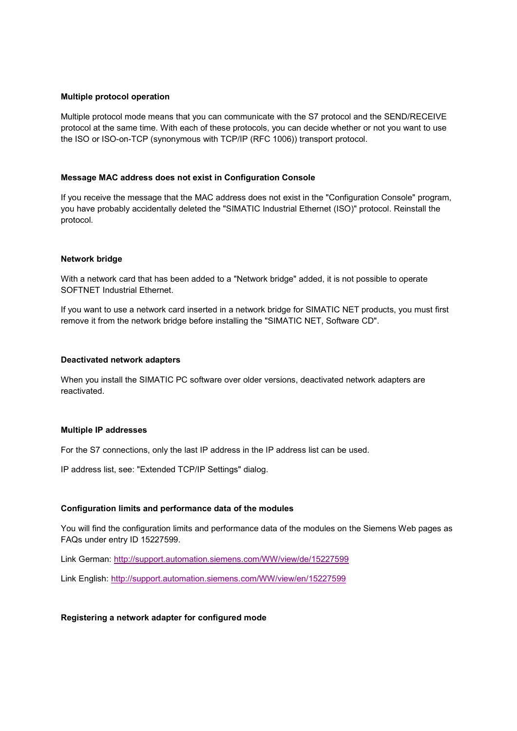#### **Multiple protocol operation**

Multiple protocol mode means that you can communicate with the S7 protocol and the SEND/RECEIVE protocol at the same time. With each of these protocols, you can decide whether or not you want to use the ISO or ISO-on-TCP (synonymous with TCP/IP (RFC 1006)) transport protocol.

#### **Message MAC address does not exist in Configuration Console**

If you receive the message that the MAC address does not exist in the "Configuration Console" program, you have probably accidentally deleted the "SIMATIC Industrial Ethernet (ISO)" protocol. Reinstall the protocol.

#### **Network bridge**

With a network card that has been added to a "Network bridge" added, it is not possible to operate SOFTNET Industrial Ethernet.

If you want to use a network card inserted in a network bridge for SIMATIC NET products, you must first remove it from the network bridge before installing the "SIMATIC NET, Software CD".

#### **Deactivated network adapters**

When you install the SIMATIC PC software over older versions, deactivated network adapters are reactivated.

#### **Multiple IP addresses**

For the S7 connections, only the last IP address in the IP address list can be used.

IP address list, see: "Extended TCP/IP Settings" dialog.

#### **Configuration limits and performance data of the modules**

You will find the configuration limits and performance data of the modules on the Siemens Web pages as FAQs under entry ID 15227599.

Link German: http://support.automation.siemens.com/WW/view/de/15227599

Link English: http://support.automation.siemens.com/WW/view/en/15227599

#### **Registering a network adapter for configured mode**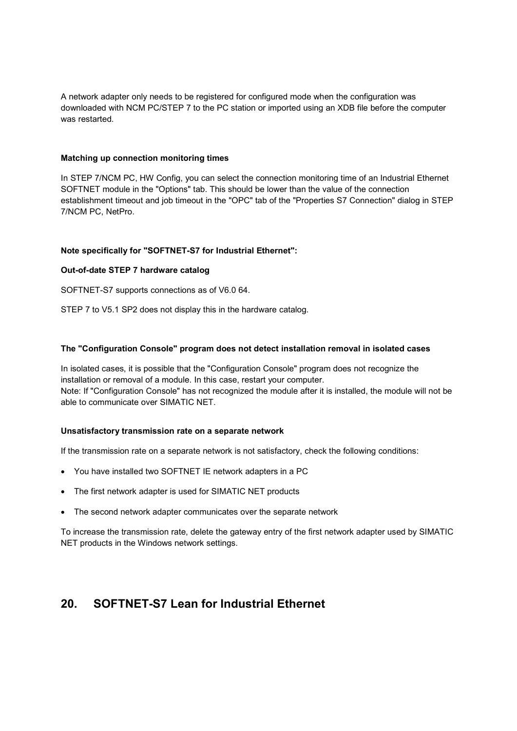A network adapter only needs to be registered for configured mode when the configuration was downloaded with NCM PC/STEP 7 to the PC station or imported using an XDB file before the computer was restarted.

## **Matching up connection monitoring times**

In STEP 7/NCM PC, HW Config, you can select the connection monitoring time of an Industrial Ethernet SOFTNET module in the "Options" tab. This should be lower than the value of the connection establishment timeout and job timeout in the "OPC" tab of the "Properties S7 Connection" dialog in STEP 7/NCM PC, NetPro.

## **Note specifically for "SOFTNET-S7 for Industrial Ethernet":**

## **Out-of-date STEP 7 hardware catalog**

SOFTNET-S7 supports connections as of V6.0 64.

STEP 7 to V5.1 SP2 does not display this in the hardware catalog.

## **The "Configuration Console" program does not detect installation removal in isolated cases**

In isolated cases, it is possible that the "Configuration Console" program does not recognize the installation or removal of a module. In this case, restart your computer. Note: If "Configuration Console" has not recognized the module after it is installed, the module will not be able to communicate over SIMATIC NET.

#### **Unsatisfactory transmission rate on a separate network**

If the transmission rate on a separate network is not satisfactory, check the following conditions:

- You have installed two SOFTNET IE network adapters in a PC
- The first network adapter is used for SIMATIC NET products
- The second network adapter communicates over the separate network

To increase the transmission rate, delete the gateway entry of the first network adapter used by SIMATIC NET products in the Windows network settings.

# **20. SOFTNET-S7 Lean for Industrial Ethernet**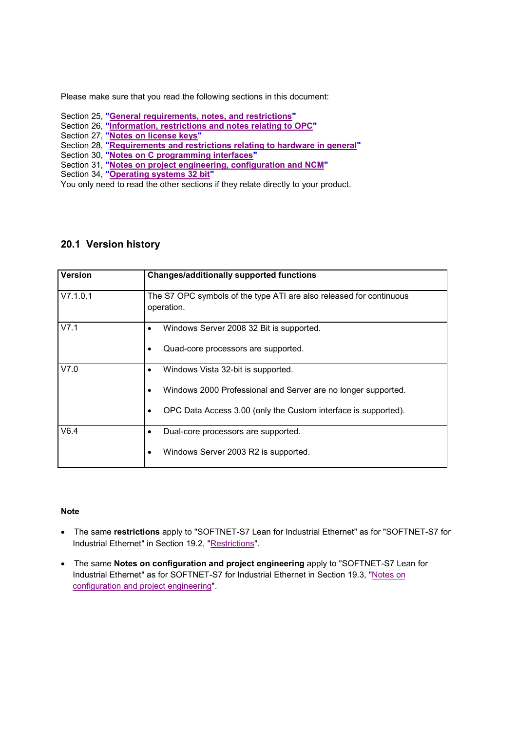Please make sure that you read the following sections in this document:

- Section 25, **"General requirements, notes, and restrictions"**
- Section 26, **"Information, restrictions and notes relating to OPC"**
- Section 27, **"Notes on license keys"**
- Section 28, **"Requirements and restrictions relating to hardware in general"**
- Section 30, **"Notes on C programming interfaces"**
- Section 31, **"Notes on project engineering, configuration and NCM"**
- Section 34, **"Operating systems 32 bit"**

You only need to read the other sections if they relate directly to your product.

# **20.1 Version history**

| <b>Version</b> | <b>Changes/additionally supported functions</b>                                   |
|----------------|-----------------------------------------------------------------------------------|
| V7.1.0.1       | The S7 OPC symbols of the type ATI are also released for continuous<br>operation. |
| V7.1           | Windows Server 2008 32 Bit is supported.                                          |
|                | Quad-core processors are supported.<br>٠                                          |
| V7.0           | Windows Vista 32-bit is supported.                                                |
|                | Windows 2000 Professional and Server are no longer supported.                     |
|                | OPC Data Access 3.00 (only the Custom interface is supported).                    |
| V6.4           | Dual-core processors are supported.                                               |
|                | Windows Server 2003 R2 is supported.<br>٠                                         |

#### **Note**

- The same **restrictions** apply to "SOFTNET-S7 Lean for Industrial Ethernet" as for "SOFTNET-S7 for Industrial Ethernet" in Section 19.2, "Restrictions".
- The same **Notes on configuration and project engineering** apply to "SOFTNET-S7 Lean for Industrial Ethernet" as for SOFTNET-S7 for Industrial Ethernet in Section 19.3, "Notes on configuration and project engineering".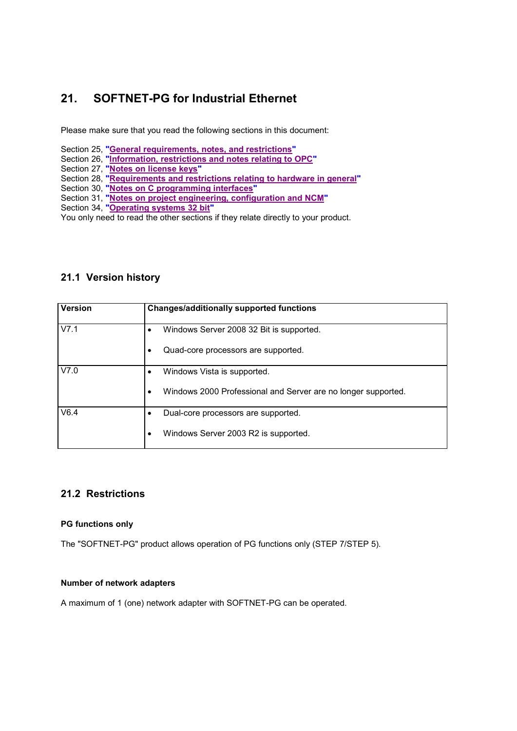# **21. SOFTNET-PG for Industrial Ethernet**

Please make sure that you read the following sections in this document:

- Section 25, **"General requirements, notes, and restrictions"**
- Section 26, **"Information, restrictions and notes relating to OPC"**
- Section 27, **"Notes on license keys"**
- Section 28, **"Requirements and restrictions relating to hardware in general"**
- Section 30, **"Notes on C programming interfaces"**
- Section 31, **"Notes on project engineering, configuration and NCM"**
- Section 34, **"Operating systems 32 bit"**

You only need to read the other sections if they relate directly to your product.

# **21.1 Version history**

| <b>Version</b> | <b>Changes/additionally supported functions</b>                            |
|----------------|----------------------------------------------------------------------------|
| V7.1           | Windows Server 2008 32 Bit is supported.<br>$\bullet$                      |
|                | Quad-core processors are supported.<br>٠                                   |
| V7.0           | Windows Vista is supported.                                                |
|                | Windows 2000 Professional and Server are no longer supported.<br>$\bullet$ |
| V6.4           | Dual-core processors are supported.                                        |
|                | Windows Server 2003 R2 is supported.<br>$\bullet$                          |

# **21.2 Restrictions**

## **PG functions only**

The "SOFTNET-PG" product allows operation of PG functions only (STEP 7/STEP 5).

## **Number of network adapters**

A maximum of 1 (one) network adapter with SOFTNET-PG can be operated.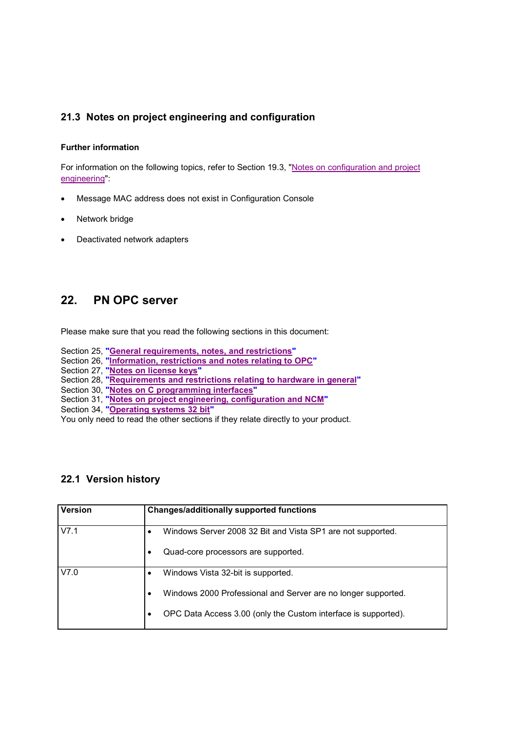# **21.3 Notes on project engineering and configuration**

## **Further information**

For information on the following topics, refer to Section 19.3, "Notes on configuration and project engineering":

- Message MAC address does not exist in Configuration Console
- Network bridge
- Deactivated network adapters

# **22. PN OPC server**

Please make sure that you read the following sections in this document:

- Section 25, **"General requirements, notes, and restrictions"**
- Section 26, **"Information, restrictions and notes relating to OPC"**
- Section 27, **"Notes on license keys"**
- Section 28, **"Requirements and restrictions relating to hardware in general"**
- Section 30, **"Notes on C programming interfaces"**
- Section 31, **"Notes on project engineering, configuration and NCM"**
- Section 34, **"Operating systems 32 bit"**

You only need to read the other sections if they relate directly to your product.

# **22.1 Version history**

| <b>Version</b> | <b>Changes/additionally supported functions</b>                |
|----------------|----------------------------------------------------------------|
| V7.1           | Windows Server 2008 32 Bit and Vista SP1 are not supported.    |
|                | Quad-core processors are supported.                            |
| V7.0           | Windows Vista 32-bit is supported.                             |
|                | Windows 2000 Professional and Server are no longer supported.  |
|                | OPC Data Access 3.00 (only the Custom interface is supported). |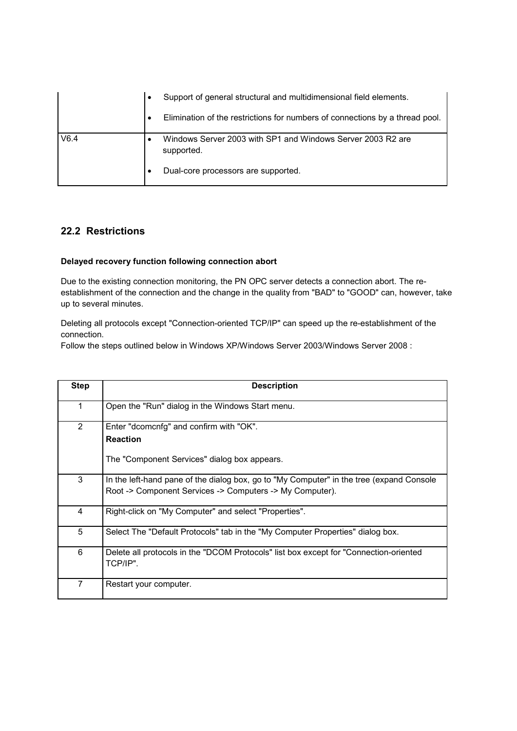|      | ٠ | Support of general structural and multidimensional field elements.           |
|------|---|------------------------------------------------------------------------------|
|      |   | Elimination of the restrictions for numbers of connections by a thread pool. |
| V6.4 |   | Windows Server 2003 with SP1 and Windows Server 2003 R2 are<br>supported.    |
|      |   | Dual-core processors are supported.                                          |

# **22.2 Restrictions**

## **Delayed recovery function following connection abort**

Due to the existing connection monitoring, the PN OPC server detects a connection abort. The reestablishment of the connection and the change in the quality from "BAD" to "GOOD" can, however, take up to several minutes.

Deleting all protocols except "Connection-oriented TCP/IP" can speed up the re-establishment of the connection.

Follow the steps outlined below in Windows XP/Windows Server 2003/Windows Server 2008 :

| <b>Step</b>    | <b>Description</b>                                                                                 |
|----------------|----------------------------------------------------------------------------------------------------|
| 1              | Open the "Run" dialog in the Windows Start menu.                                                   |
| $\overline{2}$ | Enter "dcomcnfg" and confirm with "OK".                                                            |
|                | <b>Reaction</b>                                                                                    |
|                | The "Component Services" dialog box appears.                                                       |
| 3              | In the left-hand pane of the dialog box, go to "My Computer" in the tree (expand Console           |
|                | Root -> Component Services -> Computers -> My Computer).                                           |
| 4              | Right-click on "My Computer" and select "Properties".                                              |
| 5              | Select The "Default Protocols" tab in the "My Computer Properties" dialog box.                     |
| 6              | Delete all protocols in the "DCOM Protocols" list box except for "Connection-oriented"<br>TCP/IP". |
| 7              | Restart your computer.                                                                             |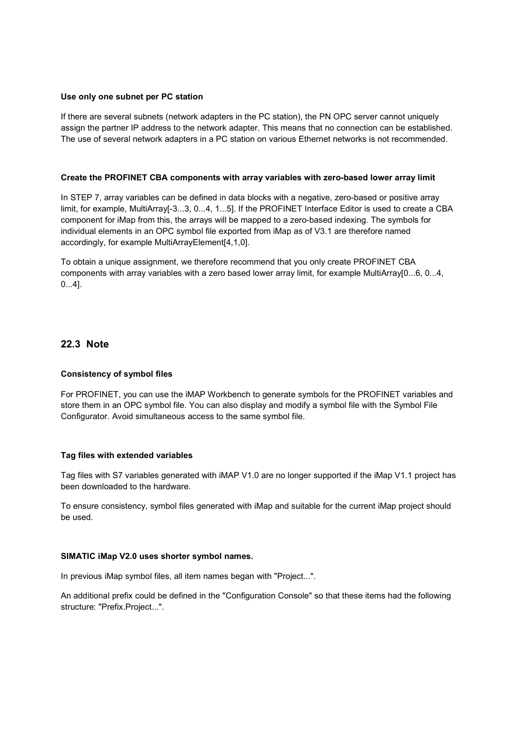#### **Use only one subnet per PC station**

If there are several subnets (network adapters in the PC station), the PN OPC server cannot uniquely assign the partner IP address to the network adapter. This means that no connection can be established. The use of several network adapters in a PC station on various Ethernet networks is not recommended.

#### **Create the PROFINET CBA components with array variables with zero-based lower array limit**

In STEP 7, array variables can be defined in data blocks with a negative, zero-based or positive array limit, for example, MultiArray<sup>[-3</sup>...3, 0...4, 1...5]. If the PROFINET Interface Editor is used to create a CBA component for iMap from this, the arrays will be mapped to a zero-based indexing. The symbols for individual elements in an OPC symbol file exported from iMap as of V3.1 are therefore named accordingly, for example MultiArrayElement[4,1,0].

To obtain a unique assignment, we therefore recommend that you only create PROFINET CBA components with array variables with a zero based lower array limit, for example MultiArray[0...6, 0...4, 0...4].

## **22.3 Note**

#### **Consistency of symbol files**

For PROFINET, you can use the iMAP Workbench to generate symbols for the PROFINET variables and store them in an OPC symbol file. You can also display and modify a symbol file with the Symbol File Configurator. Avoid simultaneous access to the same symbol file.

#### **Tag files with extended variables**

Tag files with S7 variables generated with iMAP V1.0 are no longer supported if the iMap V1.1 project has been downloaded to the hardware.

To ensure consistency, symbol files generated with iMap and suitable for the current iMap project should be used.

#### **SIMATIC iMap V2.0 uses shorter symbol names.**

In previous iMap symbol files, all item names began with "Project...".

An additional prefix could be defined in the "Configuration Console" so that these items had the following structure: "Prefix.Project...".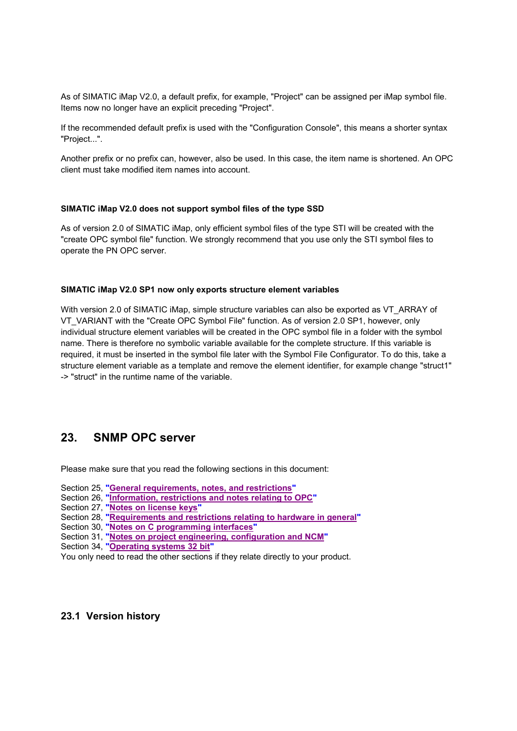As of SIMATIC iMap V2.0, a default prefix, for example, "Project" can be assigned per iMap symbol file. Items now no longer have an explicit preceding "Project".

If the recommended default prefix is used with the "Configuration Console", this means a shorter syntax "Project...".

Another prefix or no prefix can, however, also be used. In this case, the item name is shortened. An OPC client must take modified item names into account.

#### **SIMATIC iMap V2.0 does not support symbol files of the type SSD**

As of version 2.0 of SIMATIC iMap, only efficient symbol files of the type STI will be created with the "create OPC symbol file" function. We strongly recommend that you use only the STI symbol files to operate the PN OPC server.

#### **SIMATIC iMap V2.0 SP1 now only exports structure element variables**

With version 2.0 of SIMATIC iMap, simple structure variables can also be exported as VT\_ARRAY of VT\_VARIANT with the "Create OPC Symbol File" function. As of version 2.0 SP1, however, only individual structure element variables will be created in the OPC symbol file in a folder with the symbol name. There is therefore no symbolic variable available for the complete structure. If this variable is required, it must be inserted in the symbol file later with the Symbol File Configurator. To do this, take a structure element variable as a template and remove the element identifier, for example change "struct1" -> "struct" in the runtime name of the variable.

# **23. SNMP OPC server**

Please make sure that you read the following sections in this document:

- Section 25, **"General requirements, notes, and restrictions"**
- Section 26, **"Information, restrictions and notes relating to OPC"**
- Section 27, **"Notes on license keys"**
- Section 28, **"Requirements and restrictions relating to hardware in general"**
- Section 30, **"Notes on C programming interfaces"**
- Section 31, **"Notes on project engineering, configuration and NCM"**
- Section 34, **"Operating systems 32 bit"**
- You only need to read the other sections if they relate directly to your product.

## **23.1 Version history**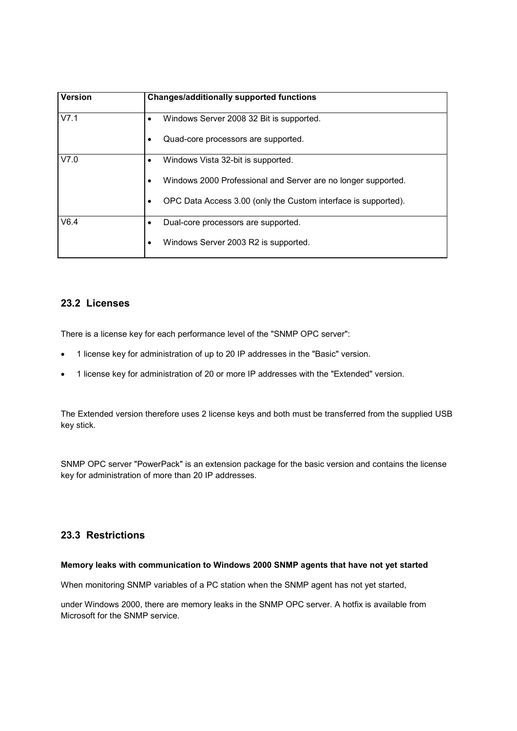| <b>Version</b> | <b>Changes/additionally supported functions</b>                             |
|----------------|-----------------------------------------------------------------------------|
| V7.1           | Windows Server 2008 32 Bit is supported.<br>$\bullet$                       |
|                | Quad-core processors are supported.<br>٠                                    |
| V7.0           | Windows Vista 32-bit is supported.<br>$\bullet$                             |
|                | Windows 2000 Professional and Server are no longer supported.<br>$\bullet$  |
|                | OPC Data Access 3.00 (only the Custom interface is supported).<br>$\bullet$ |
| V6.4           | Dual-core processors are supported.                                         |
|                | Windows Server 2003 R2 is supported.<br>٠                                   |

# **23.2 Licenses**

There is a license key for each performance level of the "SNMP OPC server":

- 1 license key for administration of up to 20 IP addresses in the "Basic" version.
- 1 license key for administration of 20 or more IP addresses with the "Extended" version.

The Extended version therefore uses 2 license keys and both must be transferred from the supplied USB key stick.

SNMP OPC server "PowerPack" is an extension package for the basic version and contains the license key for administration of more than 20 IP addresses.

# **23.3 Restrictions**

## **Memory leaks with communication to Windows 2000 SNMP agents that have not yet started**

When monitoring SNMP variables of a PC station when the SNMP agent has not yet started,

under Windows 2000, there are memory leaks in the SNMP OPC server. A hotfix is available from Microsoft for the SNMP service.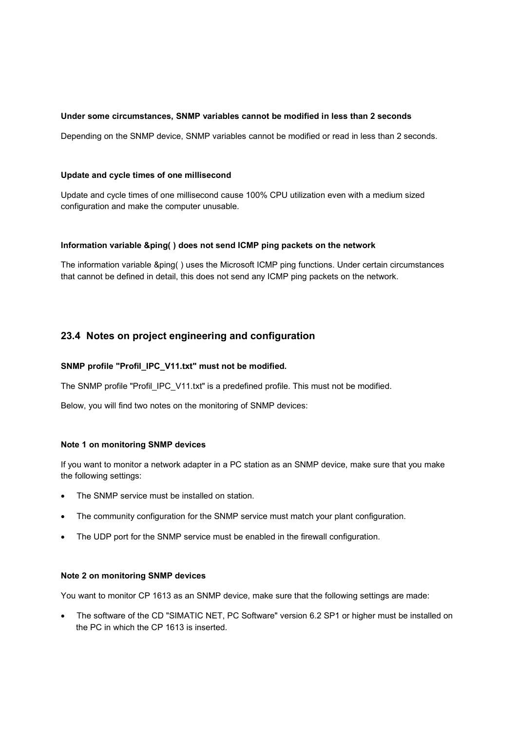## **Under some circumstances, SNMP variables cannot be modified in less than 2 seconds**

Depending on the SNMP device, SNMP variables cannot be modified or read in less than 2 seconds.

#### **Update and cycle times of one millisecond**

Update and cycle times of one millisecond cause 100% CPU utilization even with a medium sized configuration and make the computer unusable.

#### **Information variable &ping( ) does not send ICMP ping packets on the network**

The information variable &ping( ) uses the Microsoft ICMP ping functions. Under certain circumstances that cannot be defined in detail, this does not send any ICMP ping packets on the network.

# **23.4 Notes on project engineering and configuration**

## **SNMP profile "Profil\_IPC\_V11.txt" must not be modified.**

The SNMP profile "Profil\_IPC\_V11.txt" is a predefined profile. This must not be modified.

Below, you will find two notes on the monitoring of SNMP devices:

#### **Note 1 on monitoring SNMP devices**

If you want to monitor a network adapter in a PC station as an SNMP device, make sure that you make the following settings:

- The SNMP service must be installed on station.
- The community configuration for the SNMP service must match your plant configuration.
- The UDP port for the SNMP service must be enabled in the firewall configuration.

## **Note 2 on monitoring SNMP devices**

You want to monitor CP 1613 as an SNMP device, make sure that the following settings are made:

 The software of the CD "SIMATIC NET, PC Software" version 6.2 SP1 or higher must be installed on the PC in which the CP 1613 is inserted.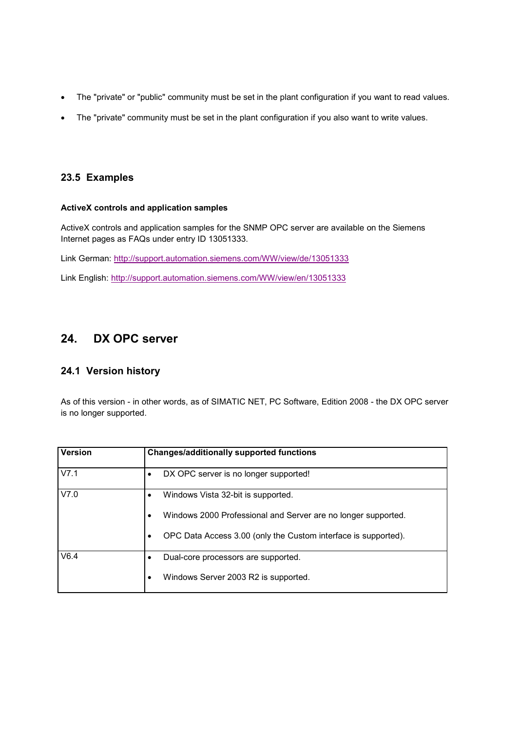- The "private" or "public" community must be set in the plant configuration if you want to read values.
- The "private" community must be set in the plant configuration if you also want to write values.

# **23.5 Examples**

## **ActiveX controls and application samples**

ActiveX controls and application samples for the SNMP OPC server are available on the Siemens Internet pages as FAQs under entry ID 13051333.

Link German: http://support.automation.siemens.com/WW/view/de/13051333

Link English: http://support.automation.siemens.com/WW/view/en/13051333

# **24. DX OPC server**

# **24.1 Version history**

As of this version - in other words, as of SIMATIC NET, PC Software, Edition 2008 - the DX OPC server is no longer supported.

| <b>Version</b> | <b>Changes/additionally supported functions</b>                |
|----------------|----------------------------------------------------------------|
| V7.1           | DX OPC server is no longer supported!                          |
| V7.0           | Windows Vista 32-bit is supported.                             |
|                | Windows 2000 Professional and Server are no longer supported.  |
|                | OPC Data Access 3.00 (only the Custom interface is supported). |
| V6.4           | Dual-core processors are supported.                            |
|                | Windows Server 2003 R2 is supported.                           |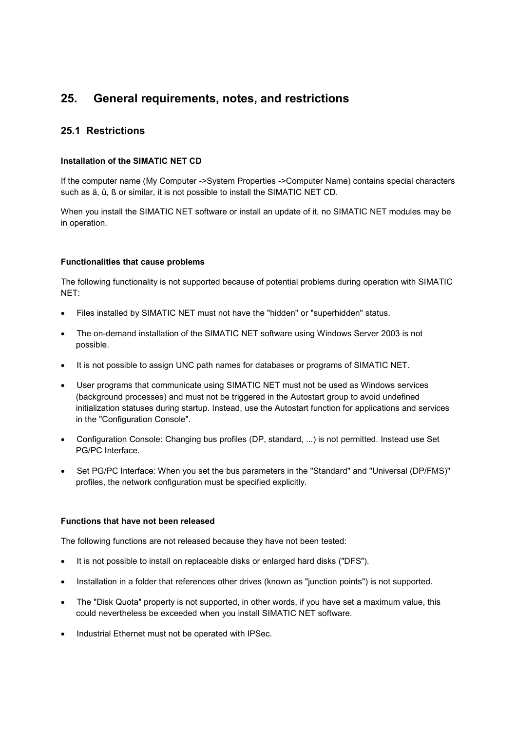# **25. General requirements, notes, and restrictions**

# **25.1 Restrictions**

## **Installation of the SIMATIC NET CD**

If the computer name (My Computer ->System Properties ->Computer Name) contains special characters such as ä, ü, ß or similar, it is not possible to install the SIMATIC NET CD.

When you install the SIMATIC NET software or install an update of it, no SIMATIC NET modules may be in operation.

## **Functionalities that cause problems**

The following functionality is not supported because of potential problems during operation with SIMATIC NET:

- Files installed by SIMATIC NET must not have the "hidden" or "superhidden" status.
- The on-demand installation of the SIMATIC NET software using Windows Server 2003 is not possible.
- It is not possible to assign UNC path names for databases or programs of SIMATIC NET.
- User programs that communicate using SIMATIC NET must not be used as Windows services (background processes) and must not be triggered in the Autostart group to avoid undefined initialization statuses during startup. Instead, use the Autostart function for applications and services in the "Configuration Console".
- Configuration Console: Changing bus profiles (DP, standard, ...) is not permitted. Instead use Set PG/PC Interface.
- Set PG/PC Interface: When you set the bus parameters in the "Standard" and "Universal (DP/FMS)" profiles, the network configuration must be specified explicitly.

## **Functions that have not been released**

The following functions are not released because they have not been tested:

- It is not possible to install on replaceable disks or enlarged hard disks ("DFS").
- Installation in a folder that references other drives (known as "junction points") is not supported.
- The "Disk Quota" property is not supported, in other words, if you have set a maximum value, this could nevertheless be exceeded when you install SIMATIC NET software.
- Industrial Ethernet must not be operated with IPSec.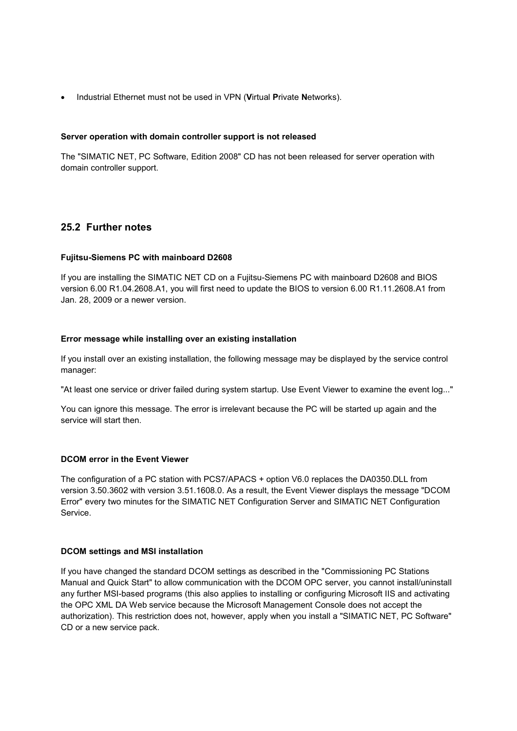Industrial Ethernet must not be used in VPN (**V**irtual **P**rivate **N**etworks).

## **Server operation with domain controller support is not released**

The "SIMATIC NET, PC Software, Edition 2008" CD has not been released for server operation with domain controller support.

# **25.2 Further notes**

## **Fujitsu-Siemens PC with mainboard D2608**

If you are installing the SIMATIC NET CD on a Fujitsu-Siemens PC with mainboard D2608 and BIOS version 6.00 R1.04.2608.A1, you will first need to update the BIOS to version 6.00 R1.11.2608.A1 from Jan. 28, 2009 or a newer version.

## **Error message while installing over an existing installation**

If you install over an existing installation, the following message may be displayed by the service control manager:

"At least one service or driver failed during system startup. Use Event Viewer to examine the event log..."

You can ignore this message. The error is irrelevant because the PC will be started up again and the service will start then.

#### **DCOM error in the Event Viewer**

The configuration of a PC station with PCS7/APACS + option V6.0 replaces the DA0350.DLL from version 3.50.3602 with version 3.51.1608.0. As a result, the Event Viewer displays the message "DCOM Error" every two minutes for the SIMATIC NET Configuration Server and SIMATIC NET Configuration **Service** 

#### **DCOM settings and MSI installation**

If you have changed the standard DCOM settings as described in the "Commissioning PC Stations Manual and Quick Start" to allow communication with the DCOM OPC server, you cannot install/uninstall any further MSI-based programs (this also applies to installing or configuring Microsoft IIS and activating the OPC XML DA Web service because the Microsoft Management Console does not accept the authorization). This restriction does not, however, apply when you install a "SIMATIC NET, PC Software" CD or a new service pack.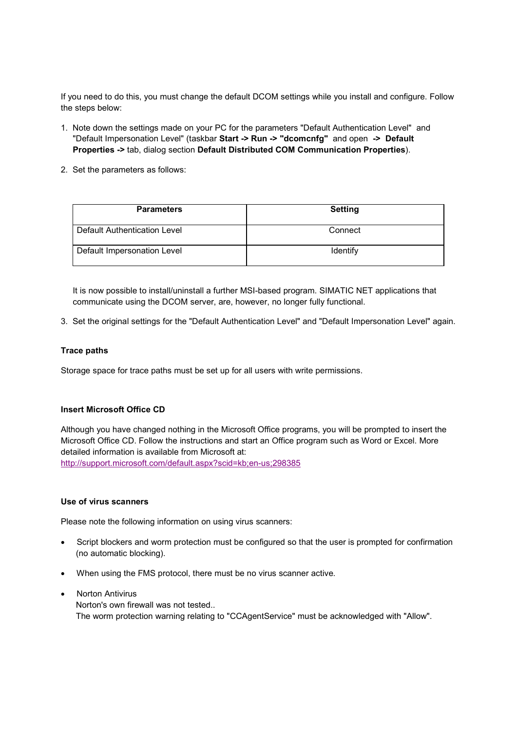If you need to do this, you must change the default DCOM settings while you install and configure. Follow the steps below:

- 1. Note down the settings made on your PC for the parameters "Default Authentication Level" and "Default Impersonation Level" (taskbar **Start -> Run -> "dcomcnfg"** and open **-> Default Properties ->** tab, dialog section **Default Distributed COM Communication Properties**).
- 2. Set the parameters as follows:

| <b>Parameters</b>            | <b>Setting</b> |
|------------------------------|----------------|
| Default Authentication Level | Connect        |
| Default Impersonation Level  | Identify       |

It is now possible to install/uninstall a further MSI-based program. SIMATIC NET applications that communicate using the DCOM server, are, however, no longer fully functional.

3. Set the original settings for the "Default Authentication Level" and "Default Impersonation Level" again.

## **Trace paths**

Storage space for trace paths must be set up for all users with write permissions.

## **Insert Microsoft Office CD**

Although you have changed nothing in the Microsoft Office programs, you will be prompted to insert the Microsoft Office CD. Follow the instructions and start an Office program such as Word or Excel. More detailed information is available from Microsoft at: http://support.microsoft.com/default.aspx?scid=kb;en-us;298385

#### **Use of virus scanners**

Please note the following information on using virus scanners:

- Script blockers and worm protection must be configured so that the user is prompted for confirmation (no automatic blocking).
- When using the FMS protocol, there must be no virus scanner active.
- Norton Antivirus Norton's own firewall was not tested.. The worm protection warning relating to "CCAgentService" must be acknowledged with "Allow".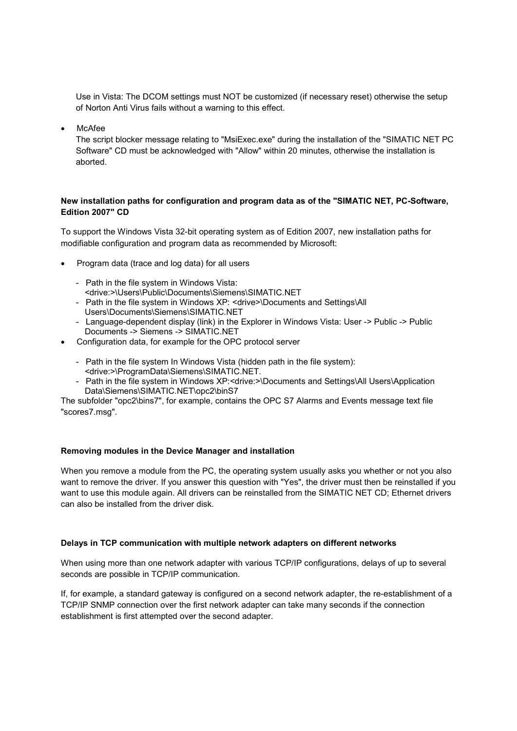Use in Vista: The DCOM settings must NOT be customized (if necessary reset) otherwise the setup of Norton Anti Virus fails without a warning to this effect.

McAfee

The script blocker message relating to "MsiExec.exe" during the installation of the "SIMATIC NET PC Software" CD must be acknowledged with "Allow" within 20 minutes, otherwise the installation is aborted.

## **New installation paths for configuration and program data as of the "SIMATIC NET, PC-Software, Edition 2007" CD**

To support the Windows Vista 32-bit operating system as of Edition 2007, new installation paths for modifiable configuration and program data as recommended by Microsoft:

- Program data (trace and log data) for all users
	- Path in the file system in Windows Vista: <drive:>\Users\Public\Documents\Siemens\SIMATIC.NET
	- Path in the file system in Windows XP: <drive>\Documents and Settings\All Users\Documents\Siemens\SIMATIC.NET
	- Language-dependent display (link) in the Explorer in Windows Vista: User -> Public -> Public Documents -> Siemens -> SIMATIC.NET
- Configuration data, for example for the OPC protocol server
	- Path in the file system In Windows Vista (hidden path in the file system): <drive:>\ProgramData\Siemens\SIMATIC.NET.
	- Path in the file system in Windows XP:<drive:>\Documents and Settings\All Users\Application Data\Siemens\SIMATIC.NET\opc2\binS7

The subfolder "opc2\bins7", for example, contains the OPC S7 Alarms and Events message text file "scores7.msg".

## **Removing modules in the Device Manager and installation**

When you remove a module from the PC, the operating system usually asks you whether or not you also want to remove the driver. If you answer this question with "Yes", the driver must then be reinstalled if you want to use this module again. All drivers can be reinstalled from the SIMATIC NET CD; Ethernet drivers can also be installed from the driver disk.

## **Delays in TCP communication with multiple network adapters on different networks**

When using more than one network adapter with various TCP/IP configurations, delays of up to several seconds are possible in TCP/IP communication.

If, for example, a standard gateway is configured on a second network adapter, the re-establishment of a TCP/IP SNMP connection over the first network adapter can take many seconds if the connection establishment is first attempted over the second adapter.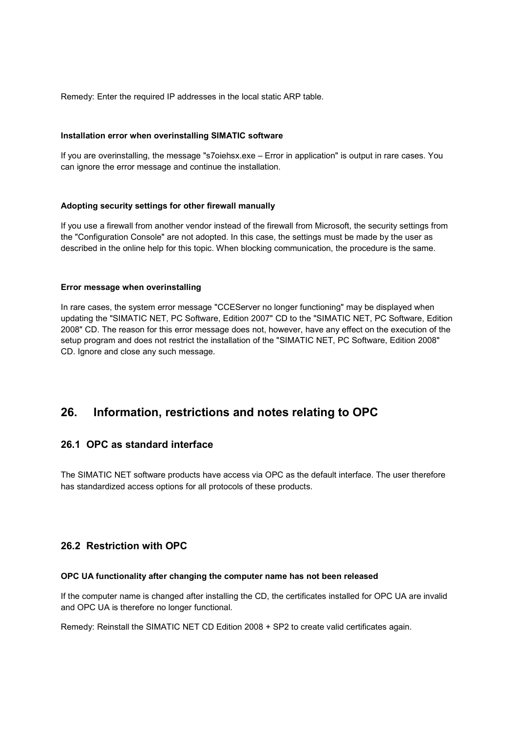Remedy: Enter the required IP addresses in the local static ARP table.

#### **Installation error when overinstalling SIMATIC software**

If you are overinstalling, the message "s7oiehsx.exe – Error in application" is output in rare cases. You can ignore the error message and continue the installation.

## **Adopting security settings for other firewall manually**

If you use a firewall from another vendor instead of the firewall from Microsoft, the security settings from the "Configuration Console" are not adopted. In this case, the settings must be made by the user as described in the online help for this topic. When blocking communication, the procedure is the same.

#### **Error message when overinstalling**

In rare cases, the system error message "CCEServer no longer functioning" may be displayed when updating the "SIMATIC NET, PC Software, Edition 2007" CD to the "SIMATIC NET, PC Software, Edition 2008" CD. The reason for this error message does not, however, have any effect on the execution of the setup program and does not restrict the installation of the "SIMATIC NET, PC Software, Edition 2008" CD. Ignore and close any such message.

# **26. Information, restrictions and notes relating to OPC**

# **26.1 OPC as standard interface**

The SIMATIC NET software products have access via OPC as the default interface. The user therefore has standardized access options for all protocols of these products.

# **26.2 Restriction with OPC**

#### **OPC UA functionality after changing the computer name has not been released**

If the computer name is changed after installing the CD, the certificates installed for OPC UA are invalid and OPC UA is therefore no longer functional.

Remedy: Reinstall the SIMATIC NET CD Edition 2008 + SP2 to create valid certificates again.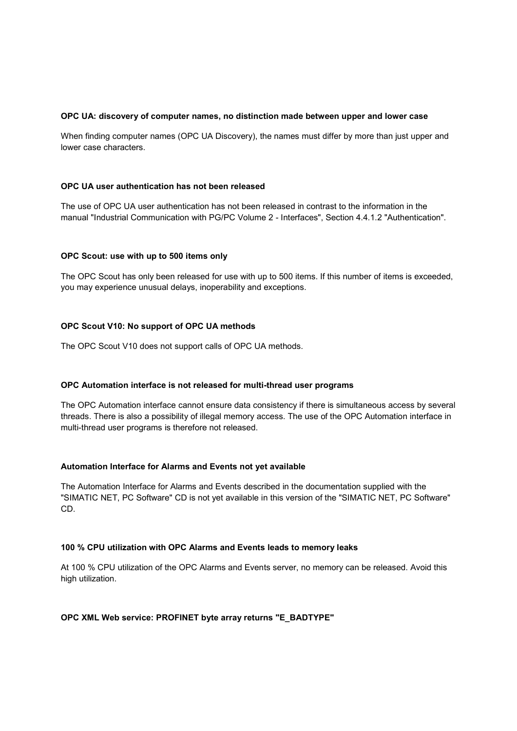#### **OPC UA: discovery of computer names, no distinction made between upper and lower case**

When finding computer names (OPC UA Discovery), the names must differ by more than just upper and lower case characters.

#### **OPC UA user authentication has not been released**

The use of OPC UA user authentication has not been released in contrast to the information in the manual "Industrial Communication with PG/PC Volume 2 - Interfaces", Section 4.4.1.2 "Authentication".

#### **OPC Scout: use with up to 500 items only**

The OPC Scout has only been released for use with up to 500 items. If this number of items is exceeded, you may experience unusual delays, inoperability and exceptions.

## **OPC Scout V10: No support of OPC UA methods**

The OPC Scout V10 does not support calls of OPC UA methods.

#### **OPC Automation interface is not released for multi-thread user programs**

The OPC Automation interface cannot ensure data consistency if there is simultaneous access by several threads. There is also a possibility of illegal memory access. The use of the OPC Automation interface in multi-thread user programs is therefore not released.

#### **Automation Interface for Alarms and Events not yet available**

The Automation Interface for Alarms and Events described in the documentation supplied with the "SIMATIC NET, PC Software" CD is not yet available in this version of the "SIMATIC NET, PC Software" CD.

#### **100 % CPU utilization with OPC Alarms and Events leads to memory leaks**

At 100 % CPU utilization of the OPC Alarms and Events server, no memory can be released. Avoid this high utilization.

#### **OPC XML Web service: PROFINET byte array returns "E\_BADTYPE"**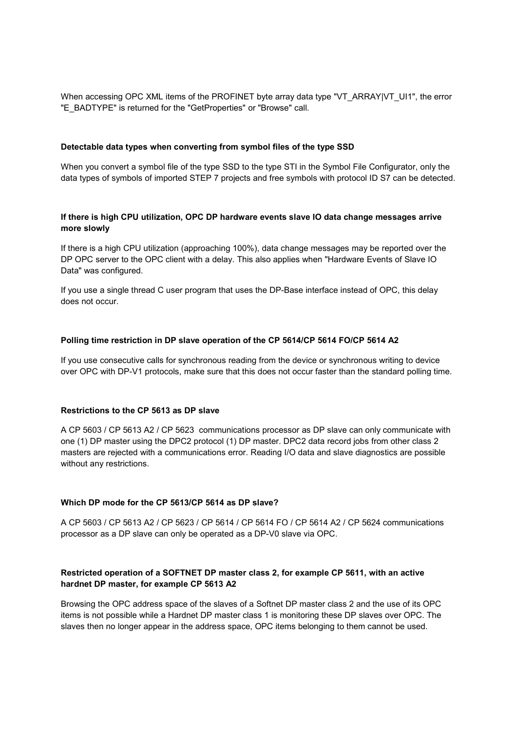When accessing OPC XML items of the PROFINET byte array data type "VT\_ARRAY|VT\_UI1", the error "E\_BADTYPE" is returned for the "GetProperties" or "Browse" call.

#### **Detectable data types when converting from symbol files of the type SSD**

When you convert a symbol file of the type SSD to the type STI in the Symbol File Configurator, only the data types of symbols of imported STEP 7 projects and free symbols with protocol ID S7 can be detected.

## **If there is high CPU utilization, OPC DP hardware events slave IO data change messages arrive more slowly**

If there is a high CPU utilization (approaching 100%), data change messages may be reported over the DP OPC server to the OPC client with a delay. This also applies when "Hardware Events of Slave IO Data" was configured.

If you use a single thread C user program that uses the DP-Base interface instead of OPC, this delay does not occur.

#### **Polling time restriction in DP slave operation of the CP 5614/CP 5614 FO/CP 5614 A2**

If you use consecutive calls for synchronous reading from the device or synchronous writing to device over OPC with DP-V1 protocols, make sure that this does not occur faster than the standard polling time.

#### **Restrictions to the CP 5613 as DP slave**

A CP 5603 / CP 5613 A2 / CP 5623 communications processor as DP slave can only communicate with one (1) DP master using the DPC2 protocol (1) DP master. DPC2 data record jobs from other class 2 masters are rejected with a communications error. Reading I/O data and slave diagnostics are possible without any restrictions.

#### **Which DP mode for the CP 5613/CP 5614 as DP slave?**

A CP 5603 / CP 5613 A2 / CP 5623 / CP 5614 / CP 5614 FO / CP 5614 A2 / CP 5624 communications processor as a DP slave can only be operated as a DP-V0 slave via OPC.

## **Restricted operation of a SOFTNET DP master class 2, for example CP 5611, with an active hardnet DP master, for example CP 5613 A2**

Browsing the OPC address space of the slaves of a Softnet DP master class 2 and the use of its OPC items is not possible while a Hardnet DP master class 1 is monitoring these DP slaves over OPC. The slaves then no longer appear in the address space, OPC items belonging to them cannot be used.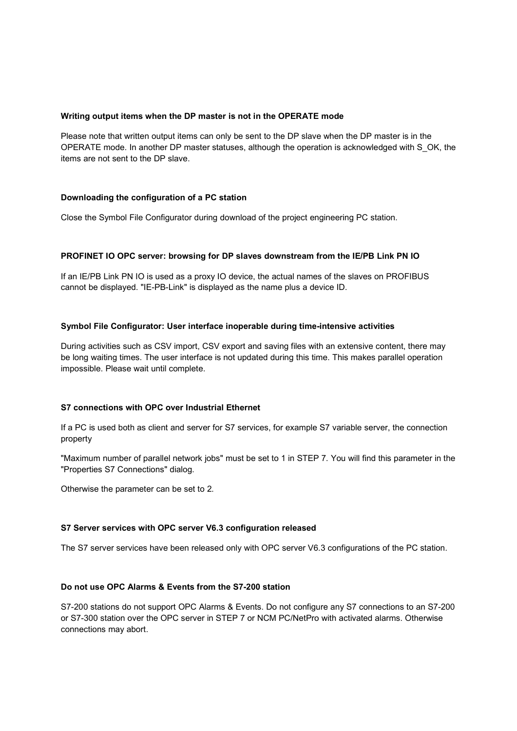#### **Writing output items when the DP master is not in the OPERATE mode**

Please note that written output items can only be sent to the DP slave when the DP master is in the OPERATE mode. In another DP master statuses, although the operation is acknowledged with S\_OK, the items are not sent to the DP slave.

## **Downloading the configuration of a PC station**

Close the Symbol File Configurator during download of the project engineering PC station.

## **PROFINET IO OPC server: browsing for DP slaves downstream from the IE/PB Link PN IO**

If an IE/PB Link PN IO is used as a proxy IO device, the actual names of the slaves on PROFIBUS cannot be displayed. "IE-PB-Link" is displayed as the name plus a device ID.

## **Symbol File Configurator: User interface inoperable during time-intensive activities**

During activities such as CSV import, CSV export and saving files with an extensive content, there may be long waiting times. The user interface is not updated during this time. This makes parallel operation impossible. Please wait until complete.

#### **S7 connections with OPC over Industrial Ethernet**

If a PC is used both as client and server for S7 services, for example S7 variable server, the connection property

"Maximum number of parallel network jobs" must be set to 1 in STEP 7. You will find this parameter in the "Properties S7 Connections" dialog.

Otherwise the parameter can be set to 2.

#### **S7 Server services with OPC server V6.3 configuration released**

The S7 server services have been released only with OPC server V6.3 configurations of the PC station.

## **Do not use OPC Alarms & Events from the S7-200 station**

S7-200 stations do not support OPC Alarms & Events. Do not configure any S7 connections to an S7-200 or S7-300 station over the OPC server in STEP 7 or NCM PC/NetPro with activated alarms. Otherwise connections may abort.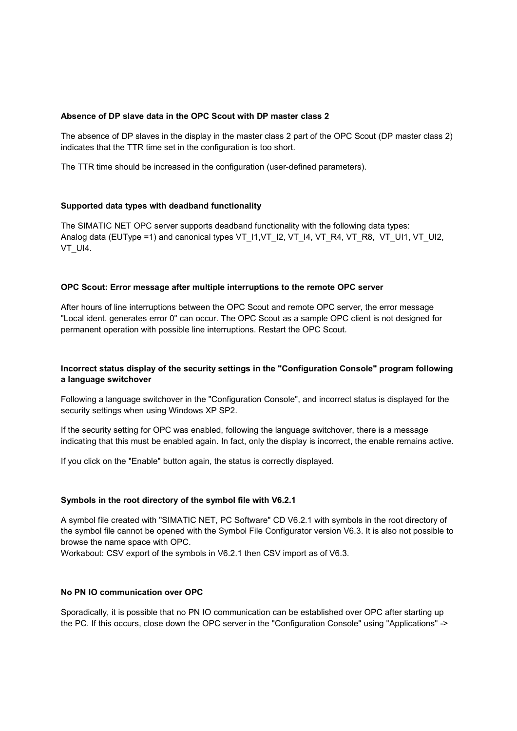#### **Absence of DP slave data in the OPC Scout with DP master class 2**

The absence of DP slaves in the display in the master class 2 part of the OPC Scout (DP master class 2) indicates that the TTR time set in the configuration is too short.

The TTR time should be increased in the configuration (user-defined parameters).

## **Supported data types with deadband functionality**

The SIMATIC NET OPC server supports deadband functionality with the following data types: Analog data (EUType =1) and canonical types VT\_I1, VT\_I2, VT\_I4, VT\_R4, VT\_R8, VT\_UI1, VT\_UI2, VT\_UI4.

#### **OPC Scout: Error message after multiple interruptions to the remote OPC server**

After hours of line interruptions between the OPC Scout and remote OPC server, the error message "Local ident. generates error 0" can occur. The OPC Scout as a sample OPC client is not designed for permanent operation with possible line interruptions. Restart the OPC Scout.

## **Incorrect status display of the security settings in the "Configuration Console" program following a language switchover**

Following a language switchover in the "Configuration Console", and incorrect status is displayed for the security settings when using Windows XP SP2.

If the security setting for OPC was enabled, following the language switchover, there is a message indicating that this must be enabled again. In fact, only the display is incorrect, the enable remains active.

If you click on the "Enable" button again, the status is correctly displayed.

#### **Symbols in the root directory of the symbol file with V6.2.1**

A symbol file created with "SIMATIC NET, PC Software" CD V6.2.1 with symbols in the root directory of the symbol file cannot be opened with the Symbol File Configurator version V6.3. It is also not possible to browse the name space with OPC.

Workabout: CSV export of the symbols in V6.2.1 then CSV import as of V6.3.

#### **No PN IO communication over OPC**

Sporadically, it is possible that no PN IO communication can be established over OPC after starting up the PC. If this occurs, close down the OPC server in the "Configuration Console" using "Applications" ->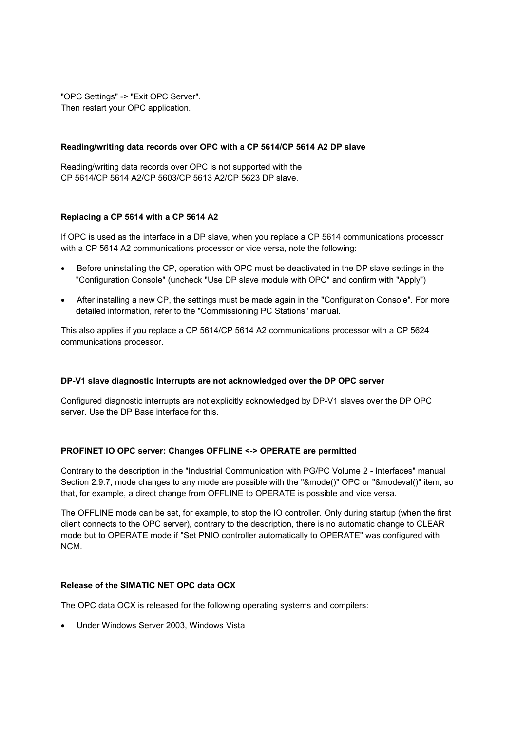"OPC Settings" -> "Exit OPC Server". Then restart your OPC application.

#### **Reading/writing data records over OPC with a CP 5614/CP 5614 A2 DP slave**

Reading/writing data records over OPC is not supported with the CP 5614/CP 5614 A2/CP 5603/CP 5613 A2/CP 5623 DP slave.

## **Replacing a CP 5614 with a CP 5614 A2**

If OPC is used as the interface in a DP slave, when you replace a CP 5614 communications processor with a CP 5614 A2 communications processor or vice versa, note the following:

- Before uninstalling the CP, operation with OPC must be deactivated in the DP slave settings in the "Configuration Console" (uncheck "Use DP slave module with OPC" and confirm with "Apply")
- After installing a new CP, the settings must be made again in the "Configuration Console". For more detailed information, refer to the "Commissioning PC Stations" manual.

This also applies if you replace a CP 5614/CP 5614 A2 communications processor with a CP 5624 communications processor.

#### **DP-V1 slave diagnostic interrupts are not acknowledged over the DP OPC server**

Configured diagnostic interrupts are not explicitly acknowledged by DP-V1 slaves over the DP OPC server. Use the DP Base interface for this.

## **PROFINET IO OPC server: Changes OFFLINE <-> OPERATE are permitted**

Contrary to the description in the "Industrial Communication with PG/PC Volume 2 - Interfaces" manual Section 2.9.7, mode changes to any mode are possible with the "&mode()" OPC or "&modeval()" item, so that, for example, a direct change from OFFLINE to OPERATE is possible and vice versa.

The OFFLINE mode can be set, for example, to stop the IO controller. Only during startup (when the first client connects to the OPC server), contrary to the description, there is no automatic change to CLEAR mode but to OPERATE mode if "Set PNIO controller automatically to OPERATE" was configured with NCM.

## **Release of the SIMATIC NET OPC data OCX**

The OPC data OCX is released for the following operating systems and compilers:

Under Windows Server 2003, Windows Vista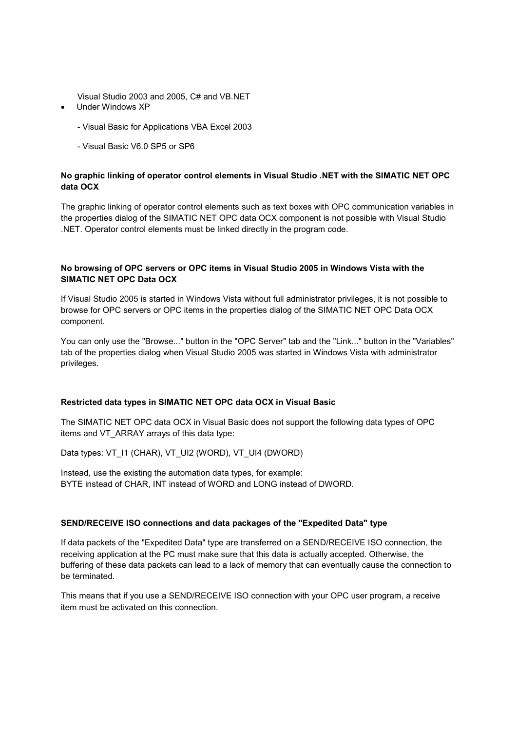Visual Studio 2003 and 2005, C# and VB.NET

- Under Windows XP
	- Visual Basic for Applications VBA Excel 2003
	- Visual Basic V6.0 SP5 or SP6

## **No graphic linking of operator control elements in Visual Studio .NET with the SIMATIC NET OPC data OCX**

The graphic linking of operator control elements such as text boxes with OPC communication variables in the properties dialog of the SIMATIC NET OPC data OCX component is not possible with Visual Studio .NET. Operator control elements must be linked directly in the program code.

## **No browsing of OPC servers or OPC items in Visual Studio 2005 in Windows Vista with the SIMATIC NET OPC Data OCX**

If Visual Studio 2005 is started in Windows Vista without full administrator privileges, it is not possible to browse for OPC servers or OPC items in the properties dialog of the SIMATIC NET OPC Data OCX component.

You can only use the "Browse..." button in the "OPC Server" tab and the "Link..." button in the "Variables" tab of the properties dialog when Visual Studio 2005 was started in Windows Vista with administrator privileges.

## **Restricted data types in SIMATIC NET OPC data OCX in Visual Basic**

The SIMATIC NET OPC data OCX in Visual Basic does not support the following data types of OPC items and VT\_ARRAY arrays of this data type:

Data types: VT\_I1 (CHAR), VT\_UI2 (WORD), VT\_UI4 (DWORD)

Instead, use the existing the automation data types, for example: BYTE instead of CHAR, INT instead of WORD and LONG instead of DWORD.

## **SEND/RECEIVE ISO connections and data packages of the "Expedited Data" type**

If data packets of the "Expedited Data" type are transferred on a SEND/RECEIVE ISO connection, the receiving application at the PC must make sure that this data is actually accepted. Otherwise, the buffering of these data packets can lead to a lack of memory that can eventually cause the connection to be terminated.

This means that if you use a SEND/RECEIVE ISO connection with your OPC user program, a receive item must be activated on this connection.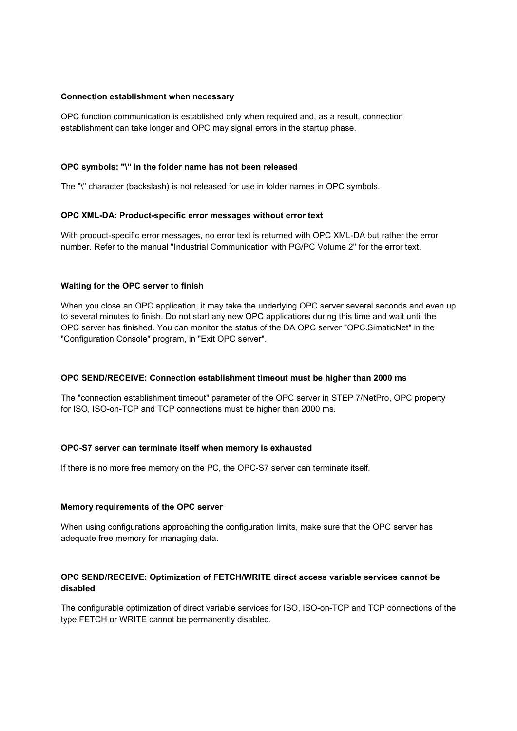#### **Connection establishment when necessary**

OPC function communication is established only when required and, as a result, connection establishment can take longer and OPC may signal errors in the startup phase.

#### **OPC symbols: "\" in the folder name has not been released**

The "\" character (backslash) is not released for use in folder names in OPC symbols.

## **OPC XML-DA: Product-specific error messages without error text**

With product-specific error messages, no error text is returned with OPC XML-DA but rather the error number. Refer to the manual "Industrial Communication with PG/PC Volume 2" for the error text.

## **Waiting for the OPC server to finish**

When you close an OPC application, it may take the underlying OPC server several seconds and even up to several minutes to finish. Do not start any new OPC applications during this time and wait until the OPC server has finished. You can monitor the status of the DA OPC server "OPC.SimaticNet" in the "Configuration Console" program, in "Exit OPC server".

#### **OPC SEND/RECEIVE: Connection establishment timeout must be higher than 2000 ms**

The "connection establishment timeout" parameter of the OPC server in STEP 7/NetPro, OPC property for ISO, ISO-on-TCP and TCP connections must be higher than 2000 ms.

#### **OPC-S7 server can terminate itself when memory is exhausted**

If there is no more free memory on the PC, the OPC-S7 server can terminate itself.

#### **Memory requirements of the OPC server**

When using configurations approaching the configuration limits, make sure that the OPC server has adequate free memory for managing data.

## **OPC SEND/RECEIVE: Optimization of FETCH/WRITE direct access variable services cannot be disabled**

The configurable optimization of direct variable services for ISO, ISO-on-TCP and TCP connections of the type FETCH or WRITE cannot be permanently disabled.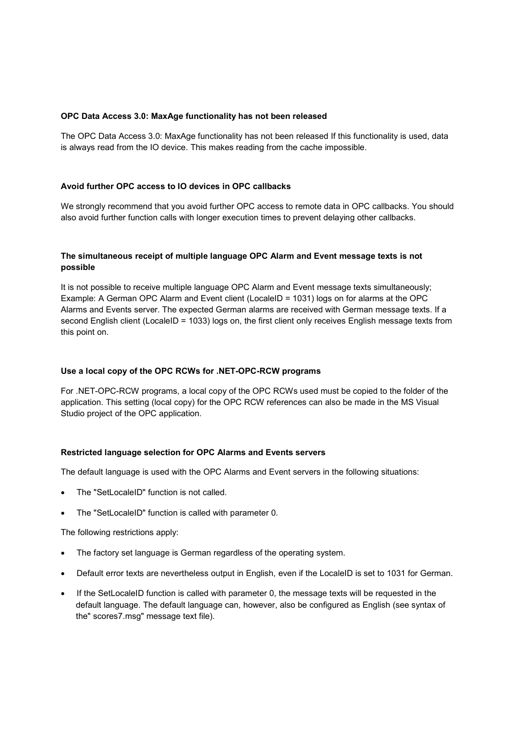#### **OPC Data Access 3.0: MaxAge functionality has not been released**

The OPC Data Access 3.0: MaxAge functionality has not been released If this functionality is used, data is always read from the IO device. This makes reading from the cache impossible.

#### **Avoid further OPC access to IO devices in OPC callbacks**

We strongly recommend that you avoid further OPC access to remote data in OPC callbacks. You should also avoid further function calls with longer execution times to prevent delaying other callbacks.

## **The simultaneous receipt of multiple language OPC Alarm and Event message texts is not possible**

It is not possible to receive multiple language OPC Alarm and Event message texts simultaneously; Example: A German OPC Alarm and Event client (LocaleID = 1031) logs on for alarms at the OPC Alarms and Events server. The expected German alarms are received with German message texts. If a second English client (LocaleID = 1033) logs on, the first client only receives English message texts from this point on.

#### **Use a local copy of the OPC RCWs for .NET-OPC-RCW programs**

For .NET-OPC-RCW programs, a local copy of the OPC RCWs used must be copied to the folder of the application. This setting (local copy) for the OPC RCW references can also be made in the MS Visual Studio project of the OPC application.

#### **Restricted language selection for OPC Alarms and Events servers**

The default language is used with the OPC Alarms and Event servers in the following situations:

- The "SetLocaleID" function is not called.
- The "SetLocaleID" function is called with parameter 0.

The following restrictions apply:

- The factory set language is German regardless of the operating system.
- Default error texts are nevertheless output in English, even if the LocaleID is set to 1031 for German.
- If the SetLocaleID function is called with parameter 0, the message texts will be requested in the default language. The default language can, however, also be configured as English (see syntax of the" scores7.msg" message text file).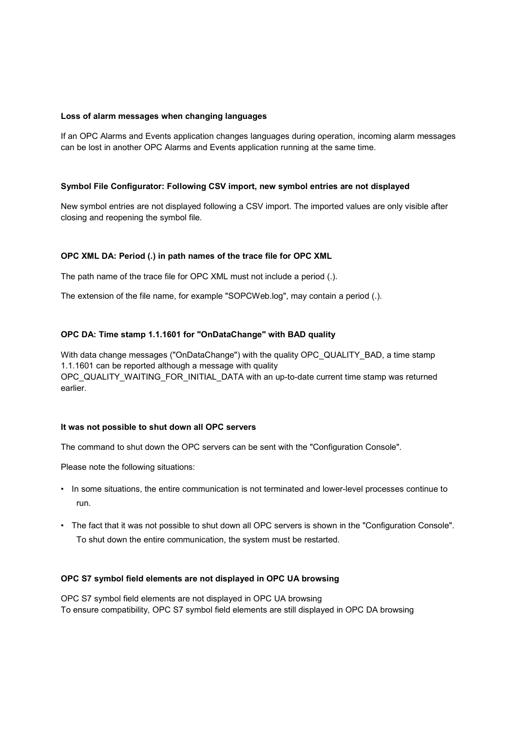#### **Loss of alarm messages when changing languages**

If an OPC Alarms and Events application changes languages during operation, incoming alarm messages can be lost in another OPC Alarms and Events application running at the same time.

#### **Symbol File Configurator: Following CSV import, new symbol entries are not displayed**

New symbol entries are not displayed following a CSV import. The imported values are only visible after closing and reopening the symbol file.

#### **OPC XML DA: Period (.) in path names of the trace file for OPC XML**

The path name of the trace file for OPC XML must not include a period (.).

The extension of the file name, for example "SOPCWeb.log", may contain a period (.).

#### **OPC DA: Time stamp 1.1.1601 for "OnDataChange" with BAD quality**

With data change messages ("OnDataChange") with the quality OPC\_QUALITY\_BAD, a time stamp 1.1.1601 can be reported although a message with quality OPC\_QUALITY\_WAITING\_FOR\_INITIAL\_DATA with an up-to-date current time stamp was returned earlier.

#### **It was not possible to shut down all OPC servers**

The command to shut down the OPC servers can be sent with the "Configuration Console".

Please note the following situations:

- In some situations, the entire communication is not terminated and lower-level processes continue to run.
- The fact that it was not possible to shut down all OPC servers is shown in the "Configuration Console". To shut down the entire communication, the system must be restarted.

#### **OPC S7 symbol field elements are not displayed in OPC UA browsing**

OPC S7 symbol field elements are not displayed in OPC UA browsing To ensure compatibility, OPC S7 symbol field elements are still displayed in OPC DA browsing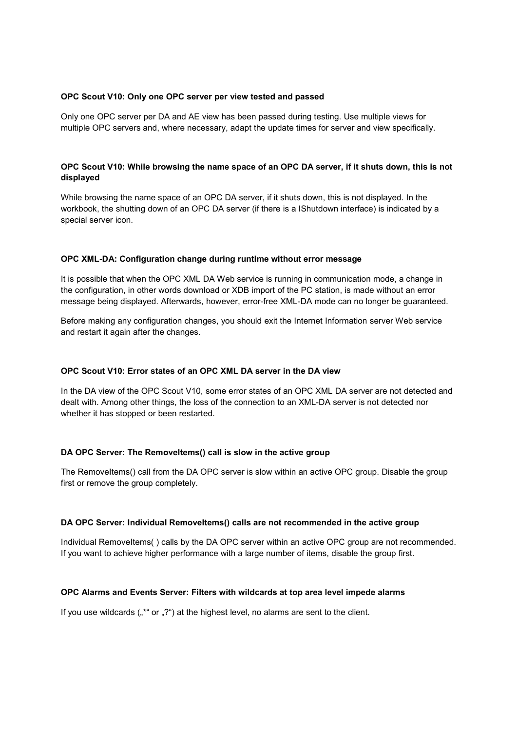#### **OPC Scout V10: Only one OPC server per view tested and passed**

Only one OPC server per DA and AE view has been passed during testing. Use multiple views for multiple OPC servers and, where necessary, adapt the update times for server and view specifically.

## **OPC Scout V10: While browsing the name space of an OPC DA server, if it shuts down, this is not displayed**

While browsing the name space of an OPC DA server, if it shuts down, this is not displayed. In the workbook, the shutting down of an OPC DA server (if there is a IShutdown interface) is indicated by a special server icon.

#### **OPC XML-DA: Configuration change during runtime without error message**

It is possible that when the OPC XML DA Web service is running in communication mode, a change in the configuration, in other words download or XDB import of the PC station, is made without an error message being displayed. Afterwards, however, error-free XML-DA mode can no longer be guaranteed.

Before making any configuration changes, you should exit the Internet Information server Web service and restart it again after the changes.

#### **OPC Scout V10: Error states of an OPC XML DA server in the DA view**

In the DA view of the OPC Scout V10, some error states of an OPC XML DA server are not detected and dealt with. Among other things, the loss of the connection to an XML-DA server is not detected nor whether it has stopped or been restarted.

#### **DA OPC Server: The RemoveItems() call is slow in the active group**

The RemoveItems() call from the DA OPC server is slow within an active OPC group. Disable the group first or remove the group completely.

#### DA OPC Server: Individual RemoveItems() calls are not recommended in the active group

Individual RemoveItems( ) calls by the DA OPC server within an active OPC group are not recommended. If you want to achieve higher performance with a large number of items, disable the group first.

#### **OPC Alarms and Events Server: Filters with wildcards at top area level impede alarms**

If you use wildcards  $\binom{4}{7}$  or  $\binom{2}{1}$  at the highest level, no alarms are sent to the client.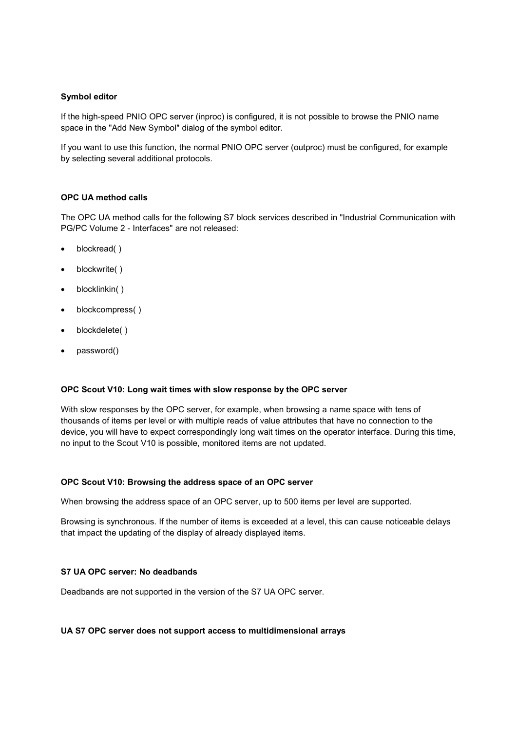#### **Symbol editor**

If the high-speed PNIO OPC server (inproc) is configured, it is not possible to browse the PNIO name space in the "Add New Symbol" dialog of the symbol editor.

If you want to use this function, the normal PNIO OPC server (outproc) must be configured, for example by selecting several additional protocols.

#### **OPC UA method calls**

The OPC UA method calls for the following S7 block services described in "Industrial Communication with PG/PC Volume 2 - Interfaces" are not released:

- blockread( )
- blockwrite()
- blocklinkin( )
- blockcompress( )
- blockdelete( )
- password()

#### **OPC Scout V10: Long wait times with slow response by the OPC server**

With slow responses by the OPC server, for example, when browsing a name space with tens of thousands of items per level or with multiple reads of value attributes that have no connection to the device, you will have to expect correspondingly long wait times on the operator interface. During this time, no input to the Scout V10 is possible, monitored items are not updated.

#### **OPC Scout V10: Browsing the address space of an OPC server**

When browsing the address space of an OPC server, up to 500 items per level are supported.

Browsing is synchronous. If the number of items is exceeded at a level, this can cause noticeable delays that impact the updating of the display of already displayed items.

#### **S7 UA OPC server: No deadbands**

Deadbands are not supported in the version of the S7 UA OPC server.

#### **UA S7 OPC server does not support access to multidimensional arrays**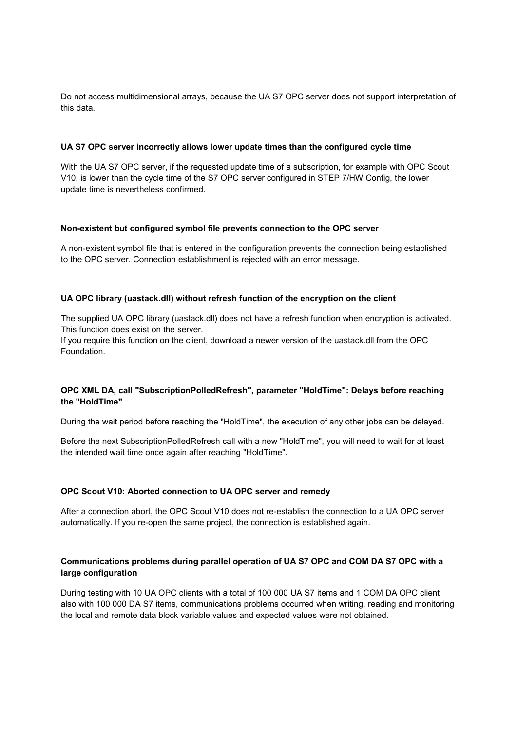Do not access multidimensional arrays, because the UA S7 OPC server does not support interpretation of this data.

#### **UA S7 OPC server incorrectly allows lower update times than the configured cycle time**

With the UA S7 OPC server, if the requested update time of a subscription, for example with OPC Scout V10, is lower than the cycle time of the S7 OPC server configured in STEP 7/HW Config, the lower update time is nevertheless confirmed.

#### **Non-existent but configured symbol file prevents connection to the OPC server**

A non-existent symbol file that is entered in the configuration prevents the connection being established to the OPC server. Connection establishment is rejected with an error message.

#### **UA OPC library (uastack.dll) without refresh function of the encryption on the client**

The supplied UA OPC library (uastack.dll) does not have a refresh function when encryption is activated. This function does exist on the server.

If you require this function on the client, download a newer version of the uastack.dll from the OPC Foundation.

## **OPC XML DA, call "SubscriptionPolledRefresh", parameter "HoldTime": Delays before reaching the "HoldTime"**

During the wait period before reaching the "HoldTime", the execution of any other jobs can be delayed.

Before the next SubscriptionPolledRefresh call with a new "HoldTime", you will need to wait for at least the intended wait time once again after reaching "HoldTime".

#### **OPC Scout V10: Aborted connection to UA OPC server and remedy**

After a connection abort, the OPC Scout V10 does not re-establish the connection to a UA OPC server automatically. If you re-open the same project, the connection is established again.

## **Communications problems during parallel operation of UA S7 OPC and COM DA S7 OPC with a large configuration**

During testing with 10 UA OPC clients with a total of 100 000 UA S7 items and 1 COM DA OPC client also with 100 000 DA S7 items, communications problems occurred when writing, reading and monitoring the local and remote data block variable values and expected values were not obtained.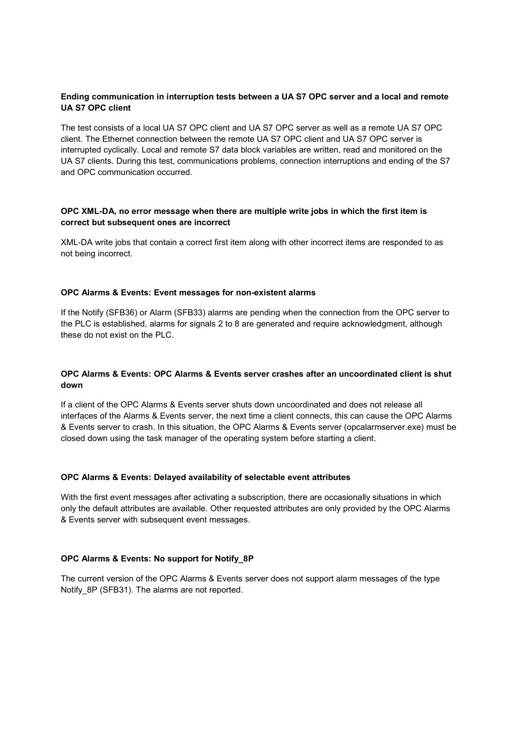#### **Ending communication in interruption tests between a UA S7 OPC server and a local and remote UA S7 OPC client**

The test consists of a local UA S7 OPC client and UA S7 OPC server as well as a remote UA S7 OPC client. The Ethernet connection between the remote UA S7 OPC client and UA S7 OPC server is interrupted cyclically. Local and remote S7 data block variables are written, read and monitored on the UA S7 clients. During this test, communications problems, connection interruptions and ending of the S7 and OPC communication occurred.

#### **OPC XML-DA, no error message when there are multiple write jobs in which the first item is correct but subsequent ones are incorrect**

XML-DA write jobs that contain a correct first item along with other incorrect items are responded to as not being incorrect.

#### **OPC Alarms & Events: Event messages for non-existent alarms**

If the Notify (SFB36) or Alarm (SFB33) alarms are pending when the connection from the OPC server to the PLC is established, alarms for signals 2 to 8 are generated and require acknowledgment, although these do not exist on the PLC.

#### **OPC Alarms & Events: OPC Alarms & Events server crashes after an uncoordinated client is shut down**

If a client of the OPC Alarms & Events server shuts down uncoordinated and does not release all interfaces of the Alarms & Events server, the next time a client connects, this can cause the OPC Alarms & Events server to crash. In this situation, the OPC Alarms & Events server (opcalarmserver.exe) must be closed down using the task manager of the operating system before starting a client.

#### **OPC Alarms & Events: Delayed availability of selectable event attributes**

With the first event messages after activating a subscription, there are occasionally situations in which only the default attributes are available. Other requested attributes are only provided by the OPC Alarms & Events server with subsequent event messages.

#### **OPC Alarms & Events: No support for Notify\_8P**

The current version of the OPC Alarms & Events server does not support alarm messages of the type Notify 8P (SFB31). The alarms are not reported.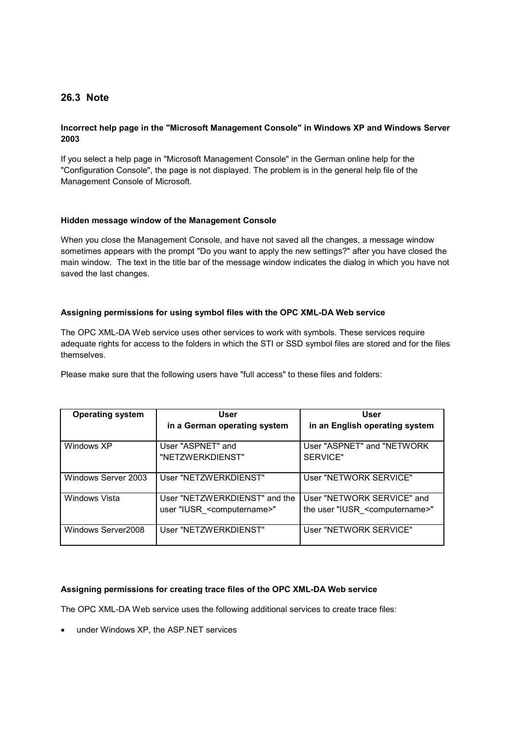## **26.3 Note**

#### **Incorrect help page in the "Microsoft Management Console" in Windows XP and Windows Server 2003**

If you select a help page in "Microsoft Management Console" in the German online help for the "Configuration Console", the page is not displayed. The problem is in the general help file of the Management Console of Microsoft.

#### **Hidden message window of the Management Console**

When you close the Management Console, and have not saved all the changes, a message window sometimes appears with the prompt "Do you want to apply the new settings?" after you have closed the main window. The text in the title bar of the message window indicates the dialog in which you have not saved the last changes.

#### **Assigning permissions for using symbol files with the OPC XML-DA Web service**

The OPC XML-DA Web service uses other services to work with symbols. These services require adequate rights for access to the folders in which the STI or SSD symbol files are stored and for the files themselves.

Please make sure that the following users have "full access" to these files and folders:

| <b>Operating system</b> | <b>User</b>                                                                | User                                                                        |
|-------------------------|----------------------------------------------------------------------------|-----------------------------------------------------------------------------|
|                         | in a German operating system                                               | in an English operating system                                              |
| Windows XP              | User "ASPNET" and<br>"NETZWERKDIENST"                                      | User "ASPNET" and "NETWORK<br>SERVICE"                                      |
| Windows Server 2003     | User "NETZWERKDIENST"                                                      | User "NETWORK SERVICE"                                                      |
| Windows Vista           | User "NETZWERKDIENST" and the<br>user "IUSR <computername>"</computername> | User "NETWORK SERVICE" and<br>the user "IUSR <computername>"</computername> |
| Windows Server2008      | User "NETZWERKDIENST"                                                      | User "NETWORK SERVICE"                                                      |

## **Assigning permissions for creating trace files of the OPC XML-DA Web service**

The OPC XML-DA Web service uses the following additional services to create trace files:

under Windows XP, the ASP.NET services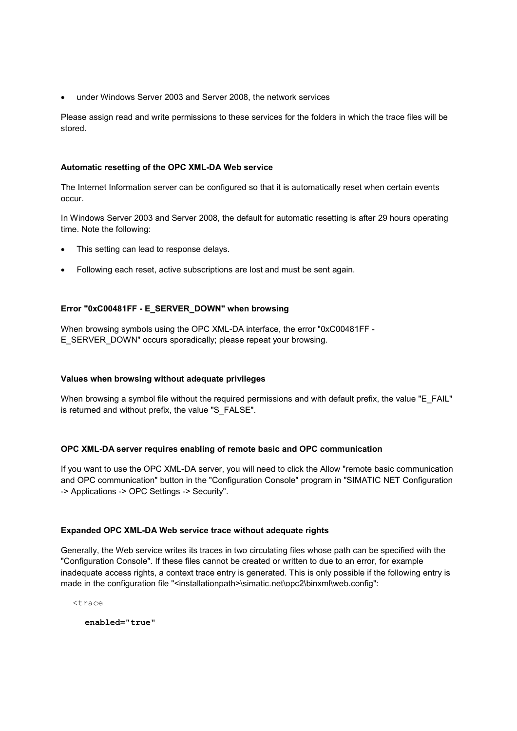under Windows Server 2003 and Server 2008, the network services

Please assign read and write permissions to these services for the folders in which the trace files will be stored.

#### **Automatic resetting of the OPC XML-DA Web service**

The Internet Information server can be configured so that it is automatically reset when certain events occur.

In Windows Server 2003 and Server 2008, the default for automatic resetting is after 29 hours operating time. Note the following:

- This setting can lead to response delays.
- Following each reset, active subscriptions are lost and must be sent again.

## **Error "0xC00481FF - E\_SERVER\_DOWN" when browsing**

When browsing symbols using the OPC XML-DA interface, the error "0xC00481FF - E\_SERVER\_DOWN" occurs sporadically; please repeat your browsing.

## **Values when browsing without adequate privileges**

When browsing a symbol file without the required permissions and with default prefix, the value "E\_FAIL" is returned and without prefix, the value "S\_FALSE".

## **OPC XML-DA server requires enabling of remote basic and OPC communication**

If you want to use the OPC XML-DA server, you will need to click the Allow "remote basic communication and OPC communication" button in the "Configuration Console" program in "SIMATIC NET Configuration -> Applications -> OPC Settings -> Security".

#### **Expanded OPC XML-DA Web service trace without adequate rights**

Generally, the Web service writes its traces in two circulating files whose path can be specified with the "Configuration Console". If these files cannot be created or written to due to an error, for example inadequate access rights, a context trace entry is generated. This is only possible if the following entry is made in the configuration file "<installationpath>\simatic.net\opc2\binxml\web.config":

<trace

**enabled="true"**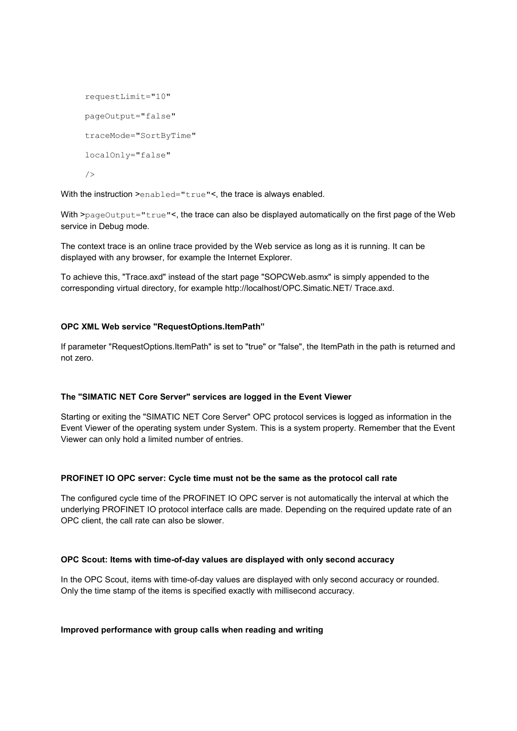```
requestLimit="10"
pageOutput="false"
traceMode="SortByTime"
localOnly="false"
/>
```
With the instruction >enabled="true"<, the trace is always enabled.

With >pageOutput="true"<, the trace can also be displayed automatically on the first page of the Web service in Debug mode.

The context trace is an online trace provided by the Web service as long as it is running. It can be displayed with any browser, for example the Internet Explorer.

To achieve this, "Trace.axd" instead of the start page "SOPCWeb.asmx" is simply appended to the corresponding virtual directory, for example http://localhost/OPC.Simatic.NET/ Trace.axd.

## **OPC XML Web service "RequestOptions.ItemPath"**

If parameter "RequestOptions.ItemPath" is set to "true" or "false", the ItemPath in the path is returned and not zero.

#### **The "SIMATIC NET Core Server" services are logged in the Event Viewer**

Starting or exiting the "SIMATIC NET Core Server" OPC protocol services is logged as information in the Event Viewer of the operating system under System. This is a system property. Remember that the Event Viewer can only hold a limited number of entries.

#### **PROFINET IO OPC server: Cycle time must not be the same as the protocol call rate**

The configured cycle time of the PROFINET IO OPC server is not automatically the interval at which the underlying PROFINET IO protocol interface calls are made. Depending on the required update rate of an OPC client, the call rate can also be slower.

#### **OPC Scout: Items with time-of-day values are displayed with only second accuracy**

In the OPC Scout, items with time-of-day values are displayed with only second accuracy or rounded. Only the time stamp of the items is specified exactly with millisecond accuracy.

#### **Improved performance with group calls when reading and writing**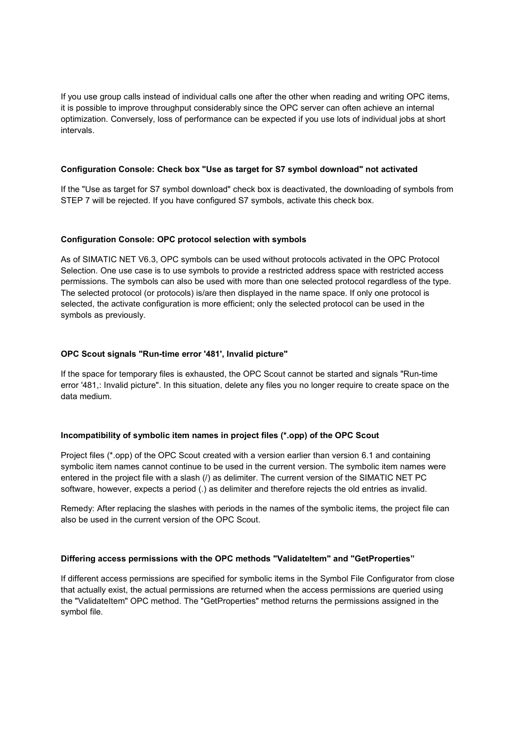If you use group calls instead of individual calls one after the other when reading and writing OPC items, it is possible to improve throughput considerably since the OPC server can often achieve an internal optimization. Conversely, loss of performance can be expected if you use lots of individual jobs at short intervals.

#### **Configuration Console: Check box "Use as target for S7 symbol download" not activated**

If the "Use as target for S7 symbol download" check box is deactivated, the downloading of symbols from STEP 7 will be rejected. If you have configured S7 symbols, activate this check box.

#### **Configuration Console: OPC protocol selection with symbols**

As of SIMATIC NET V6.3, OPC symbols can be used without protocols activated in the OPC Protocol Selection. One use case is to use symbols to provide a restricted address space with restricted access permissions. The symbols can also be used with more than one selected protocol regardless of the type. The selected protocol (or protocols) is/are then displayed in the name space. If only one protocol is selected, the activate configuration is more efficient; only the selected protocol can be used in the symbols as previously.

#### **OPC Scout signals "Run-time error '481', Invalid picture"**

If the space for temporary files is exhausted, the OPC Scout cannot be started and signals "Run-time error '481,: Invalid picture". In this situation, delete any files you no longer require to create space on the data medium.

#### **Incompatibility of symbolic item names in project files (\*.opp) of the OPC Scout**

Project files (\*.opp) of the OPC Scout created with a version earlier than version 6.1 and containing symbolic item names cannot continue to be used in the current version. The symbolic item names were entered in the project file with a slash (/) as delimiter. The current version of the SIMATIC NET PC software, however, expects a period (.) as delimiter and therefore rejects the old entries as invalid.

Remedy: After replacing the slashes with periods in the names of the symbolic items, the project file can also be used in the current version of the OPC Scout.

#### **Differing access permissions with the OPC methods "ValidateItem" and "GetProperties"**

If different access permissions are specified for symbolic items in the Symbol File Configurator from close that actually exist, the actual permissions are returned when the access permissions are queried using the "ValidateItem" OPC method. The "GetProperties" method returns the permissions assigned in the symbol file.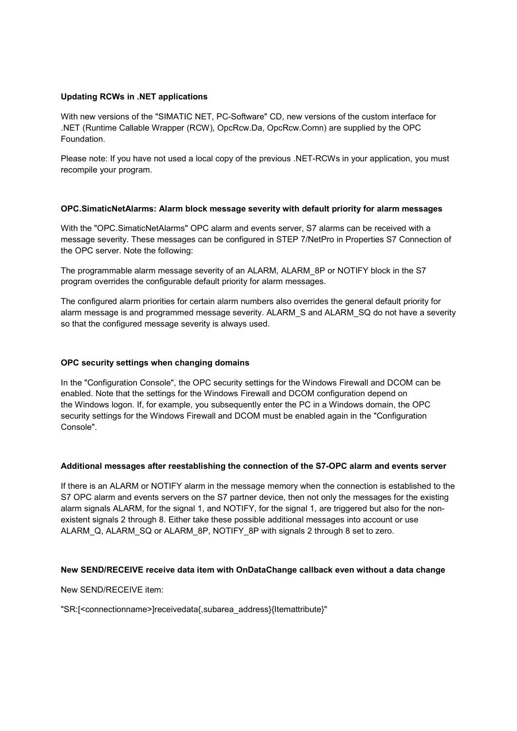#### **Updating RCWs in .NET applications**

With new versions of the "SIMATIC NET, PC-Software" CD, new versions of the custom interface for .NET (Runtime Callable Wrapper (RCW), OpcRcw.Da, OpcRcw.Comn) are supplied by the OPC Foundation.

Please note: If you have not used a local copy of the previous .NET-RCWs in your application, you must recompile your program.

#### **OPC.SimaticNetAlarms: Alarm block message severity with default priority for alarm messages**

With the "OPC.SimaticNetAlarms" OPC alarm and events server, S7 alarms can be received with a message severity. These messages can be configured in STEP 7/NetPro in Properties S7 Connection of the OPC server. Note the following:

The programmable alarm message severity of an ALARM, ALARM\_8P or NOTIFY block in the S7 program overrides the configurable default priority for alarm messages.

The configured alarm priorities for certain alarm numbers also overrides the general default priority for alarm message is and programmed message severity. ALARM\_S and ALARM\_SQ do not have a severity so that the configured message severity is always used.

#### **OPC security settings when changing domains**

In the "Configuration Console", the OPC security settings for the Windows Firewall and DCOM can be enabled. Note that the settings for the Windows Firewall and DCOM configuration depend on the Windows logon. If, for example, you subsequently enter the PC in a Windows domain, the OPC security settings for the Windows Firewall and DCOM must be enabled again in the "Configuration Console".

#### **Additional messages after reestablishing the connection of the S7-OPC alarm and events server**

If there is an ALARM or NOTIFY alarm in the message memory when the connection is established to the S7 OPC alarm and events servers on the S7 partner device, then not only the messages for the existing alarm signals ALARM, for the signal 1, and NOTIFY, for the signal 1, are triggered but also for the nonexistent signals 2 through 8. Either take these possible additional messages into account or use ALARM\_Q, ALARM\_SQ or ALARM\_8P, NOTIFY\_8P with signals 2 through 8 set to zero.

#### **New SEND/RECEIVE receive data item with OnDataChange callback even without a data change**

New SEND/RECEIVE item:

"SR:[<connectionname>]receivedata{,subarea\_address}{Itemattribute}"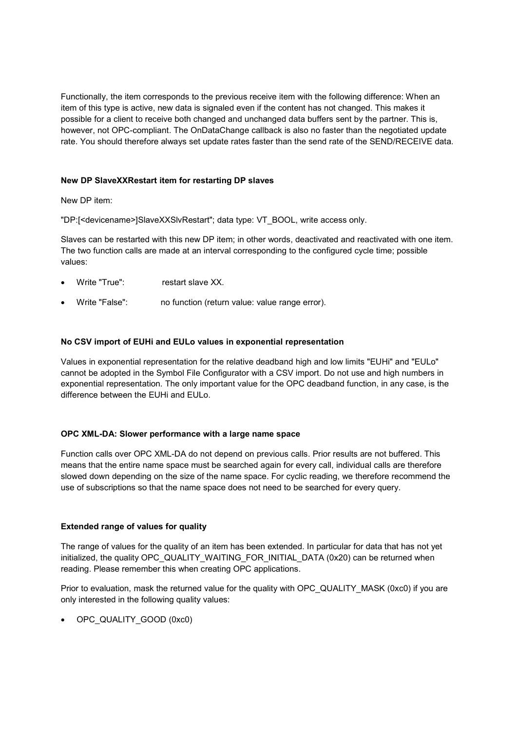Functionally, the item corresponds to the previous receive item with the following difference: When an item of this type is active, new data is signaled even if the content has not changed. This makes it possible for a client to receive both changed and unchanged data buffers sent by the partner. This is, however, not OPC-compliant. The OnDataChange callback is also no faster than the negotiated update rate. You should therefore always set update rates faster than the send rate of the SEND/RECEIVE data.

#### **New DP SlaveXXRestart item for restarting DP slaves**

New DP item:

"DP:[<devicename>]SlaveXXSlvRestart"; data type: VT\_BOOL, write access only.

Slaves can be restarted with this new DP item; in other words, deactivated and reactivated with one item. The two function calls are made at an interval corresponding to the configured cycle time; possible values:

- Write "True": restart slave XX
- Write "False": no function (return value: value range error).

#### **No CSV import of EUHi and EULo values in exponential representation**

Values in exponential representation for the relative deadband high and low limits "EUHi" and "EULo" cannot be adopted in the Symbol File Configurator with a CSV import. Do not use and high numbers in exponential representation. The only important value for the OPC deadband function, in any case, is the difference between the EUHi and EULo.

#### **OPC XML-DA: Slower performance with a large name space**

Function calls over OPC XML-DA do not depend on previous calls. Prior results are not buffered. This means that the entire name space must be searched again for every call, individual calls are therefore slowed down depending on the size of the name space. For cyclic reading, we therefore recommend the use of subscriptions so that the name space does not need to be searched for every query.

#### **Extended range of values for quality**

The range of values for the quality of an item has been extended. In particular for data that has not yet initialized, the quality OPC\_QUALITY\_WAITING\_FOR\_INITIAL\_DATA (0x20) can be returned when reading. Please remember this when creating OPC applications.

Prior to evaluation, mask the returned value for the quality with OPC\_QUALITY\_MASK (0xc0) if you are only interested in the following quality values:

OPC\_QUALITY\_GOOD (0xc0)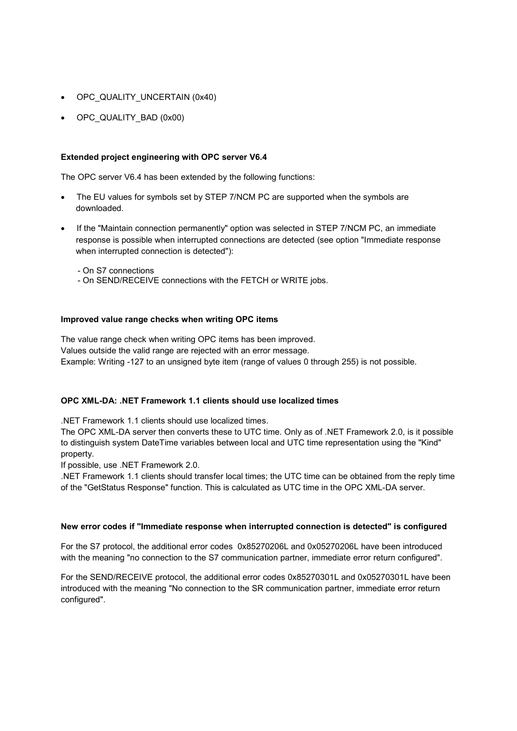- OPC\_QUALITY\_UNCERTAIN (0x40)
- OPC\_QUALITY\_BAD (0x00)

#### **Extended project engineering with OPC server V6.4**

The OPC server V6.4 has been extended by the following functions:

- The EU values for symbols set by STEP 7/NCM PC are supported when the symbols are downloaded.
- If the "Maintain connection permanently" option was selected in STEP 7/NCM PC, an immediate response is possible when interrupted connections are detected (see option "Immediate response when interrupted connection is detected"):

- On S7 connections

- On SEND/RECEIVE connections with the FETCH or WRITE jobs.

#### **Improved value range checks when writing OPC items**

The value range check when writing OPC items has been improved. Values outside the valid range are rejected with an error message. Example: Writing -127 to an unsigned byte item (range of values 0 through 255) is not possible.

#### **OPC XML-DA: .NET Framework 1.1 clients should use localized times**

.NET Framework 1.1 clients should use localized times.

The OPC XML-DA server then converts these to UTC time. Only as of .NET Framework 2.0, is it possible to distinguish system DateTime variables between local and UTC time representation using the "Kind" property.

If possible, use .NET Framework 2.0.

.NET Framework 1.1 clients should transfer local times; the UTC time can be obtained from the reply time of the "GetStatus Response" function. This is calculated as UTC time in the OPC XML-DA server.

#### **New error codes if "Immediate response when interrupted connection is detected" is configured**

For the S7 protocol, the additional error codes 0x85270206L and 0x05270206L have been introduced with the meaning "no connection to the S7 communication partner, immediate error return configured".

For the SEND/RECEIVE protocol, the additional error codes 0x85270301L and 0x05270301L have been introduced with the meaning "No connection to the SR communication partner, immediate error return configured".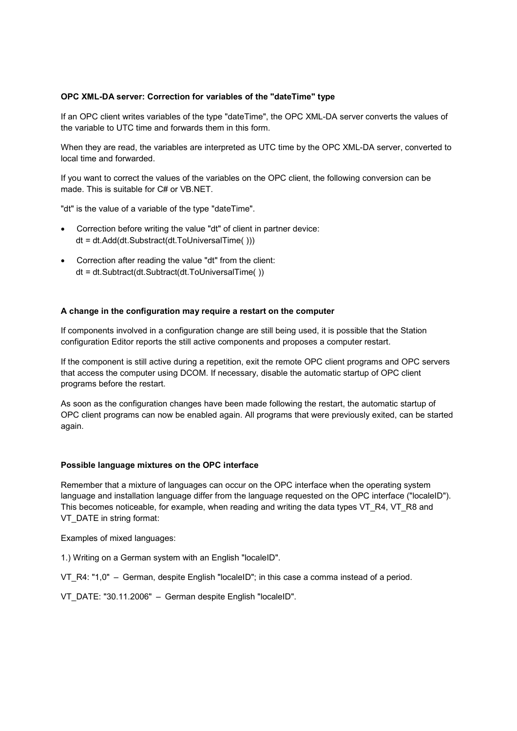#### **OPC XML-DA server: Correction for variables of the "dateTime" type**

If an OPC client writes variables of the type "dateTime", the OPC XML-DA server converts the values of the variable to UTC time and forwards them in this form.

When they are read, the variables are interpreted as UTC time by the OPC XML-DA server, converted to local time and forwarded.

If you want to correct the values of the variables on the OPC client, the following conversion can be made. This is suitable for C# or VB.NET.

"dt" is the value of a variable of the type "dateTime".

- Correction before writing the value "dt" of client in partner device: dt = dt.Add(dt.Substract(dt.ToUniversalTime( )))
- Correction after reading the value "dt" from the client: dt = dt.Subtract(dt.Subtract(dt.ToUniversalTime( ))

#### **A change in the configuration may require a restart on the computer**

If components involved in a configuration change are still being used, it is possible that the Station configuration Editor reports the still active components and proposes a computer restart.

If the component is still active during a repetition, exit the remote OPC client programs and OPC servers that access the computer using DCOM. If necessary, disable the automatic startup of OPC client programs before the restart.

As soon as the configuration changes have been made following the restart, the automatic startup of OPC client programs can now be enabled again. All programs that were previously exited, can be started again.

#### **Possible language mixtures on the OPC interface**

Remember that a mixture of languages can occur on the OPC interface when the operating system language and installation language differ from the language requested on the OPC interface ("localeID"). This becomes noticeable, for example, when reading and writing the data types VT\_R4, VT\_R8 and VT\_DATE in string format:

Examples of mixed languages:

1.) Writing on a German system with an English "localeID".

VT\_R4: "1.0" – German, despite English "localeID"; in this case a comma instead of a period.

VT\_DATE: "30.11.2006" – German despite English "localeID".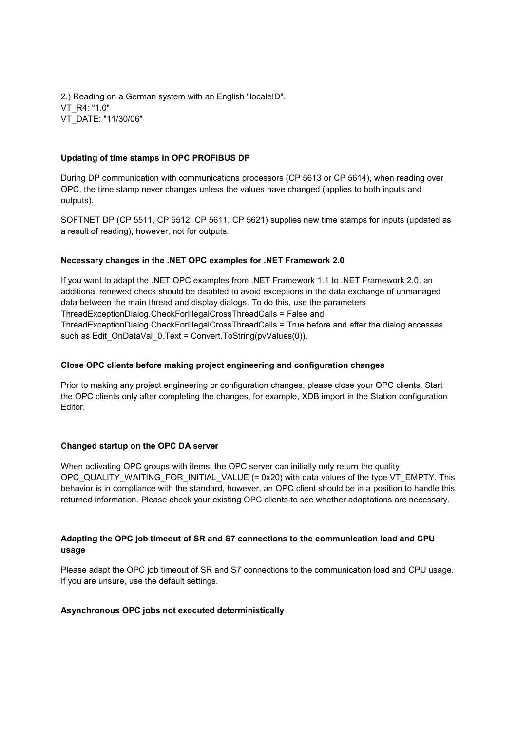2.) Reading on a German system with an English "localeID". VT\_R4: "1.0" VT\_DATE: "11/30/06"

#### **Updating of time stamps in OPC PROFIBUS DP**

During DP communication with communications processors (CP 5613 or CP 5614), when reading over OPC, the time stamp never changes unless the values have changed (applies to both inputs and outputs).

SOFTNET DP (CP 5511, CP 5512, CP 5611, CP 5621) supplies new time stamps for inputs (updated as a result of reading), however, not for outputs.

#### **Necessary changes in the .NET OPC examples for .NET Framework 2.0**

If you want to adapt the .NET OPC examples from .NET Framework 1.1 to .NET Framework 2.0, an additional renewed check should be disabled to avoid exceptions in the data exchange of unmanaged data between the main thread and display dialogs. To do this, use the parameters ThreadExceptionDialog.CheckForIllegalCrossThreadCalls = False and ThreadExceptionDialog.CheckForIllegalCrossThreadCalls = True before and after the dialog accesses such as Edit\_OnDataVal\_0.Text = Convert.ToString(pvValues(0)).

#### **Close OPC clients before making project engineering and configuration changes**

Prior to making any project engineering or configuration changes, please close your OPC clients. Start the OPC clients only after completing the changes, for example, XDB import in the Station configuration Editor.

## **Changed startup on the OPC DA server**

When activating OPC groups with items, the OPC server can initially only return the quality OPC\_QUALITY\_WAITING\_FOR\_INITIAL\_VALUE (= 0x20) with data values of the type VT\_EMPTY. This behavior is in compliance with the standard, however, an OPC client should be in a position to handle this returned information. Please check your existing OPC clients to see whether adaptations are necessary.

## **Adapting the OPC job timeout of SR and S7 connections to the communication load and CPU usage**

Please adapt the OPC job timeout of SR and S7 connections to the communication load and CPU usage. If you are unsure, use the default settings.

#### **Asynchronous OPC jobs not executed deterministically**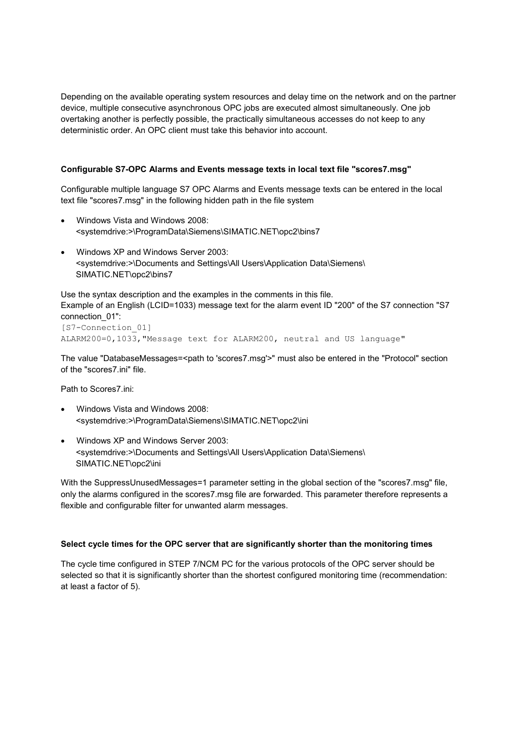Depending on the available operating system resources and delay time on the network and on the partner device, multiple consecutive asynchronous OPC jobs are executed almost simultaneously. One job overtaking another is perfectly possible, the practically simultaneous accesses do not keep to any deterministic order. An OPC client must take this behavior into account.

#### **Configurable S7-OPC Alarms and Events message texts in local text file "scores7.msg"**

Configurable multiple language S7 OPC Alarms and Events message texts can be entered in the local text file "scores7.msg" in the following hidden path in the file system

- Windows Vista and Windows 2008: <systemdrive:>\ProgramData\Siemens\SIMATIC.NET\opc2\bins7
- Windows XP and Windows Server 2003: <systemdrive:>\Documents and Settings\All Users\Application Data\Siemens\ SIMATIC.NET\opc2\bins7

Use the syntax description and the examples in the comments in this file. Example of an English (LCID=1033) message text for the alarm event ID "200" of the S7 connection "S7 connection\_01": [S7-Connection\_01]

ALARM200=0,1033,"Message text for ALARM200, neutral and US language"

The value "DatabaseMessages=<path to 'scores7.msg'>" must also be entered in the "Protocol" section of the "scores7.ini" file.

Path to Scores7.ini:

- Windows Vista and Windows 2008: <systemdrive:>\ProgramData\Siemens\SIMATIC.NET\opc2\ini
- Windows XP and Windows Server 2003: <systemdrive:>\Documents and Settings\All Users\Application Data\Siemens\ SIMATIC.NET\opc2\ini

With the SuppressUnusedMessages=1 parameter setting in the global section of the "scores7.msg" file, only the alarms configured in the scores7.msg file are forwarded. This parameter therefore represents a flexible and configurable filter for unwanted alarm messages.

#### **Select cycle times for the OPC server that are significantly shorter than the monitoring times**

The cycle time configured in STEP 7/NCM PC for the various protocols of the OPC server should be selected so that it is significantly shorter than the shortest configured monitoring time (recommendation: at least a factor of 5).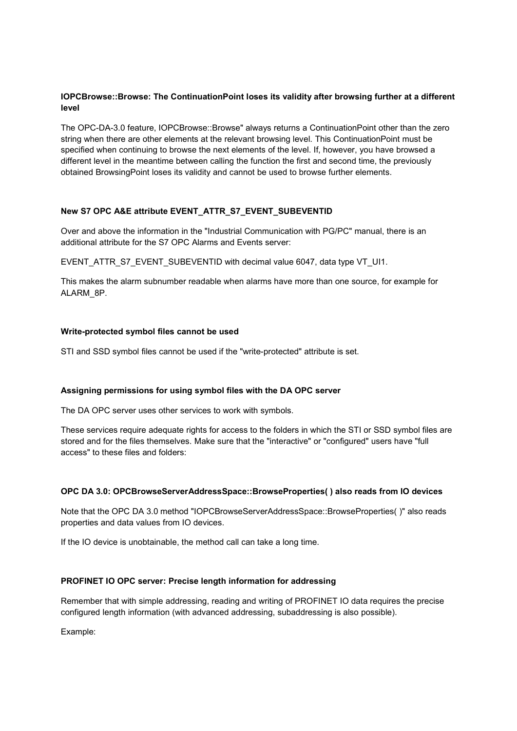## **IOPCBrowse::Browse: The ContinuationPoint loses its validity after browsing further at a different level**

The OPC-DA-3.0 feature, IOPCBrowse::Browse" always returns a ContinuationPoint other than the zero string when there are other elements at the relevant browsing level. This ContinuationPoint must be specified when continuing to browse the next elements of the level. If, however, you have browsed a different level in the meantime between calling the function the first and second time, the previously obtained BrowsingPoint loses its validity and cannot be used to browse further elements.

## **New S7 OPC A&E attribute EVENT\_ATTR\_S7\_EVENT\_SUBEVENTID**

Over and above the information in the "Industrial Communication with PG/PC" manual, there is an additional attribute for the S7 OPC Alarms and Events server:

EVENT\_ATTR\_S7\_EVENT\_SUBEVENTID with decimal value 6047, data type VT\_UI1.

This makes the alarm subnumber readable when alarms have more than one source, for example for ALARM\_8P.

#### **Write-protected symbol files cannot be used**

STI and SSD symbol files cannot be used if the "write-protected" attribute is set.

## **Assigning permissions for using symbol files with the DA OPC server**

The DA OPC server uses other services to work with symbols.

These services require adequate rights for access to the folders in which the STI or SSD symbol files are stored and for the files themselves. Make sure that the "interactive" or "configured" users have "full access" to these files and folders:

#### **OPC DA 3.0: OPCBrowseServerAddressSpace::BrowseProperties( ) also reads from IO devices**

Note that the OPC DA 3.0 method "IOPCBrowseServerAddressSpace::BrowseProperties( )" also reads properties and data values from IO devices.

If the IO device is unobtainable, the method call can take a long time.

#### **PROFINET IO OPC server: Precise length information for addressing**

Remember that with simple addressing, reading and writing of PROFINET IO data requires the precise configured length information (with advanced addressing, subaddressing is also possible).

Example: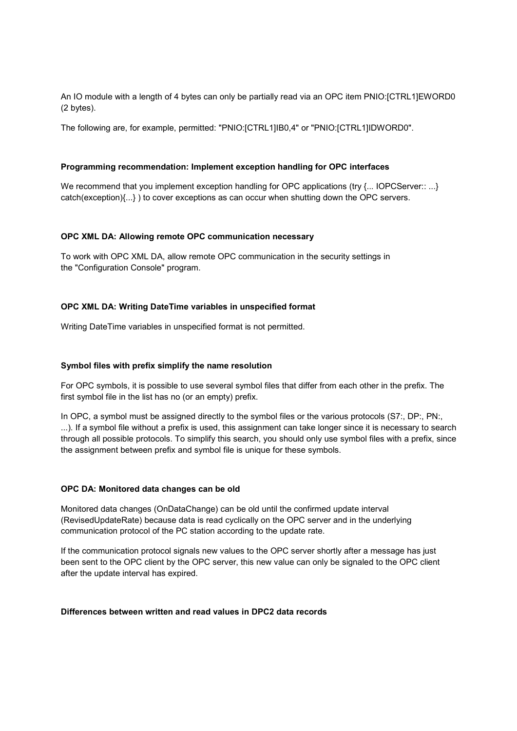An IO module with a length of 4 bytes can only be partially read via an OPC item PNIO:[CTRL1]EWORD0 (2 bytes).

The following are, for example, permitted: "PNIO:[CTRL1]IB0,4" or "PNIO:[CTRL1]IDWORD0".

#### **Programming recommendation: Implement exception handling for OPC interfaces**

We recommend that you implement exception handling for OPC applications (try {... IOPCServer:: ...} catch(exception){...} ) to cover exceptions as can occur when shutting down the OPC servers.

#### **OPC XML DA: Allowing remote OPC communication necessary**

To work with OPC XML DA, allow remote OPC communication in the security settings in the "Configuration Console" program.

#### **OPC XML DA: Writing DateTime variables in unspecified format**

Writing DateTime variables in unspecified format is not permitted.

#### **Symbol files with prefix simplify the name resolution**

For OPC symbols, it is possible to use several symbol files that differ from each other in the prefix. The first symbol file in the list has no (or an empty) prefix.

In OPC, a symbol must be assigned directly to the symbol files or the various protocols (S7:, DP:, PN:, ...). If a symbol file without a prefix is used, this assignment can take longer since it is necessary to search through all possible protocols. To simplify this search, you should only use symbol files with a prefix, since the assignment between prefix and symbol file is unique for these symbols.

#### **OPC DA: Monitored data changes can be old**

Monitored data changes (OnDataChange) can be old until the confirmed update interval (RevisedUpdateRate) because data is read cyclically on the OPC server and in the underlying communication protocol of the PC station according to the update rate.

If the communication protocol signals new values to the OPC server shortly after a message has just been sent to the OPC client by the OPC server, this new value can only be signaled to the OPC client after the update interval has expired.

#### **Differences between written and read values in DPC2 data records**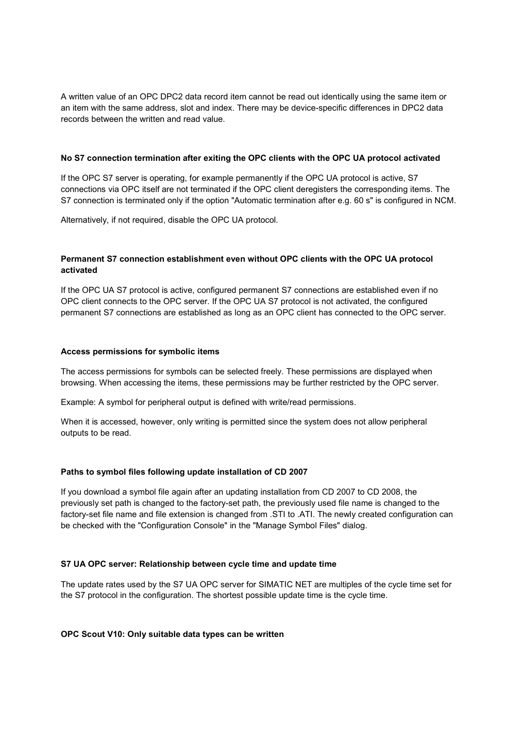A written value of an OPC DPC2 data record item cannot be read out identically using the same item or an item with the same address, slot and index. There may be device-specific differences in DPC2 data records between the written and read value.

#### **No S7 connection termination after exiting the OPC clients with the OPC UA protocol activated**

If the OPC S7 server is operating, for example permanently if the OPC UA protocol is active, S7 connections via OPC itself are not terminated if the OPC client deregisters the corresponding items. The S7 connection is terminated only if the option "Automatic termination after e.g. 60 s" is configured in NCM.

Alternatively, if not required, disable the OPC UA protocol.

## **Permanent S7 connection establishment even without OPC clients with the OPC UA protocol activated**

If the OPC UA S7 protocol is active, configured permanent S7 connections are established even if no OPC client connects to the OPC server. If the OPC UA S7 protocol is not activated, the configured permanent S7 connections are established as long as an OPC client has connected to the OPC server.

#### **Access permissions for symbolic items**

The access permissions for symbols can be selected freely. These permissions are displayed when browsing. When accessing the items, these permissions may be further restricted by the OPC server.

Example: A symbol for peripheral output is defined with write/read permissions.

When it is accessed, however, only writing is permitted since the system does not allow peripheral outputs to be read.

## **Paths to symbol files following update installation of CD 2007**

If you download a symbol file again after an updating installation from CD 2007 to CD 2008, the previously set path is changed to the factory-set path, the previously used file name is changed to the factory-set file name and file extension is changed from .STI to .ATI. The newly created configuration can be checked with the "Configuration Console" in the "Manage Symbol Files" dialog.

## **S7 UA OPC server: Relationship between cycle time and update time**

The update rates used by the S7 UA OPC server for SIMATIC NET are multiples of the cycle time set for the S7 protocol in the configuration. The shortest possible update time is the cycle time.

## **OPC Scout V10: Only suitable data types can be written**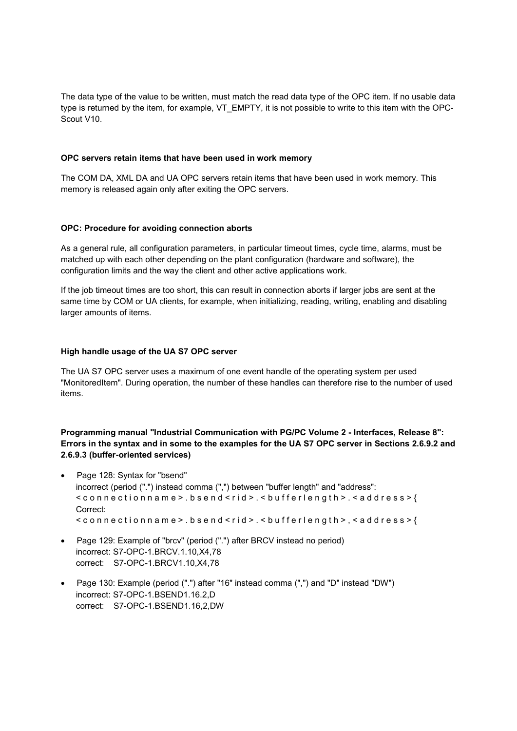The data type of the value to be written, must match the read data type of the OPC item. If no usable data type is returned by the item, for example, VT\_EMPTY, it is not possible to write to this item with the OPC-Scout V10.

#### **OPC servers retain items that have been used in work memory**

The COM DA, XML DA and UA OPC servers retain items that have been used in work memory. This memory is released again only after exiting the OPC servers.

#### **OPC: Procedure for avoiding connection aborts**

As a general rule, all configuration parameters, in particular timeout times, cycle time, alarms, must be matched up with each other depending on the plant configuration (hardware and software), the configuration limits and the way the client and other active applications work.

If the job timeout times are too short, this can result in connection aborts if larger jobs are sent at the same time by COM or UA clients, for example, when initializing, reading, writing, enabling and disabling larger amounts of items.

#### **High handle usage of the UA S7 OPC server**

The UA S7 OPC server uses a maximum of one event handle of the operating system per used "MonitoredItem". During operation, the number of these handles can therefore rise to the number of used items.

**Programming manual "Industrial Communication with PG/PC Volume 2 - Interfaces, Release 8": Errors in the syntax and in some to the examples for the UA S7 OPC server in Sections 2.6.9.2 and 2.6.9.3 (buffer-oriented services)**

- Page 128: Syntax for "bsend" incorrect (period (".") instead comma (",") between "buffer length" and "address": < c o n n e c t i o n n a m e > . b s e n d < r i d > . < b u f f e r l e n g t h > . < a d d r e s s > { Correct:  $\leq$  connection n a m e  $>$  . b s e n d  $\leq$  rid  $>$  .  $\leq$  b ufferlength  $>$  ,  $\leq$  a d d r e s s  $\geq$  {
- Page 129: Example of "brcv" (period (".") after BRCV instead no period) incorrect: S7-OPC-1.BRCV.1.10,X4,78 correct: S7-OPC-1.BRCV1.10,X4,78
- Page 130: Example (period (".") after "16" instead comma (",") and "D" instead "DW") incorrect: S7-OPC-1.BSEND1.16.2,D correct: S7-OPC-1.BSEND1.16,2,DW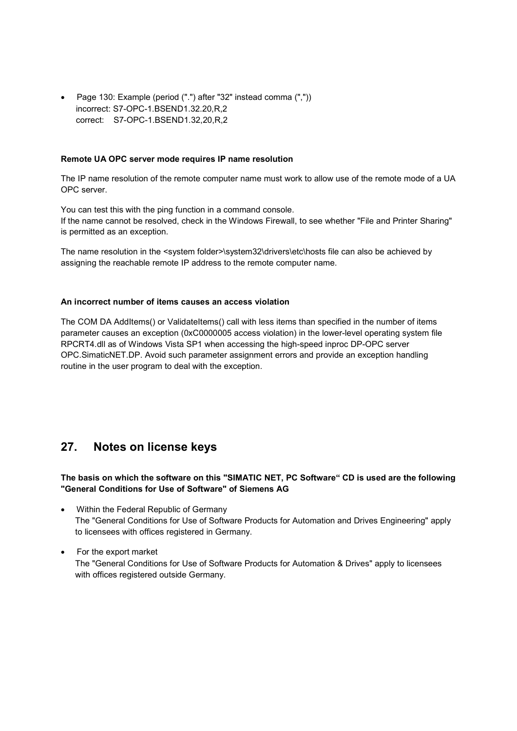Page 130: Example (period (".") after "32" instead comma (",")) incorrect: S7-OPC-1.BSEND1.32.20,R,2 correct: S7-OPC-1.BSEND1.32,20,R,2

#### **Remote UA OPC server mode requires IP name resolution**

The IP name resolution of the remote computer name must work to allow use of the remote mode of a UA OPC server.

You can test this with the ping function in a command console. If the name cannot be resolved, check in the Windows Firewall, to see whether "File and Printer Sharing" is permitted as an exception.

The name resolution in the <system folder>\system32\drivers\etc\hosts file can also be achieved by assigning the reachable remote IP address to the remote computer name.

#### **An incorrect number of items causes an access violation**

The COM DA AddItems() or ValidateItems() call with less items than specified in the number of items parameter causes an exception (0xC0000005 access violation) in the lower-level operating system file RPCRT4.dll as of Windows Vista SP1 when accessing the high-speed inproc DP-OPC server OPC.SimaticNET.DP. Avoid such parameter assignment errors and provide an exception handling routine in the user program to deal with the exception.

# **27. Notes on license keys**

## **The basis on which the software on this "SIMATIC NET, PC Software" CD is used are the following "General Conditions for Use of Software" of Siemens AG**

- Within the Federal Republic of Germany The "General Conditions for Use of Software Products for Automation and Drives Engineering" apply to licensees with offices registered in Germany.
- For the export market The "General Conditions for Use of Software Products for Automation & Drives" apply to licensees with offices registered outside Germany.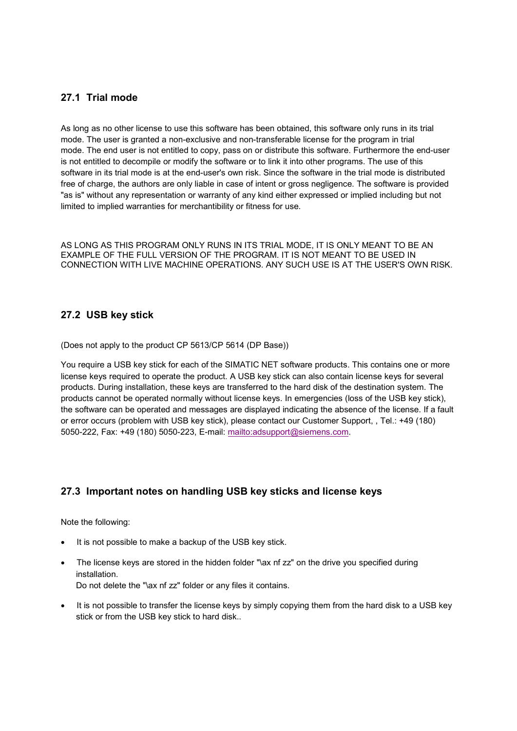## **27.1 Trial mode**

As long as no other license to use this software has been obtained, this software only runs in its trial mode. The user is granted a non-exclusive and non-transferable license for the program in trial mode. The end user is not entitled to copy, pass on or distribute this software. Furthermore the end-user is not entitled to decompile or modify the software or to link it into other programs. The use of this software in its trial mode is at the end-user's own risk. Since the software in the trial mode is distributed free of charge, the authors are only liable in case of intent or gross negligence. The software is provided "as is" without any representation or warranty of any kind either expressed or implied including but not limited to implied warranties for merchantibility or fitness for use.

AS LONG AS THIS PROGRAM ONLY RUNS IN ITS TRIAL MODE, IT IS ONLY MEANT TO BE AN EXAMPLE OF THE FULL VERSION OF THE PROGRAM. IT IS NOT MEANT TO BE USED IN CONNECTION WITH LIVE MACHINE OPERATIONS. ANY SUCH USE IS AT THE USER'S OWN RISK.

## **27.2 USB key stick**

(Does not apply to the product CP 5613/CP 5614 (DP Base))

You require a USB key stick for each of the SIMATIC NET software products. This contains one or more license keys required to operate the product. A USB key stick can also contain license keys for several products. During installation, these keys are transferred to the hard disk of the destination system. The products cannot be operated normally without license keys. In emergencies (loss of the USB key stick), the software can be operated and messages are displayed indicating the absence of the license. If a fault or error occurs (problem with USB key stick), please contact our Customer Support, , Tel.: +49 (180) 5050-222, Fax: +49 (180) 5050-223, E-mail: mailto:adsupport@siemens.com.

## **27.3 Important notes on handling USB key sticks and license keys**

Note the following:

- It is not possible to make a backup of the USB key stick.
- The license keys are stored in the hidden folder "\ax nf zz" on the drive you specified during installation. Do not delete the "\ax nf zz" folder or any files it contains.
- It is not possible to transfer the license keys by simply copying them from the hard disk to a USB key stick or from the USB key stick to hard disk..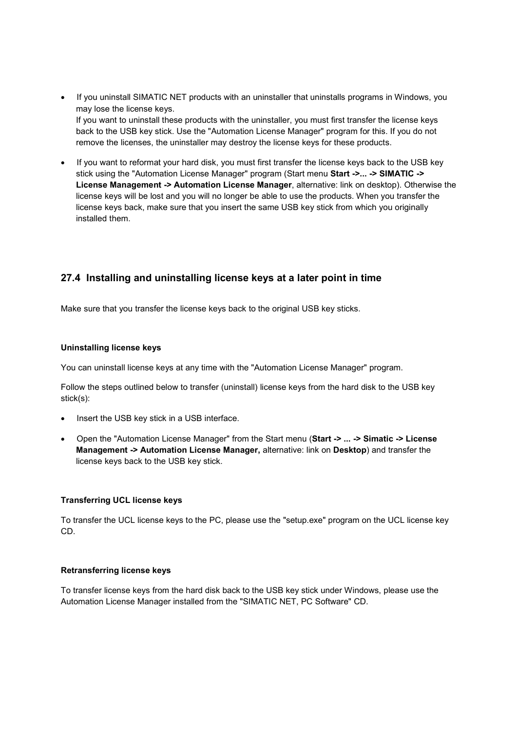- If you uninstall SIMATIC NET products with an uninstaller that uninstalls programs in Windows, you may lose the license keys. If you want to uninstall these products with the uninstaller, you must first transfer the license keys back to the USB key stick. Use the "Automation License Manager" program for this. If you do not remove the licenses, the uninstaller may destroy the license keys for these products.
- If you want to reformat your hard disk, you must first transfer the license keys back to the USB key stick using the "Automation License Manager" program (Start menu **Start ->... -> SIMATIC -> License Management -> Automation License Manager**, alternative: link on desktop). Otherwise the license keys will be lost and you will no longer be able to use the products. When you transfer the license keys back, make sure that you insert the same USB key stick from which you originally installed them.

## **27.4 Installing and uninstalling license keys at a later point in time**

Make sure that you transfer the license keys back to the original USB key sticks.

## **Uninstalling license keys**

You can uninstall license keys at any time with the "Automation License Manager" program.

Follow the steps outlined below to transfer (uninstall) license keys from the hard disk to the USB key stick(s):

- Insert the USB key stick in a USB interface.
- Open the "Automation License Manager" from the Start menu (**Start -> ... -> Simatic -> License Management -> Automation License Manager,** alternative: link on **Desktop**) and transfer the license keys back to the USB key stick.

## **Transferring UCL license keys**

To transfer the UCL license keys to the PC, please use the "setup.exe" program on the UCL license key CD.

## **Retransferring license keys**

To transfer license keys from the hard disk back to the USB key stick under Windows, please use the Automation License Manager installed from the "SIMATIC NET, PC Software" CD.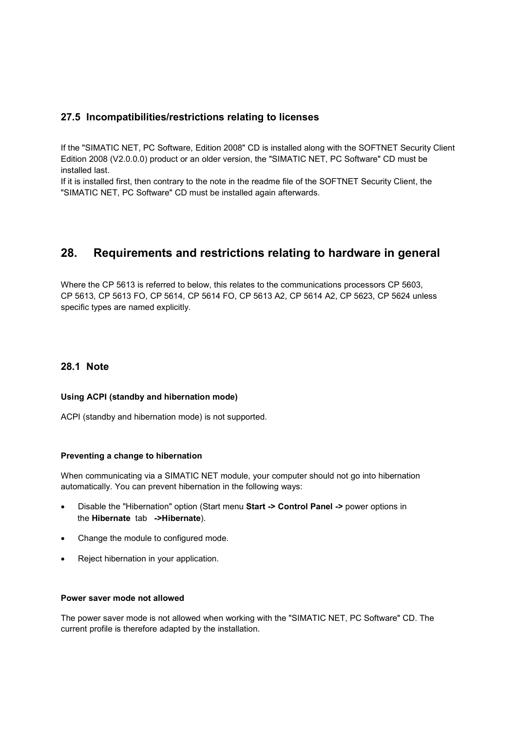## **27.5 Incompatibilities/restrictions relating to licenses**

If the "SIMATIC NET, PC Software, Edition 2008" CD is installed along with the SOFTNET Security Client Edition 2008 (V2.0.0.0) product or an older version, the "SIMATIC NET, PC Software" CD must be installed last.

If it is installed first, then contrary to the note in the readme file of the SOFTNET Security Client, the "SIMATIC NET, PC Software" CD must be installed again afterwards.

# **28. Requirements and restrictions relating to hardware in general**

Where the CP 5613 is referred to below, this relates to the communications processors CP 5603, CP 5613, CP 5613 FO, CP 5614, CP 5614 FO, CP 5613 A2, CP 5614 A2, CP 5623, CP 5624 unless specific types are named explicitly.

## **28.1 Note**

## **Using ACPI (standby and hibernation mode)**

ACPI (standby and hibernation mode) is not supported.

#### **Preventing a change to hibernation**

When communicating via a SIMATIC NET module, your computer should not go into hibernation automatically. You can prevent hibernation in the following ways:

- Disable the "Hibernation" option (Start menu **Start -> Control Panel ->** power options in the **Hibernate** tab **->Hibernate**).
- Change the module to configured mode.
- Reject hibernation in your application.

#### **Power saver mode not allowed**

The power saver mode is not allowed when working with the "SIMATIC NET, PC Software" CD. The current profile is therefore adapted by the installation.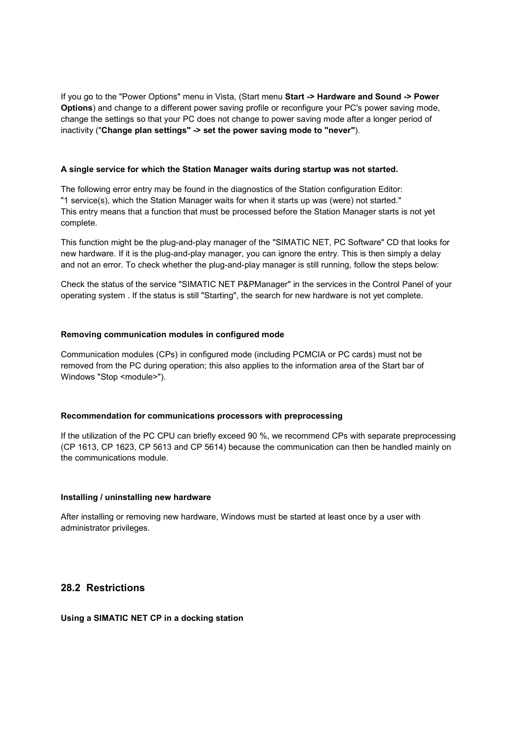If you go to the "Power Options" menu in Vista, (Start menu **Start -> Hardware and Sound -> Power Options**) and change to a different power saving profile or reconfigure your PC's power saving mode, change the settings so that your PC does not change to power saving mode after a longer period of inactivity ("**Change plan settings" -> set the power saving mode to "never"**).

#### **A single service for which the Station Manager waits during startup was not started.**

The following error entry may be found in the diagnostics of the Station configuration Editor: "1 service(s), which the Station Manager waits for when it starts up was (were) not started." This entry means that a function that must be processed before the Station Manager starts is not yet complete.

This function might be the plug-and-play manager of the "SIMATIC NET, PC Software" CD that looks for new hardware. If it is the plug-and-play manager, you can ignore the entry. This is then simply a delay and not an error. To check whether the plug-and-play manager is still running, follow the steps below:

Check the status of the service "SIMATIC NET P&PManager" in the services in the Control Panel of your operating system . If the status is still "Starting", the search for new hardware is not yet complete.

#### **Removing communication modules in configured mode**

Communication modules (CPs) in configured mode (including PCMCIA or PC cards) must not be removed from the PC during operation; this also applies to the information area of the Start bar of Windows "Stop <module>").

## **Recommendation for communications processors with preprocessing**

If the utilization of the PC CPU can briefly exceed 90 %, we recommend CPs with separate preprocessing (CP 1613, CP 1623, CP 5613 and CP 5614) because the communication can then be handled mainly on the communications module.

#### **Installing / uninstalling new hardware**

After installing or removing new hardware, Windows must be started at least once by a user with administrator privileges.

## **28.2 Restrictions**

#### **Using a SIMATIC NET CP in a docking station**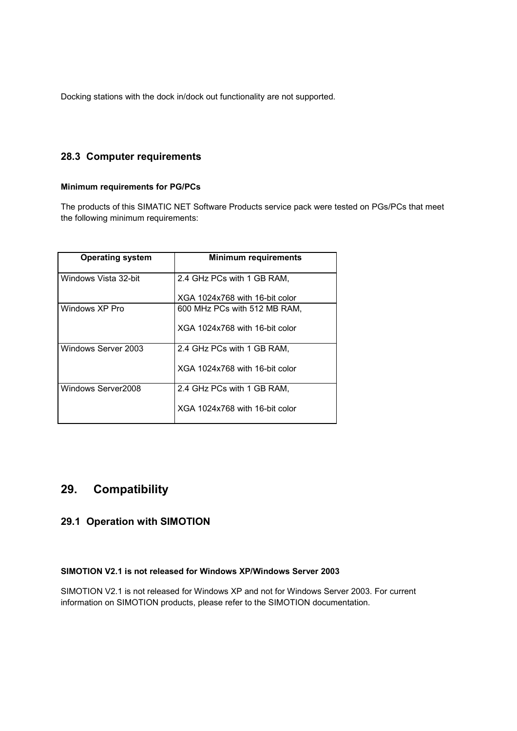Docking stations with the dock in/dock out functionality are not supported.

## **28.3 Computer requirements**

#### **Minimum requirements for PG/PCs**

The products of this SIMATIC NET Software Products service pack were tested on PGs/PCs that meet the following minimum requirements:

| <b>Operating system</b> | <b>Minimum requirements</b>    |
|-------------------------|--------------------------------|
| Windows Vista 32-bit    | 2.4 GHz PCs with 1 GB RAM,     |
|                         | XGA 1024x768 with 16-bit color |
| Windows XP Pro          | 600 MHz PCs with 512 MB RAM,   |
|                         | XGA 1024x768 with 16-bit color |
| Windows Server 2003     | 2.4 GHz PCs with 1 GB RAM,     |
|                         | XGA 1024x768 with 16-bit color |
| Windows Server2008      | 2.4 GHz PCs with 1 GB RAM,     |
|                         | XGA 1024x768 with 16-bit color |

# **29. Compatibility**

## **29.1 Operation with SIMOTION**

## **SIMOTION V2.1 is not released for Windows XP/Windows Server 2003**

SIMOTION V2.1 is not released for Windows XP and not for Windows Server 2003. For current information on SIMOTION products, please refer to the SIMOTION documentation.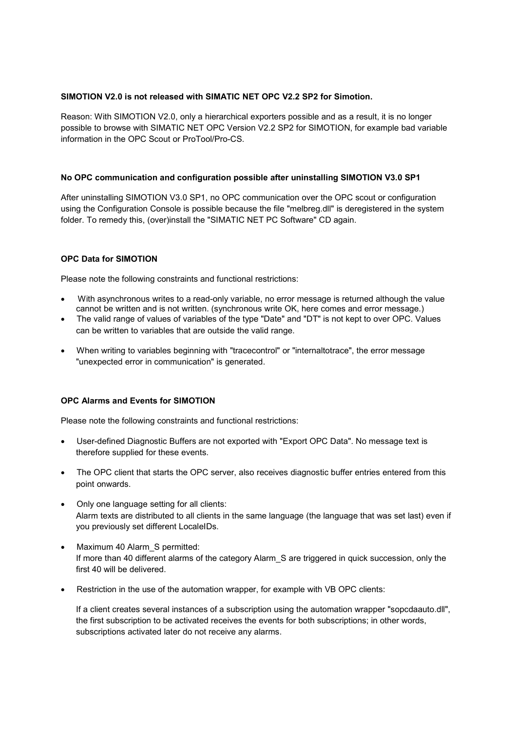#### **SIMOTION V2.0 is not released with SIMATIC NET OPC V2.2 SP2 for Simotion.**

Reason: With SIMOTION V2.0, only a hierarchical exporters possible and as a result, it is no longer possible to browse with SIMATIC NET OPC Version V2.2 SP2 for SIMOTION, for example bad variable information in the OPC Scout or ProTool/Pro-CS.

#### **No OPC communication and configuration possible after uninstalling SIMOTION V3.0 SP1**

After uninstalling SIMOTION V3.0 SP1, no OPC communication over the OPC scout or configuration using the Configuration Console is possible because the file "melbreg.dll" is deregistered in the system folder. To remedy this, (over)install the "SIMATIC NET PC Software" CD again.

#### **OPC Data for SIMOTION**

Please note the following constraints and functional restrictions:

- With asynchronous writes to a read-only variable, no error message is returned although the value cannot be written and is not written. (synchronous write OK, here comes and error message.)
- The valid range of values of variables of the type "Date" and "DT" is not kept to over OPC. Values can be written to variables that are outside the valid range.
- When writing to variables beginning with "tracecontrol" or "internaltotrace", the error message "unexpected error in communication" is generated.

## **OPC Alarms and Events for SIMOTION**

Please note the following constraints and functional restrictions:

- User-defined Diagnostic Buffers are not exported with "Export OPC Data". No message text is therefore supplied for these events.
- The OPC client that starts the OPC server, also receives diagnostic buffer entries entered from this point onwards.
- Only one language setting for all clients: Alarm texts are distributed to all clients in the same language (the language that was set last) even if you previously set different LocaleIDs.
- Maximum 40 Alarm S permitted: If more than 40 different alarms of the category Alarm S are triggered in quick succession, only the first 40 will be delivered.
- Restriction in the use of the automation wrapper, for example with VB OPC clients:

If a client creates several instances of a subscription using the automation wrapper "sopcdaauto.dll", the first subscription to be activated receives the events for both subscriptions; in other words, subscriptions activated later do not receive any alarms.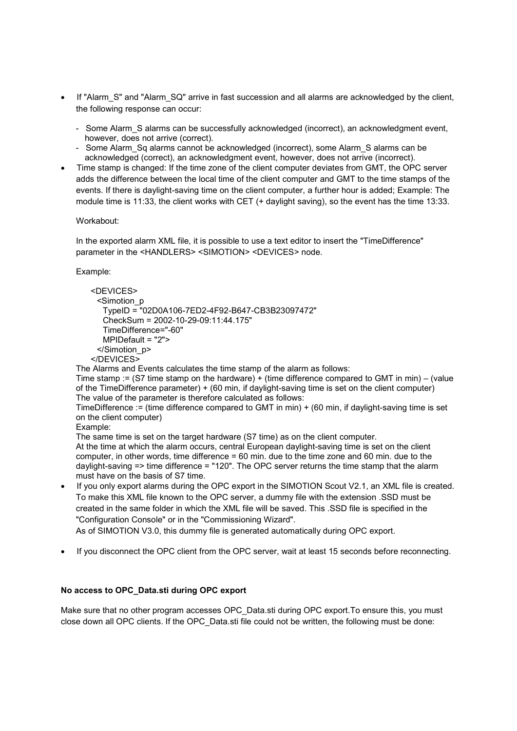- If "Alarm S" and "Alarm SQ" arrive in fast succession and all alarms are acknowledged by the client, the following response can occur:
	- Some Alarm\_S alarms can be successfully acknowledged (incorrect), an acknowledgment event, however, does not arrive (correct).
	- Some Alarm Sq alarms cannot be acknowledged (incorrect), some Alarm S alarms can be acknowledged (correct), an acknowledgment event, however, does not arrive (incorrect).
- Time stamp is changed: If the time zone of the client computer deviates from GMT, the OPC server adds the difference between the local time of the client computer and GMT to the time stamps of the events. If there is daylight-saving time on the client computer, a further hour is added; Example: The module time is 11:33, the client works with CET (+ daylight saving), so the event has the time 13:33.

#### Workabout:

In the exported alarm XML file, it is possible to use a text editor to insert the "TimeDifference" parameter in the <HANDLERS> <SIMOTION> <DEVICES> node.

#### Example:

```
<DEVICES>
 <Simotion_p
  TypeID = "02D0A106-7ED2-4F92-B647-CB3B23097472"
  CheckSum = 2002-10-29-09:11:44.175"
  TimeDifference="-60"
  MPIDefault = "2">
 </Simotion_p>
</DEVICES>
```
The Alarms and Events calculates the time stamp of the alarm as follows:

Time stamp := (S7 time stamp on the hardware) + (time difference compared to GMT in min) – (value of the TimeDifference parameter) + (60 min, if daylight-saving time is set on the client computer) The value of the parameter is therefore calculated as follows:

TimeDifference := (time difference compared to GMT in min) + (60 min, if daylight-saving time is set on the client computer)

Example:

The same time is set on the target hardware (S7 time) as on the client computer. At the time at which the alarm occurs, central European daylight-saving time is set on the client computer, in other words, time difference = 60 min. due to the time zone and 60 min. due to the daylight-saving => time difference = "120". The OPC server returns the time stamp that the alarm must have on the basis of S7 time.

 If you only export alarms during the OPC export in the SIMOTION Scout V2.1, an XML file is created. To make this XML file known to the OPC server, a dummy file with the extension .SSD must be created in the same folder in which the XML file will be saved. This .SSD file is specified in the "Configuration Console" or in the "Commissioning Wizard".

As of SIMOTION V3.0, this dummy file is generated automatically during OPC export.

If you disconnect the OPC client from the OPC server, wait at least 15 seconds before reconnecting.

## **No access to OPC\_Data.sti during OPC export**

Make sure that no other program accesses OPC Data.sti during OPC export. To ensure this, you must close down all OPC clients. If the OPC\_Data.sti file could not be written, the following must be done: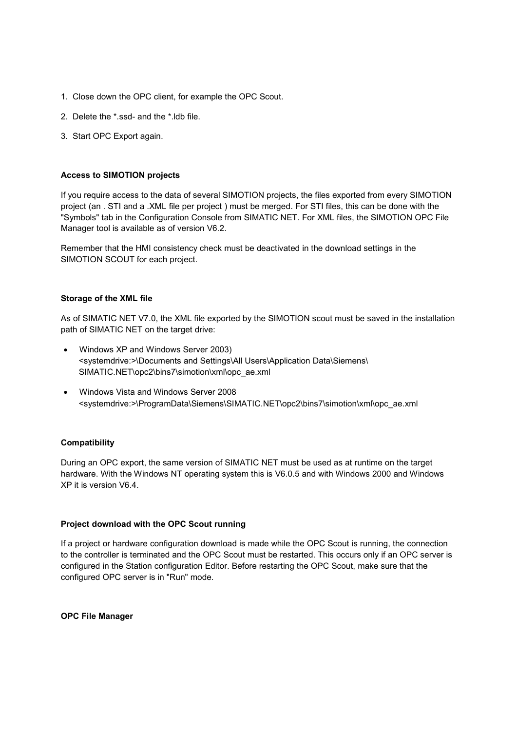- 1. Close down the OPC client, for example the OPC Scout.
- 2. Delete the \*.ssd- and the \*.ldb file.
- 3. Start OPC Export again.

#### **Access to SIMOTION projects**

If you require access to the data of several SIMOTION projects, the files exported from every SIMOTION project (an . STI and a .XML file per project ) must be merged. For STI files, this can be done with the "Symbols" tab in the Configuration Console from SIMATIC NET. For XML files, the SIMOTION OPC File Manager tool is available as of version V6.2.

Remember that the HMI consistency check must be deactivated in the download settings in the SIMOTION SCOUT for each project.

#### **Storage of the XML file**

As of SIMATIC NET V7.0, the XML file exported by the SIMOTION scout must be saved in the installation path of SIMATIC NET on the target drive:

- Windows XP and Windows Server 2003) <systemdrive:>\Documents and Settings\All Users\Application Data\Siemens\ SIMATIC.NET\opc2\bins7\simotion\xml\opc\_ae.xml
- Windows Vista and Windows Server 2008 <systemdrive:>\ProgramData\Siemens\SIMATIC.NET\opc2\bins7\simotion\xml\opc\_ae.xml

#### **Compatibility**

During an OPC export, the same version of SIMATIC NET must be used as at runtime on the target hardware. With the Windows NT operating system this is V6.0.5 and with Windows 2000 and Windows XP it is version V6.4.

#### **Project download with the OPC Scout running**

If a project or hardware configuration download is made while the OPC Scout is running, the connection to the controller is terminated and the OPC Scout must be restarted. This occurs only if an OPC server is configured in the Station configuration Editor. Before restarting the OPC Scout, make sure that the configured OPC server is in "Run" mode.

**OPC File Manager**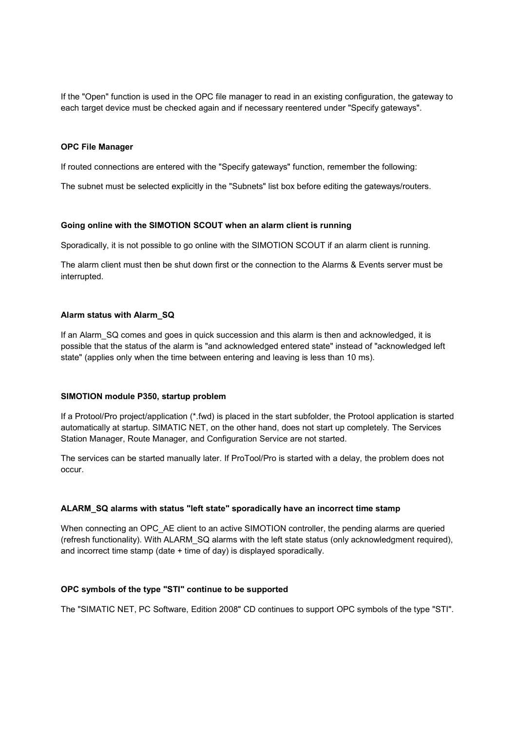If the "Open" function is used in the OPC file manager to read in an existing configuration, the gateway to each target device must be checked again and if necessary reentered under "Specify gateways".

#### **OPC File Manager**

If routed connections are entered with the "Specify gateways" function, remember the following:

The subnet must be selected explicitly in the "Subnets" list box before editing the gateways/routers.

#### **Going online with the SIMOTION SCOUT when an alarm client is running**

Sporadically, it is not possible to go online with the SIMOTION SCOUT if an alarm client is running.

The alarm client must then be shut down first or the connection to the Alarms & Events server must be interrupted.

#### **Alarm status with Alarm\_SQ**

If an Alarm SQ comes and goes in quick succession and this alarm is then and acknowledged, it is possible that the status of the alarm is "and acknowledged entered state" instead of "acknowledged left state" (applies only when the time between entering and leaving is less than 10 ms).

#### **SIMOTION module P350, startup problem**

If a Protool/Pro project/application (\*.fwd) is placed in the start subfolder, the Protool application is started automatically at startup. SIMATIC NET, on the other hand, does not start up completely. The Services Station Manager, Route Manager, and Configuration Service are not started.

The services can be started manually later. If ProTool/Pro is started with a delay, the problem does not occur.

#### **ALARM\_SQ alarms with status "left state" sporadically have an incorrect time stamp**

When connecting an OPC AE client to an active SIMOTION controller, the pending alarms are queried (refresh functionality). With ALARM\_SQ alarms with the left state status (only acknowledgment required), and incorrect time stamp (date + time of day) is displayed sporadically.

#### **OPC symbols of the type "STI" continue to be supported**

The "SIMATIC NET, PC Software, Edition 2008" CD continues to support OPC symbols of the type "STI".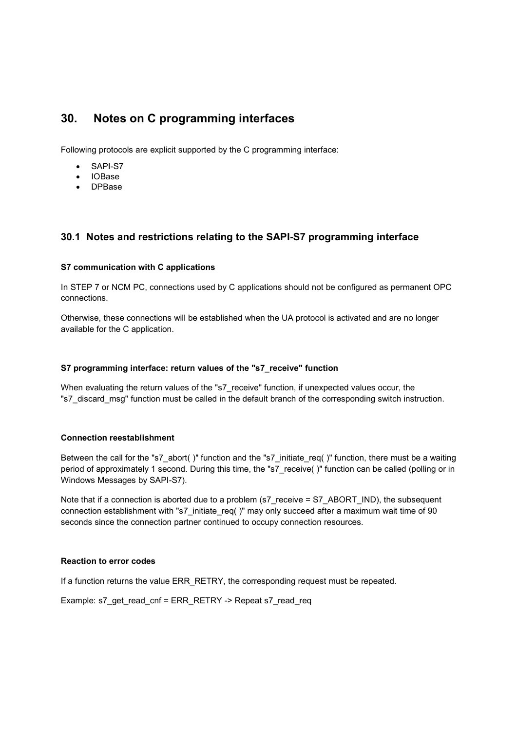# **30. Notes on C programming interfaces**

Following protocols are explicit supported by the C programming interface:

- SAPI-S7
- IOBase
- DPBase

## **30.1 Notes and restrictions relating to the SAPI-S7 programming interface**

#### **S7 communication with C applications**

In STEP 7 or NCM PC, connections used by C applications should not be configured as permanent OPC connections.

Otherwise, these connections will be established when the UA protocol is activated and are no longer available for the C application.

#### **S7 programming interface: return values of the "s7\_receive" function**

When evaluating the return values of the "s7\_receive" function, if unexpected values occur, the "s7\_discard\_msg" function must be called in the default branch of the corresponding switch instruction.

#### **Connection reestablishment**

Between the call for the "s7\_abort( )" function and the "s7\_initiate\_req( )" function, there must be a waiting period of approximately 1 second. During this time, the "s7\_receive( )" function can be called (polling or in Windows Messages by SAPI-S7).

Note that if a connection is aborted due to a problem (s7\_receive = S7\_ABORT\_IND), the subsequent connection establishment with "s7\_initiate\_req( )" may only succeed after a maximum wait time of 90 seconds since the connection partner continued to occupy connection resources.

#### **Reaction to error codes**

If a function returns the value ERR\_RETRY, the corresponding request must be repeated.

Example: s7\_get\_read\_cnf = ERR\_RETRY -> Repeat s7\_read\_req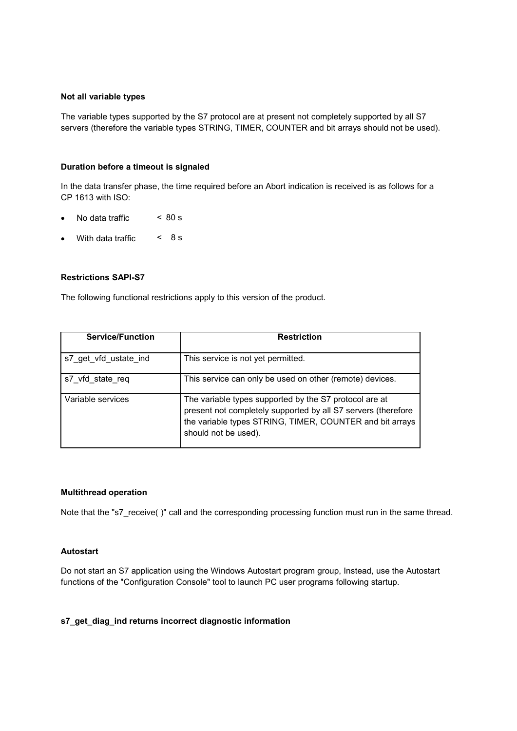#### **Not all variable types**

The variable types supported by the S7 protocol are at present not completely supported by all S7 servers (therefore the variable types STRING, TIMER, COUNTER and bit arrays should not be used).

#### **Duration before a timeout is signaled**

In the data transfer phase, the time required before an Abort indication is received is as follows for a CP 1613 with ISO:

- No data traffic  $\leq 80 \text{ s}$
- With data traffic  $\leq 8$  s

#### **Restrictions SAPI-S7**

The following functional restrictions apply to this version of the product.

| <b>Service/Function</b> | <b>Restriction</b>                                                                                                                                                                                          |
|-------------------------|-------------------------------------------------------------------------------------------------------------------------------------------------------------------------------------------------------------|
| s7 get vfd ustate ind   | This service is not yet permitted.                                                                                                                                                                          |
| s7 vfd state reg        | This service can only be used on other (remote) devices.                                                                                                                                                    |
| Variable services       | The variable types supported by the S7 protocol are at<br>present not completely supported by all S7 servers (therefore<br>the variable types STRING, TIMER, COUNTER and bit arrays<br>should not be used). |

#### **Multithread operation**

Note that the "s7\_receive( )" call and the corresponding processing function must run in the same thread.

#### **Autostart**

Do not start an S7 application using the Windows Autostart program group, Instead, use the Autostart functions of the "Configuration Console" tool to launch PC user programs following startup.

#### **s7\_get\_diag\_ind returns incorrect diagnostic information**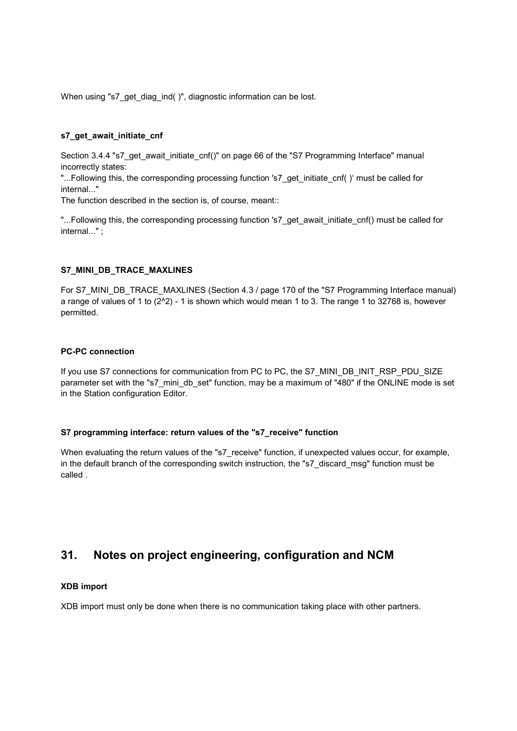When using "s7\_get\_diag\_ind( )", diagnostic information can be lost.

#### **s7\_get\_await\_initiate\_cnf**

Section 3.4.4 "s7\_get\_await\_initiate\_cnf()" on page 66 of the "S7 Programming Interface" manual incorrectly states:

"...Following this, the corresponding processing function 's7\_get\_initiate\_cnf( )' must be called for internal..."

The function described in the section is, of course, meant::

"...Following this, the corresponding processing function 's7\_get\_await\_initiate\_cnf() must be called for internal..." ;

#### **S7\_MINI\_DB\_TRACE\_MAXLINES**

For S7\_MINI\_DB\_TRACE\_MAXLINES (Section 4.3 / page 170 of the "S7 Programming Interface manual) a range of values of 1 to (2^2) - 1 is shown which would mean 1 to 3. The range 1 to 32768 is, however permitted.

#### **PC-PC connection**

If you use S7 connections for communication from PC to PC, the S7\_MINI\_DB\_INIT\_RSP\_PDU\_SIZE parameter set with the "s7\_mini\_db\_set" function, may be a maximum of "480" if the ONLINE mode is set in the Station configuration Editor.

#### **S7 programming interface: return values of the "s7\_receive" function**

When evaluating the return values of the "s7\_receive" function, if unexpected values occur, for example, in the default branch of the corresponding switch instruction, the "s7\_discard\_msg" function must be called .

# **31. Notes on project engineering, configuration and NCM**

#### **XDB import**

XDB import must only be done when there is no communication taking place with other partners.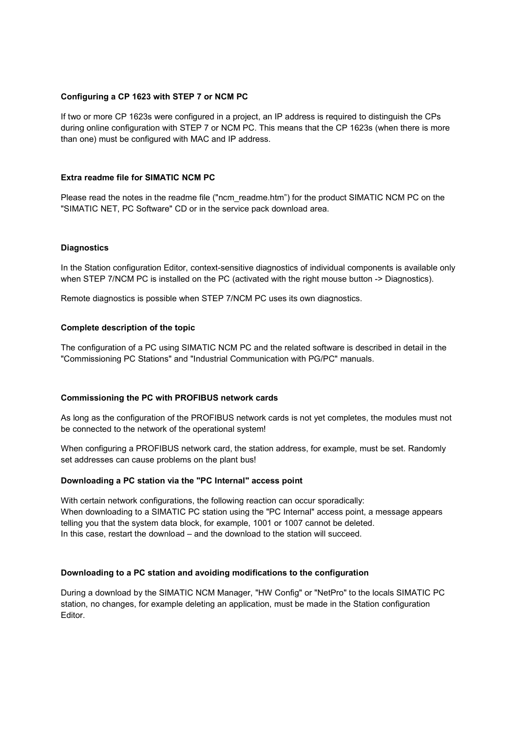#### **Configuring a CP 1623 with STEP 7 or NCM PC**

If two or more CP 1623s were configured in a project, an IP address is required to distinguish the CPs during online configuration with STEP 7 or NCM PC. This means that the CP 1623s (when there is more than one) must be configured with MAC and IP address.

#### **Extra readme file for SIMATIC NCM PC**

Please read the notes in the readme file ("ncm\_readme.htm") for the product SIMATIC NCM PC on the "SIMATIC NET, PC Software" CD or in the service pack download area.

#### **Diagnostics**

In the Station configuration Editor, context-sensitive diagnostics of individual components is available only when STEP 7/NCM PC is installed on the PC (activated with the right mouse button -> Diagnostics).

Remote diagnostics is possible when STEP 7/NCM PC uses its own diagnostics.

#### **Complete description of the topic**

The configuration of a PC using SIMATIC NCM PC and the related software is described in detail in the "Commissioning PC Stations" and "Industrial Communication with PG/PC" manuals.

#### **Commissioning the PC with PROFIBUS network cards**

As long as the configuration of the PROFIBUS network cards is not yet completes, the modules must not be connected to the network of the operational system!

When configuring a PROFIBUS network card, the station address, for example, must be set. Randomly set addresses can cause problems on the plant bus!

#### **Downloading a PC station via the "PC Internal" access point**

With certain network configurations, the following reaction can occur sporadically: When downloading to a SIMATIC PC station using the "PC Internal" access point, a message appears telling you that the system data block, for example, 1001 or 1007 cannot be deleted. In this case, restart the download – and the download to the station will succeed.

#### **Downloading to a PC station and avoiding modifications to the configuration**

During a download by the SIMATIC NCM Manager, "HW Config" or "NetPro" to the locals SIMATIC PC station, no changes, for example deleting an application, must be made in the Station configuration Editor.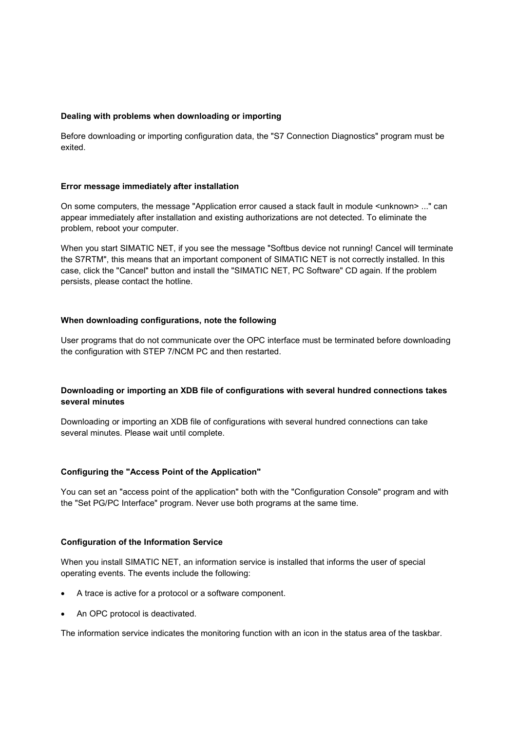#### **Dealing with problems when downloading or importing**

Before downloading or importing configuration data, the "S7 Connection Diagnostics" program must be exited.

#### **Error message immediately after installation**

On some computers, the message "Application error caused a stack fault in module <unknown> ..." can appear immediately after installation and existing authorizations are not detected. To eliminate the problem, reboot your computer.

When you start SIMATIC NET, if you see the message "Softbus device not running! Cancel will terminate the S7RTM", this means that an important component of SIMATIC NET is not correctly installed. In this case, click the "Cancel" button and install the "SIMATIC NET, PC Software" CD again. If the problem persists, please contact the hotline.

#### **When downloading configurations, note the following**

User programs that do not communicate over the OPC interface must be terminated before downloading the configuration with STEP 7/NCM PC and then restarted.

#### **Downloading or importing an XDB file of configurations with several hundred connections takes several minutes**

Downloading or importing an XDB file of configurations with several hundred connections can take several minutes. Please wait until complete.

#### **Configuring the "Access Point of the Application"**

You can set an "access point of the application" both with the "Configuration Console" program and with the "Set PG/PC Interface" program. Never use both programs at the same time.

#### **Configuration of the Information Service**

When you install SIMATIC NET, an information service is installed that informs the user of special operating events. The events include the following:

- A trace is active for a protocol or a software component.
- An OPC protocol is deactivated.

The information service indicates the monitoring function with an icon in the status area of the taskbar.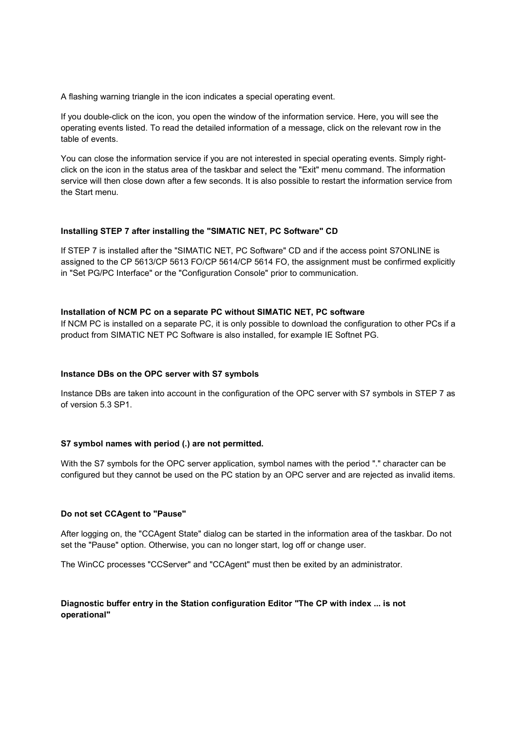A flashing warning triangle in the icon indicates a special operating event.

If you double-click on the icon, you open the window of the information service. Here, you will see the operating events listed. To read the detailed information of a message, click on the relevant row in the table of events.

You can close the information service if you are not interested in special operating events. Simply rightclick on the icon in the status area of the taskbar and select the "Exit" menu command. The information service will then close down after a few seconds. It is also possible to restart the information service from the Start menu.

#### **Installing STEP 7 after installing the "SIMATIC NET, PC Software" CD**

If STEP 7 is installed after the "SIMATIC NET, PC Software" CD and if the access point S7ONLINE is assigned to the CP 5613/CP 5613 FO/CP 5614/CP 5614 FO, the assignment must be confirmed explicitly in "Set PG/PC Interface" or the "Configuration Console" prior to communication.

#### **Installation of NCM PC on a separate PC without SIMATIC NET, PC software**

If NCM PC is installed on a separate PC, it is only possible to download the configuration to other PCs if a product from SIMATIC NET PC Software is also installed, for example IE Softnet PG.

#### **Instance DBs on the OPC server with S7 symbols**

Instance DBs are taken into account in the configuration of the OPC server with S7 symbols in STEP 7 as of version 5.3 SP1.

#### **S7 symbol names with period (.) are not permitted.**

With the S7 symbols for the OPC server application, symbol names with the period "." character can be configured but they cannot be used on the PC station by an OPC server and are rejected as invalid items.

#### **Do not set CCAgent to "Pause"**

After logging on, the "CCAgent State" dialog can be started in the information area of the taskbar. Do not set the "Pause" option. Otherwise, you can no longer start, log off or change user.

The WinCC processes "CCServer" and "CCAgent" must then be exited by an administrator.

#### **Diagnostic buffer entry in the Station configuration Editor "The CP with index ... is not operational"**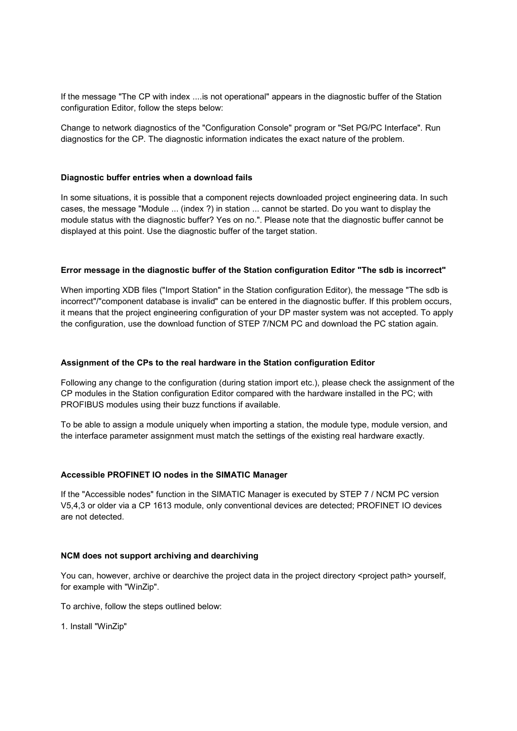If the message "The CP with index ....is not operational" appears in the diagnostic buffer of the Station configuration Editor, follow the steps below:

Change to network diagnostics of the "Configuration Console" program or "Set PG/PC Interface". Run diagnostics for the CP. The diagnostic information indicates the exact nature of the problem.

#### **Diagnostic buffer entries when a download fails**

In some situations, it is possible that a component rejects downloaded project engineering data. In such cases, the message "Module ... (index ?) in station ... cannot be started. Do you want to display the module status with the diagnostic buffer? Yes on no.". Please note that the diagnostic buffer cannot be displayed at this point. Use the diagnostic buffer of the target station.

#### **Error message in the diagnostic buffer of the Station configuration Editor "The sdb is incorrect"**

When importing XDB files ("Import Station" in the Station configuration Editor), the message "The sdb is incorrect"/"component database is invalid" can be entered in the diagnostic buffer. If this problem occurs, it means that the project engineering configuration of your DP master system was not accepted. To apply the configuration, use the download function of STEP 7/NCM PC and download the PC station again.

#### **Assignment of the CPs to the real hardware in the Station configuration Editor**

Following any change to the configuration (during station import etc.), please check the assignment of the CP modules in the Station configuration Editor compared with the hardware installed in the PC; with PROFIBUS modules using their buzz functions if available.

To be able to assign a module uniquely when importing a station, the module type, module version, and the interface parameter assignment must match the settings of the existing real hardware exactly.

#### **Accessible PROFINET IO nodes in the SIMATIC Manager**

If the "Accessible nodes" function in the SIMATIC Manager is executed by STEP 7 / NCM PC version V5,4,3 or older via a CP 1613 module, only conventional devices are detected; PROFINET IO devices are not detected.

#### **NCM does not support archiving and dearchiving**

You can, however, archive or dearchive the project data in the project directory <project path> yourself, for example with "WinZip".

To archive, follow the steps outlined below:

1. Install "WinZip"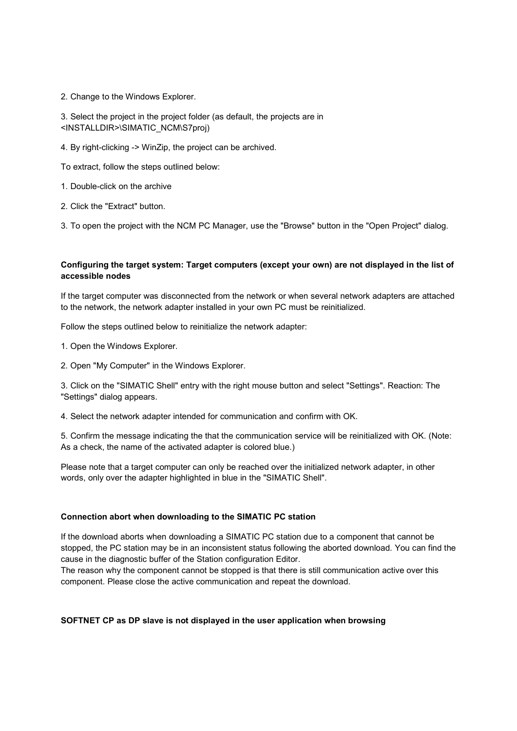2. Change to the Windows Explorer.

3. Select the project in the project folder (as default, the projects are in <INSTALLDIR>\SIMATIC\_NCM\S7proj)

4. By right-clicking -> WinZip, the project can be archived.

To extract, follow the steps outlined below:

- 1. Double-click on the archive
- 2. Click the "Extract" button.

3. To open the project with the NCM PC Manager, use the "Browse" button in the "Open Project" dialog.

# **Configuring the target system: Target computers (except your own) are not displayed in the list of accessible nodes**

If the target computer was disconnected from the network or when several network adapters are attached to the network, the network adapter installed in your own PC must be reinitialized.

Follow the steps outlined below to reinitialize the network adapter:

- 1. Open the Windows Explorer.
- 2. Open "My Computer" in the Windows Explorer.

3. Click on the "SIMATIC Shell" entry with the right mouse button and select "Settings". Reaction: The "Settings" dialog appears.

4. Select the network adapter intended for communication and confirm with OK.

5. Confirm the message indicating the that the communication service will be reinitialized with OK. (Note: As a check, the name of the activated adapter is colored blue.)

Please note that a target computer can only be reached over the initialized network adapter, in other words, only over the adapter highlighted in blue in the "SIMATIC Shell".

# **Connection abort when downloading to the SIMATIC PC station**

If the download aborts when downloading a SIMATIC PC station due to a component that cannot be stopped, the PC station may be in an inconsistent status following the aborted download. You can find the cause in the diagnostic buffer of the Station configuration Editor.

The reason why the component cannot be stopped is that there is still communication active over this component. Please close the active communication and repeat the download.

#### **SOFTNET CP as DP slave is not displayed in the user application when browsing**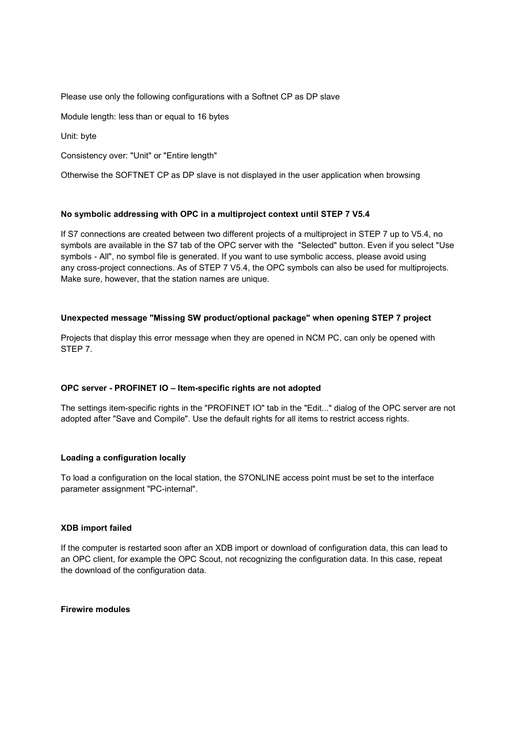Please use only the following configurations with a Softnet CP as DP slave

Module length: less than or equal to 16 bytes

Unit: byte

Consistency over: "Unit" or "Entire length"

Otherwise the SOFTNET CP as DP slave is not displayed in the user application when browsing

#### **No symbolic addressing with OPC in a multiproject context until STEP 7 V5.4**

If S7 connections are created between two different projects of a multiproject in STEP 7 up to V5.4, no symbols are available in the S7 tab of the OPC server with the "Selected" button. Even if you select "Use symbols - All", no symbol file is generated. If you want to use symbolic access, please avoid using any cross-project connections. As of STEP 7 V5.4, the OPC symbols can also be used for multiprojects. Make sure, however, that the station names are unique.

# **Unexpected message "Missing SW product/optional package" when opening STEP 7 project**

Projects that display this error message when they are opened in NCM PC, can only be opened with STEP 7.

#### **OPC server - PROFINET IO – Item-specific rights are not adopted**

The settings item-specific rights in the "PROFINET IO" tab in the "Edit..." dialog of the OPC server are not adopted after "Save and Compile". Use the default rights for all items to restrict access rights.

#### **Loading a configuration locally**

To load a configuration on the local station, the S7ONLINE access point must be set to the interface parameter assignment "PC-internal".

#### **XDB import failed**

If the computer is restarted soon after an XDB import or download of configuration data, this can lead to an OPC client, for example the OPC Scout, not recognizing the configuration data. In this case, repeat the download of the configuration data.

#### **Firewire modules**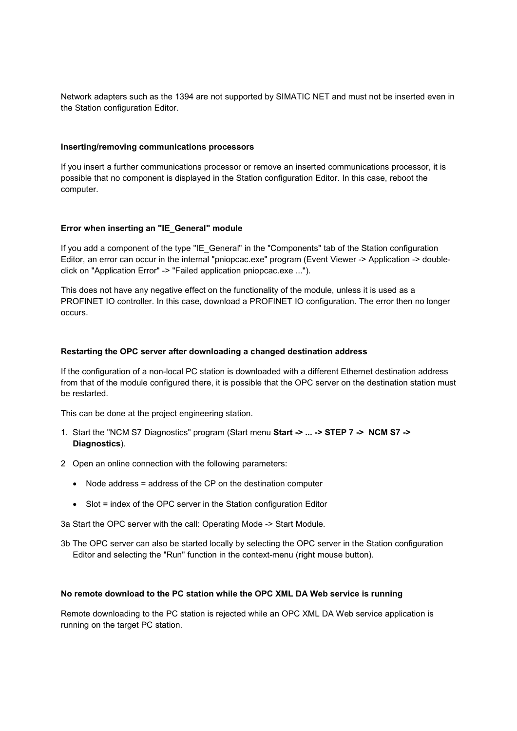Network adapters such as the 1394 are not supported by SIMATIC NET and must not be inserted even in the Station configuration Editor.

#### **Inserting/removing communications processors**

If you insert a further communications processor or remove an inserted communications processor, it is possible that no component is displayed in the Station configuration Editor. In this case, reboot the computer.

# **Error when inserting an "IE\_General" module**

If you add a component of the type "IE\_General" in the "Components" tab of the Station configuration Editor, an error can occur in the internal "pniopcac.exe" program (Event Viewer -> Application -> doubleclick on "Application Error" -> "Failed application pniopcac.exe ...").

This does not have any negative effect on the functionality of the module, unless it is used as a PROFINET IO controller. In this case, download a PROFINET IO configuration. The error then no longer occurs.

#### **Restarting the OPC server after downloading a changed destination address**

If the configuration of a non-local PC station is downloaded with a different Ethernet destination address from that of the module configured there, it is possible that the OPC server on the destination station must be restarted.

This can be done at the project engineering station.

- 1. Start the "NCM S7 Diagnostics" program (Start menu **Start -> ... -> STEP 7 -> NCM S7 -> Diagnostics**).
- 2 Open an online connection with the following parameters:
	- Node address = address of the CP on the destination computer
	- Slot = index of the OPC server in the Station configuration Editor

3a Start the OPC server with the call: Operating Mode -> Start Module.

3b The OPC server can also be started locally by selecting the OPC server in the Station configuration Editor and selecting the "Run" function in the context-menu (right mouse button).

#### **No remote download to the PC station while the OPC XML DA Web service is running**

Remote downloading to the PC station is rejected while an OPC XML DA Web service application is running on the target PC station.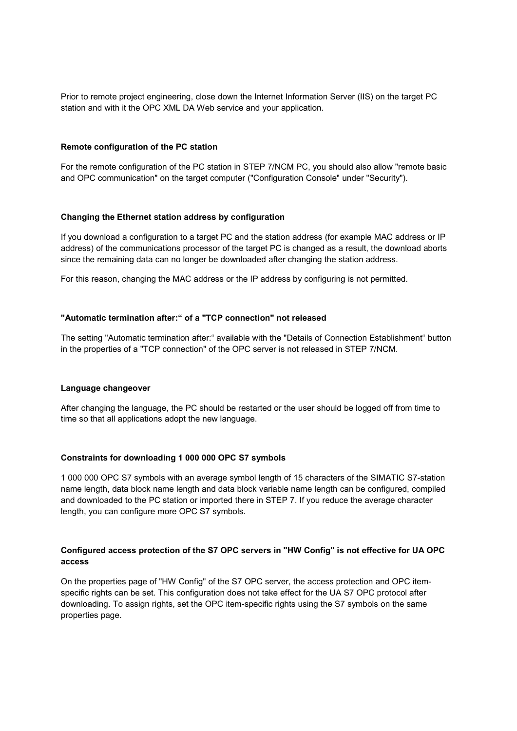Prior to remote project engineering, close down the Internet Information Server (IIS) on the target PC station and with it the OPC XML DA Web service and your application.

#### **Remote configuration of the PC station**

For the remote configuration of the PC station in STEP 7/NCM PC, you should also allow "remote basic and OPC communication" on the target computer ("Configuration Console" under "Security").

#### **Changing the Ethernet station address by configuration**

If you download a configuration to a target PC and the station address (for example MAC address or IP address) of the communications processor of the target PC is changed as a result, the download aborts since the remaining data can no longer be downloaded after changing the station address.

For this reason, changing the MAC address or the IP address by configuring is not permitted.

#### **"Automatic termination after:" of a "TCP connection" not released**

The setting "Automatic termination after:" available with the "Details of Connection Establishment" button in the properties of a "TCP connection" of the OPC server is not released in STEP 7/NCM.

#### **Language changeover**

After changing the language, the PC should be restarted or the user should be logged off from time to time so that all applications adopt the new language.

#### **Constraints for downloading 1 000 000 OPC S7 symbols**

1 000 000 OPC S7 symbols with an average symbol length of 15 characters of the SIMATIC S7-station name length, data block name length and data block variable name length can be configured, compiled and downloaded to the PC station or imported there in STEP 7. If you reduce the average character length, you can configure more OPC S7 symbols.

# **Configured access protection of the S7 OPC servers in "HW Config" is not effective for UA OPC access**

On the properties page of "HW Config" of the S7 OPC server, the access protection and OPC itemspecific rights can be set. This configuration does not take effect for the UA S7 OPC protocol after downloading. To assign rights, set the OPC item-specific rights using the S7 symbols on the same properties page.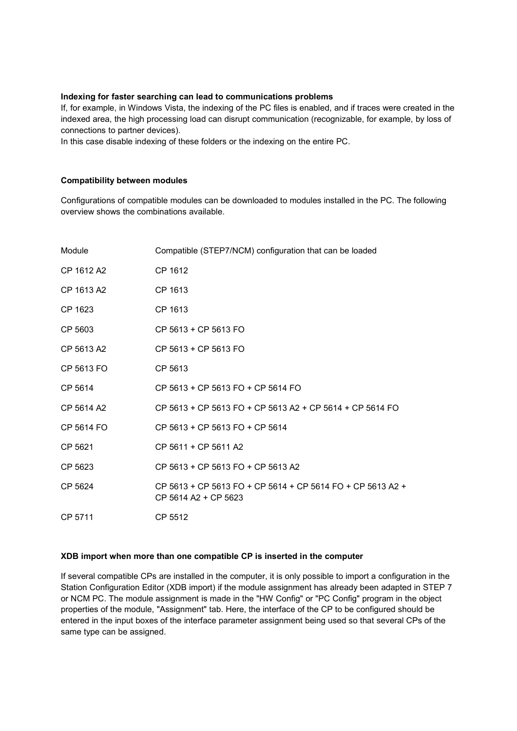## **Indexing for faster searching can lead to communications problems**

If, for example, in Windows Vista, the indexing of the PC files is enabled, and if traces were created in the indexed area, the high processing load can disrupt communication (recognizable, for example, by loss of connections to partner devices).

In this case disable indexing of these folders or the indexing on the entire PC.

#### **Compatibility between modules**

Configurations of compatible modules can be downloaded to modules installed in the PC. The following overview shows the combinations available.

| Module     | Compatible (STEP7/NCM) configuration that can be loaded                            |
|------------|------------------------------------------------------------------------------------|
| CP 1612 A2 | CP 1612                                                                            |
| CP 1613 A2 | CP 1613                                                                            |
| CP 1623    | CP 1613                                                                            |
| CP 5603    | CP 5613 + CP 5613 FO                                                               |
| CP 5613 A2 | CP 5613 + CP 5613 FO                                                               |
| CP 5613 FO | CP 5613                                                                            |
| CP 5614    | CP 5613 + CP 5613 FO + CP 5614 FO                                                  |
| CP 5614 A2 | CP 5613 + CP 5613 FO + CP 5613 A2 + CP 5614 + CP 5614 FO                           |
| CP 5614 FO | $CP$ 5613 + CP 5613 FO + CP 5614                                                   |
| CP 5621    | CP 5611 + CP 5611 A2                                                               |
| CP 5623    | CP 5613 + CP 5613 FO + CP 5613 A2                                                  |
| CP 5624    | CP 5613 + CP 5613 FO + CP 5614 + CP 5614 FO + CP 5613 A2 +<br>CP 5614 A2 + CP 5623 |
| CP 5711    | CP 5512                                                                            |

#### **XDB import when more than one compatible CP is inserted in the computer**

If several compatible CPs are installed in the computer, it is only possible to import a configuration in the Station Configuration Editor (XDB import) if the module assignment has already been adapted in STEP 7 or NCM PC. The module assignment is made in the "HW Config" or "PC Config" program in the object properties of the module, "Assignment" tab. Here, the interface of the CP to be configured should be entered in the input boxes of the interface parameter assignment being used so that several CPs of the same type can be assigned.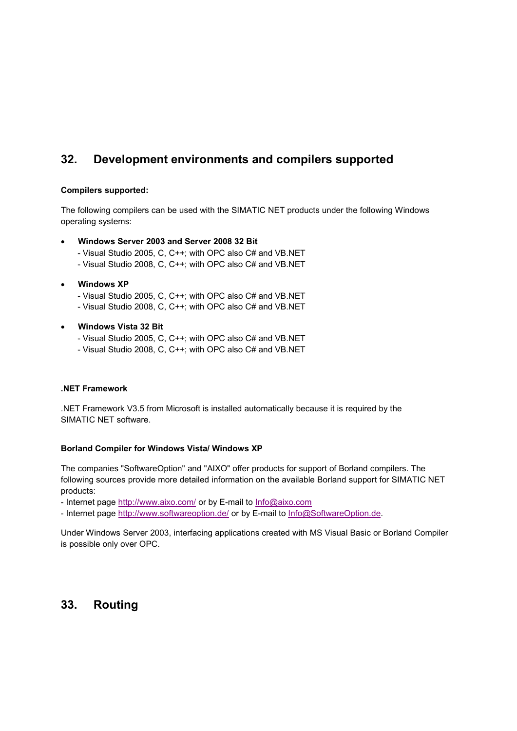# **32. Development environments and compilers supported**

# **Compilers supported:**

The following compilers can be used with the SIMATIC NET products under the following Windows operating systems:

# **Windows Server 2003 and Server 2008 32 Bit**

- Visual Studio 2005, C, C++; with OPC also C# and VB.NET
- Visual Studio 2008, C, C++; with OPC also C# and VB.NET
- **Windows XP**
	- Visual Studio 2005, C, C++; with OPC also C# and VB.NET
	- Visual Studio 2008, C, C++; with OPC also C# and VB.NET

# **Windows Vista 32 Bit**

- Visual Studio 2005, C, C++; with OPC also C# and VB.NET
- Visual Studio 2008, C, C++; with OPC also C# and VB.NET

#### **.NET Framework**

.NET Framework V3.5 from Microsoft is installed automatically because it is required by the SIMATIC NET software.

#### **Borland Compiler for Windows Vista/ Windows XP**

The companies "SoftwareOption" and "AIXO" offer products for support of Borland compilers. The following sources provide more detailed information on the available Borland support for SIMATIC NET products:

- Internet page http://www.aixo.com/ or by E-mail to Info@aixo.com
- Internet page http://www.softwareoption.de/ or by E-mail to Info@SoftwareOption.de.

Under Windows Server 2003, interfacing applications created with MS Visual Basic or Borland Compiler is possible only over OPC.

# **33. Routing**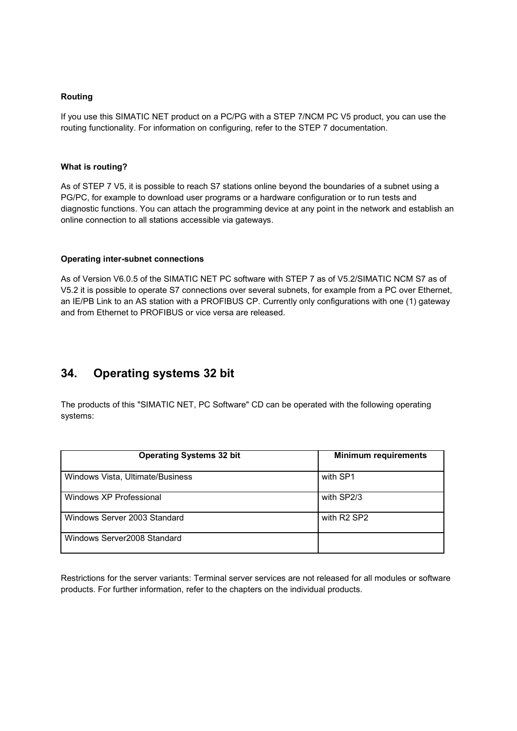## **Routing**

If you use this SIMATIC NET product on a PC/PG with a STEP 7/NCM PC V5 product, you can use the routing functionality. For information on configuring, refer to the STEP 7 documentation.

# **What is routing?**

As of STEP 7 V5, it is possible to reach S7 stations online beyond the boundaries of a subnet using a PG/PC, for example to download user programs or a hardware configuration or to run tests and diagnostic functions. You can attach the programming device at any point in the network and establish an online connection to all stations accessible via gateways.

#### **Operating inter-subnet connections**

As of Version V6.0.5 of the SIMATIC NET PC software with STEP 7 as of V5.2/SIMATIC NCM S7 as of V5.2 it is possible to operate S7 connections over several subnets, for example from a PC over Ethernet, an IE/PB Link to an AS station with a PROFIBUS CP. Currently only configurations with one (1) gateway and from Ethernet to PROFIBUS or vice versa are released.

# **34. Operating systems 32 bit**

The products of this "SIMATIC NET, PC Software" CD can be operated with the following operating systems:

| <b>Operating Systems 32 bit</b>  | <b>Minimum requirements</b>         |
|----------------------------------|-------------------------------------|
| Windows Vista, Ultimate/Business | with SP1                            |
| Windows XP Professional          | with SP2/3                          |
| Windows Server 2003 Standard     | with R <sub>2</sub> SP <sub>2</sub> |
| Windows Server2008 Standard      |                                     |

Restrictions for the server variants: Terminal server services are not released for all modules or software products. For further information, refer to the chapters on the individual products.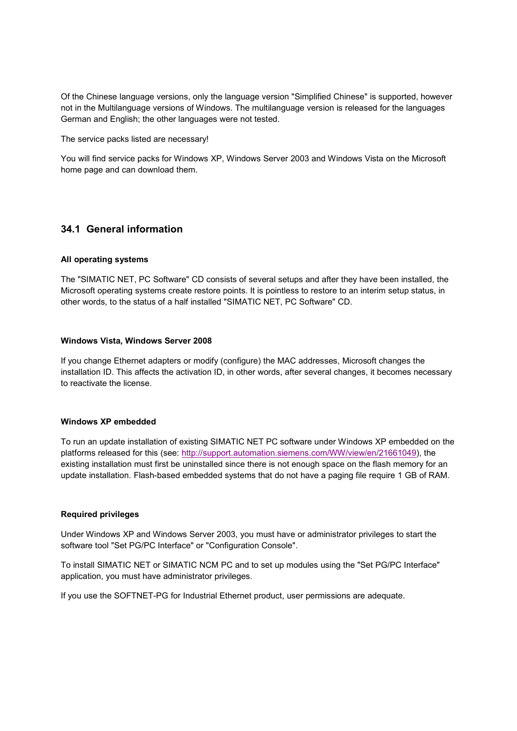Of the Chinese language versions, only the language version "Simplified Chinese" is supported, however not in the Multilanguage versions of Windows. The multilanguage version is released for the languages German and English; the other languages were not tested.

The service packs listed are necessary!

You will find service packs for Windows XP, Windows Server 2003 and Windows Vista on the Microsoft home page and can download them.

# **34.1 General information**

#### **All operating systems**

The "SIMATIC NET, PC Software" CD consists of several setups and after they have been installed, the Microsoft operating systems create restore points. It is pointless to restore to an interim setup status, in other words, to the status of a half installed "SIMATIC NET, PC Software" CD.

#### **Windows Vista, Windows Server 2008**

If you change Ethernet adapters or modify (configure) the MAC addresses, Microsoft changes the installation ID. This affects the activation ID, in other words, after several changes, it becomes necessary to reactivate the license.

# **Windows XP embedded**

To run an update installation of existing SIMATIC NET PC software under Windows XP embedded on the platforms released for this (see: http://support.automation.siemens.com/WW/view/en/21661049), the existing installation must first be uninstalled since there is not enough space on the flash memory for an update installation. Flash-based embedded systems that do not have a paging file require 1 GB of RAM.

#### **Required privileges**

Under Windows XP and Windows Server 2003, you must have or administrator privileges to start the software tool "Set PG/PC Interface" or "Configuration Console".

To install SIMATIC NET or SIMATIC NCM PC and to set up modules using the "Set PG/PC Interface" application, you must have administrator privileges.

If you use the SOFTNET-PG for Industrial Ethernet product, user permissions are adequate.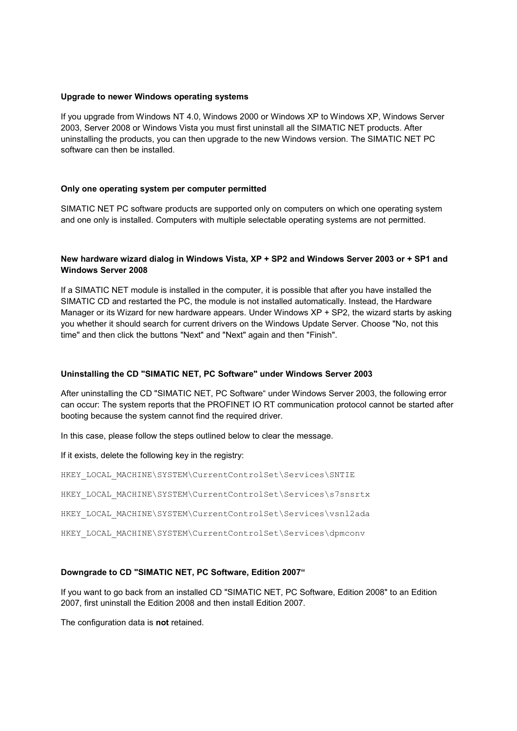#### **Upgrade to newer Windows operating systems**

If you upgrade from Windows NT 4.0, Windows 2000 or Windows XP to Windows XP, Windows Server 2003, Server 2008 or Windows Vista you must first uninstall all the SIMATIC NET products. After uninstalling the products, you can then upgrade to the new Windows version. The SIMATIC NET PC software can then be installed.

#### **Only one operating system per computer permitted**

SIMATIC NET PC software products are supported only on computers on which one operating system and one only is installed. Computers with multiple selectable operating systems are not permitted.

# **New hardware wizard dialog in Windows Vista, XP + SP2 and Windows Server 2003 or + SP1 and Windows Server 2008**

If a SIMATIC NET module is installed in the computer, it is possible that after you have installed the SIMATIC CD and restarted the PC, the module is not installed automatically. Instead, the Hardware Manager or its Wizard for new hardware appears. Under Windows XP + SP2, the wizard starts by asking you whether it should search for current drivers on the Windows Update Server. Choose "No, not this time" and then click the buttons "Next" and "Next" again and then "Finish".

#### **Uninstalling the CD "SIMATIC NET, PC Software" under Windows Server 2003**

After uninstalling the CD "SIMATIC NET, PC Software" under Windows Server 2003, the following error can occur: The system reports that the PROFINET IO RT communication protocol cannot be started after booting because the system cannot find the required driver.

In this case, please follow the steps outlined below to clear the message.

If it exists, delete the following key in the registry:

HKEY\_LOCAL\_MACHINE\SYSTEM\CurrentControlSet\Services\SNTIE

HKEY\_LOCAL\_MACHINE\SYSTEM\CurrentControlSet\Services\s7snsrtx

HKEY\_LOCAL\_MACHINE\SYSTEM\CurrentControlSet\Services\vsnl2ada

HKEY\_LOCAL\_MACHINE\SYSTEM\CurrentControlSet\Services\dpmconv

#### **Downgrade to CD "SIMATIC NET, PC Software, Edition 2007"**

If you want to go back from an installed CD "SIMATIC NET, PC Software, Edition 2008" to an Edition 2007, first uninstall the Edition 2008 and then install Edition 2007.

The configuration data is **not** retained.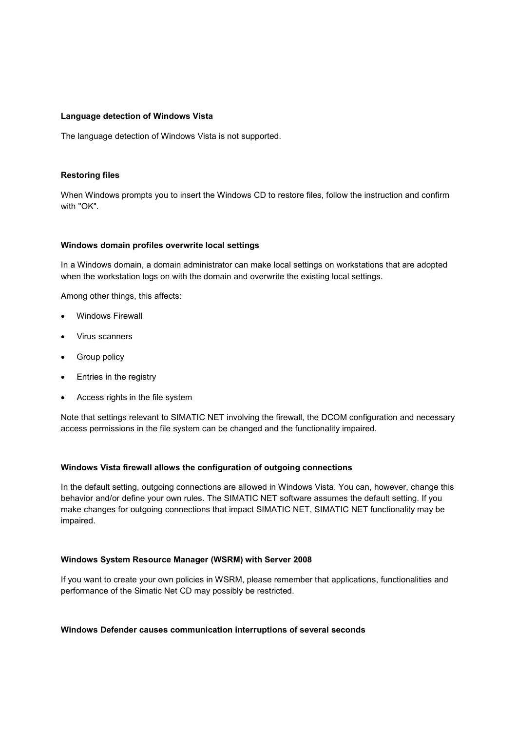#### **Language detection of Windows Vista**

The language detection of Windows Vista is not supported.

## **Restoring files**

When Windows prompts you to insert the Windows CD to restore files, follow the instruction and confirm with "OK".

#### **Windows domain profiles overwrite local settings**

In a Windows domain, a domain administrator can make local settings on workstations that are adopted when the workstation logs on with the domain and overwrite the existing local settings.

Among other things, this affects:

- Windows Firewall
- Virus scanners
- Group policy
- Entries in the registry
- Access rights in the file system

Note that settings relevant to SIMATIC NET involving the firewall, the DCOM configuration and necessary access permissions in the file system can be changed and the functionality impaired.

#### **Windows Vista firewall allows the configuration of outgoing connections**

In the default setting, outgoing connections are allowed in Windows Vista. You can, however, change this behavior and/or define your own rules. The SIMATIC NET software assumes the default setting. If you make changes for outgoing connections that impact SIMATIC NET, SIMATIC NET functionality may be impaired.

#### **Windows System Resource Manager (WSRM) with Server 2008**

If you want to create your own policies in WSRM, please remember that applications, functionalities and performance of the Simatic Net CD may possibly be restricted.

#### **Windows Defender causes communication interruptions of several seconds**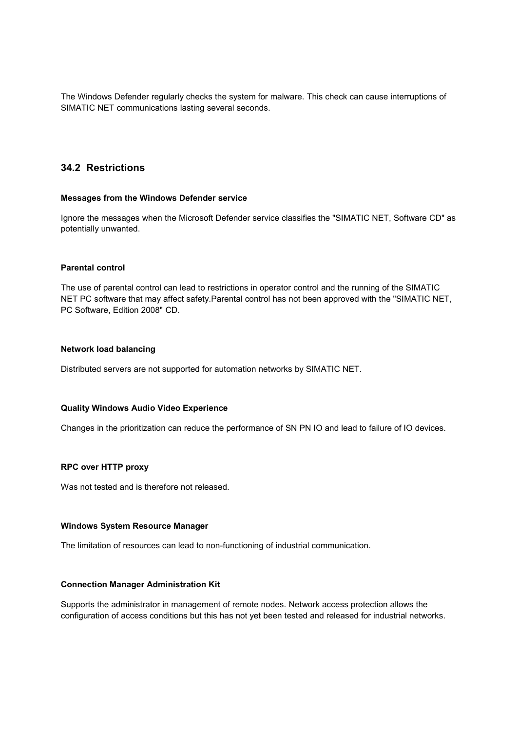The Windows Defender regularly checks the system for malware. This check can cause interruptions of SIMATIC NET communications lasting several seconds.

# **34.2 Restrictions**

#### **Messages from the Windows Defender service**

Ignore the messages when the Microsoft Defender service classifies the "SIMATIC NET, Software CD" as potentially unwanted.

#### **Parental control**

The use of parental control can lead to restrictions in operator control and the running of the SIMATIC NET PC software that may affect safety.Parental control has not been approved with the "SIMATIC NET, PC Software, Edition 2008" CD.

#### **Network load balancing**

Distributed servers are not supported for automation networks by SIMATIC NET.

#### **Quality Windows Audio Video Experience**

Changes in the prioritization can reduce the performance of SN PN IO and lead to failure of IO devices.

#### **RPC over HTTP proxy**

Was not tested and is therefore not released.

#### **Windows System Resource Manager**

The limitation of resources can lead to non-functioning of industrial communication.

#### **Connection Manager Administration Kit**

Supports the administrator in management of remote nodes. Network access protection allows the configuration of access conditions but this has not yet been tested and released for industrial networks.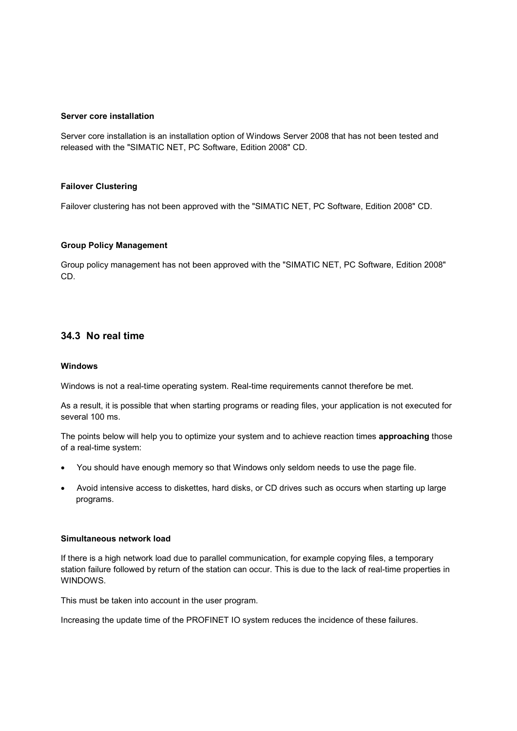#### **Server core installation**

Server core installation is an installation option of Windows Server 2008 that has not been tested and released with the "SIMATIC NET, PC Software, Edition 2008" CD.

#### **Failover Clustering**

Failover clustering has not been approved with the "SIMATIC NET, PC Software, Edition 2008" CD.

#### **Group Policy Management**

Group policy management has not been approved with the "SIMATIC NET, PC Software, Edition 2008" CD.

# **34.3 No real time**

#### **Windows**

Windows is not a real-time operating system. Real-time requirements cannot therefore be met.

As a result, it is possible that when starting programs or reading files, your application is not executed for several 100 ms.

The points below will help you to optimize your system and to achieve reaction times **approaching** those of a real-time system:

- You should have enough memory so that Windows only seldom needs to use the page file.
- Avoid intensive access to diskettes, hard disks, or CD drives such as occurs when starting up large programs.

#### **Simultaneous network load**

If there is a high network load due to parallel communication, for example copying files, a temporary station failure followed by return of the station can occur. This is due to the lack of real-time properties in WINDOWS.

This must be taken into account in the user program.

Increasing the update time of the PROFINET IO system reduces the incidence of these failures.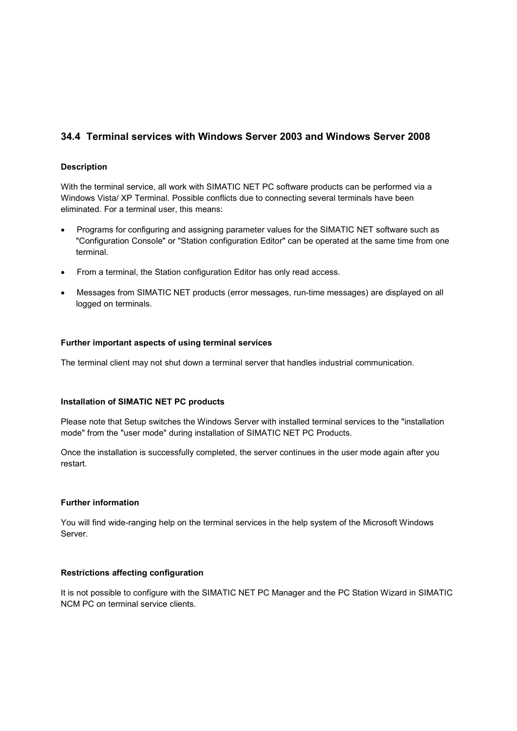# **34.4 Terminal services with Windows Server 2003 and Windows Server 2008**

# **Description**

With the terminal service, all work with SIMATIC NET PC software products can be performed via a Windows Vista/ XP Terminal. Possible conflicts due to connecting several terminals have been eliminated. For a terminal user, this means:

- Programs for configuring and assigning parameter values for the SIMATIC NET software such as "Configuration Console" or "Station configuration Editor" can be operated at the same time from one terminal.
- From a terminal, the Station configuration Editor has only read access.
- Messages from SIMATIC NET products (error messages, run-time messages) are displayed on all logged on terminals.

# **Further important aspects of using terminal services**

The terminal client may not shut down a terminal server that handles industrial communication.

#### **Installation of SIMATIC NET PC products**

Please note that Setup switches the Windows Server with installed terminal services to the "installation mode" from the "user mode" during installation of SIMATIC NET PC Products.

Once the installation is successfully completed, the server continues in the user mode again after you restart.

## **Further information**

You will find wide-ranging help on the terminal services in the help system of the Microsoft Windows Server.

#### **Restrictions affecting configuration**

It is not possible to configure with the SIMATIC NET PC Manager and the PC Station Wizard in SIMATIC NCM PC on terminal service clients.